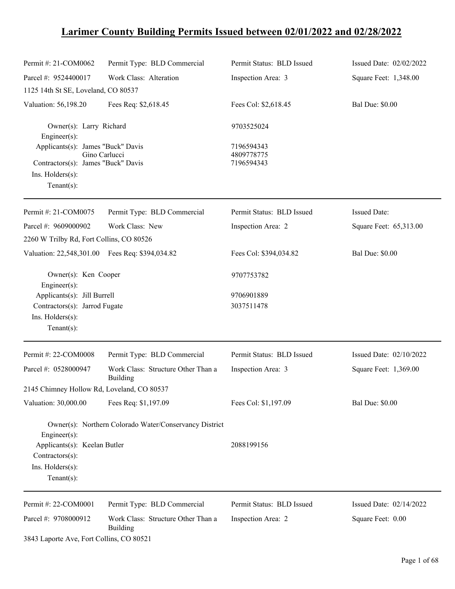# **Larimer County Building Permits Issued between 02/01/2022 and 02/28/2022**

| Permit #: 21-COM0062                            | Permit Type: BLD Commercial                            | Permit Status: BLD Issued | Issued Date: 02/02/2022 |
|-------------------------------------------------|--------------------------------------------------------|---------------------------|-------------------------|
| Parcel #: 9524400017                            | Work Class: Alteration                                 | Inspection Area: 3        | Square Feet: 1,348.00   |
| 1125 14th St SE, Loveland, CO 80537             |                                                        |                           |                         |
| Valuation: 56,198.20                            | Fees Req: \$2,618.45                                   | Fees Col: \$2,618.45      | <b>Bal Due: \$0.00</b>  |
| Owner(s): Larry Richard<br>Engineer(s):         |                                                        | 9703525024                |                         |
| Applicants(s): James "Buck" Davis               |                                                        | 7196594343                |                         |
| Contractors(s): James "Buck" Davis              | Gino Carlucci                                          | 4809778775<br>7196594343  |                         |
| Ins. $H$ olders $(s)$ :                         |                                                        |                           |                         |
| Tenant $(s)$ :                                  |                                                        |                           |                         |
| Permit #: 21-COM0075                            | Permit Type: BLD Commercial                            | Permit Status: BLD Issued | <b>Issued Date:</b>     |
| Parcel #: 9609000902                            | Work Class: New                                        | Inspection Area: 2        | Square Feet: 65,313.00  |
| 2260 W Trilby Rd, Fort Collins, CO 80526        |                                                        |                           |                         |
| Valuation: 22,548,301.00 Fees Req: \$394,034.82 |                                                        | Fees Col: \$394,034.82    | <b>Bal Due: \$0.00</b>  |
| Owner(s): Ken Cooper<br>Engineer(s):            |                                                        | 9707753782                |                         |
| Applicants(s): Jill Burrell                     |                                                        | 9706901889                |                         |
| Contractors(s): Jarrod Fugate                   |                                                        | 3037511478                |                         |
| Ins. Holders(s):                                |                                                        |                           |                         |
| Tenant $(s)$ :                                  |                                                        |                           |                         |
| Permit #: 22-COM0008                            | Permit Type: BLD Commercial                            | Permit Status: BLD Issued | Issued Date: 02/10/2022 |
| Parcel #: 0528000947                            | Work Class: Structure Other Than a<br>Building         | Inspection Area: 3        | Square Feet: 1,369.00   |
| 2145 Chimney Hollow Rd, Loveland, CO 80537      |                                                        |                           |                         |
| Valuation: 30,000.00                            | Fees Req: \$1,197.09                                   | Fees Col: \$1,197.09      | <b>Bal Due: \$0.00</b>  |
| Engineer $(s)$ :                                | Owner(s): Northern Colorado Water/Conservancy District |                           |                         |
| Applicants(s): Keelan Butler                    |                                                        | 2088199156                |                         |
| Contractors(s):                                 |                                                        |                           |                         |
| Ins. Holders(s):<br>Tenant $(s)$ :              |                                                        |                           |                         |
| Permit #: 22-COM0001                            | Permit Type: BLD Commercial                            | Permit Status: BLD Issued | Issued Date: 02/14/2022 |
| Parcel #: 9708000912                            | Work Class: Structure Other Than a<br>Building         | Inspection Area: 2        | Square Feet: 0.00       |
| 3843 Laporte Ave, Fort Collins, CO 80521        |                                                        |                           |                         |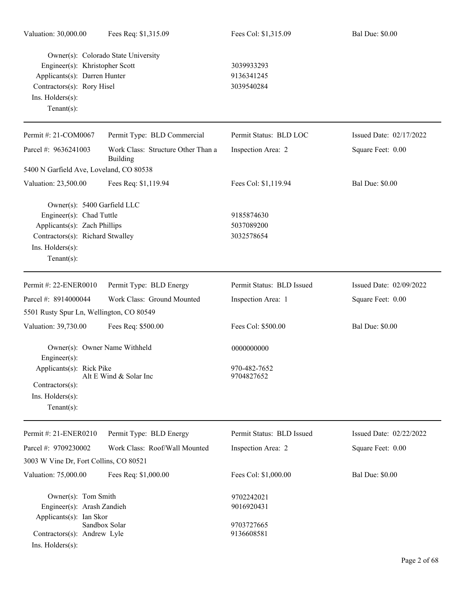| Valuation: 30,000.00                                                                                                                                              | Fees Req: \$1,315.09                                  | Fees Col: \$1,315.09                   | <b>Bal Due: \$0.00</b>  |
|-------------------------------------------------------------------------------------------------------------------------------------------------------------------|-------------------------------------------------------|----------------------------------------|-------------------------|
| Engineer(s): Khristopher Scott<br>Applicants(s): Darren Hunter<br>Contractors(s): Rory Hisel<br>Ins. Holders(s):<br>Tenant $(s)$ :                                | Owner(s): Colorado State University                   | 3039933293<br>9136341245<br>3039540284 |                         |
| Permit #: 21-COM0067                                                                                                                                              | Permit Type: BLD Commercial                           | Permit Status: BLD LOC                 | Issued Date: 02/17/2022 |
| Parcel #: 9636241003                                                                                                                                              | Work Class: Structure Other Than a<br><b>Building</b> | Inspection Area: 2                     | Square Feet: 0.00       |
| 5400 N Garfield Ave, Loveland, CO 80538                                                                                                                           |                                                       |                                        |                         |
| Valuation: 23,500.00                                                                                                                                              | Fees Req: \$1,119.94                                  | Fees Col: \$1,119.94                   | <b>Bal Due: \$0.00</b>  |
| Owner(s): 5400 Garfield LLC<br>Engineer(s): Chad Tuttle<br>Applicants(s): Zach Phillips<br>Contractors(s): Richard Stwalley<br>Ins. Holders(s):<br>Tenant $(s)$ : |                                                       | 9185874630<br>5037089200<br>3032578654 |                         |
| Permit #: 22-ENER0010                                                                                                                                             | Permit Type: BLD Energy                               | Permit Status: BLD Issued              | Issued Date: 02/09/2022 |
| Parcel #: 8914000044                                                                                                                                              | Work Class: Ground Mounted                            | Inspection Area: 1                     | Square Feet: 0.00       |
| 5501 Rusty Spur Ln, Wellington, CO 80549                                                                                                                          |                                                       |                                        |                         |
| Valuation: 39,730.00                                                                                                                                              | Fees Req: \$500.00                                    | Fees Col: \$500.00                     | <b>Bal Due: \$0.00</b>  |
| Owner(s): Owner Name Withheld<br>$Engineering(s)$ :                                                                                                               |                                                       | 0000000000                             |                         |
| Applicants(s): Rick Pike<br>Contractors(s):<br>Ins. Holders(s):<br>Tenant $(s)$ :                                                                                 | Alt E Wind & Solar Inc                                | 970-482-7652<br>9704827652             |                         |
| Permit #: 21-ENER0210                                                                                                                                             | Permit Type: BLD Energy                               | Permit Status: BLD Issued              | Issued Date: 02/22/2022 |
| Parcel #: 9709230002<br>3003 W Vine Dr, Fort Collins, CO 80521                                                                                                    | Work Class: Roof/Wall Mounted                         | Inspection Area: 2                     | Square Feet: 0.00       |
| Valuation: 75,000.00                                                                                                                                              | Fees Req: \$1,000.00                                  | Fees Col: \$1,000.00                   | <b>Bal Due: \$0.00</b>  |
| Owner(s): Tom Smith<br>Engineer(s): Arash Zandieh<br>Applicants(s): Ian Skor                                                                                      |                                                       | 9702242021<br>9016920431               |                         |
| Contractors(s): Andrew Lyle<br>Ins. Holders(s):                                                                                                                   | Sandbox Solar                                         | 9703727665<br>9136608581               |                         |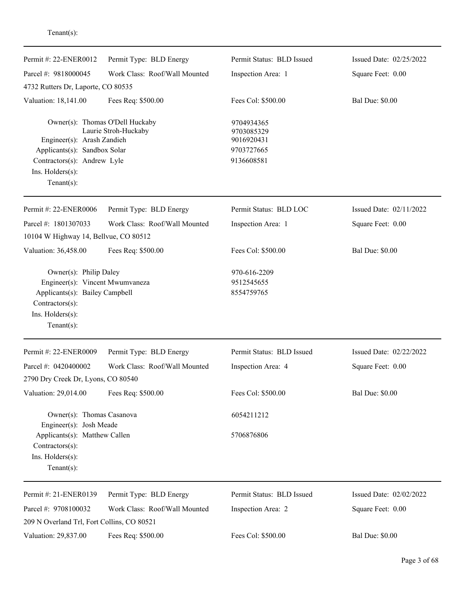| Permit #: 22-ENER0012                                                                                                                                              | Permit Type: BLD Energy       | Permit Status: BLD Issued                                          | Issued Date: 02/25/2022 |
|--------------------------------------------------------------------------------------------------------------------------------------------------------------------|-------------------------------|--------------------------------------------------------------------|-------------------------|
| Parcel #: 9818000045                                                                                                                                               | Work Class: Roof/Wall Mounted | Inspection Area: 1                                                 | Square Feet: 0.00       |
| 4732 Rutters Dr, Laporte, CO 80535                                                                                                                                 |                               |                                                                    |                         |
| Valuation: 18,141.00                                                                                                                                               | Fees Req: \$500.00            | Fees Col: \$500.00                                                 | <b>Bal Due: \$0.00</b>  |
| Owner(s): Thomas O'Dell Huckaby<br>Engineer(s): Arash Zandieh<br>Applicants(s): Sandbox Solar<br>Contractors(s): Andrew Lyle<br>Ins. Holders(s):<br>Tenant $(s)$ : | Laurie Stroh-Huckaby          | 9704934365<br>9703085329<br>9016920431<br>9703727665<br>9136608581 |                         |
| Permit #: 22-ENER0006                                                                                                                                              | Permit Type: BLD Energy       | Permit Status: BLD LOC                                             | Issued Date: 02/11/2022 |
| Parcel #: 1801307033<br>10104 W Highway 14, Bellvue, CO 80512                                                                                                      | Work Class: Roof/Wall Mounted | Inspection Area: 1                                                 | Square Feet: 0.00       |
| Valuation: 36,458.00                                                                                                                                               | Fees Req: \$500.00            | Fees Col: \$500.00                                                 | <b>Bal Due: \$0.00</b>  |
| Owner(s): Philip Daley<br>Engineer(s): Vincent Mwumvaneza<br>Applicants(s): Bailey Campbell<br>Contractors(s):<br>Ins. Holders(s):<br>Tenant $(s)$ :               |                               | 970-616-2209<br>9512545655<br>8554759765                           |                         |
| Permit #: 22-ENER0009                                                                                                                                              | Permit Type: BLD Energy       | Permit Status: BLD Issued                                          | Issued Date: 02/22/2022 |
| Parcel #: 0420400002                                                                                                                                               | Work Class: Roof/Wall Mounted | Inspection Area: 4                                                 | Square Feet: 0.00       |
| 2790 Dry Creek Dr, Lyons, CO 80540                                                                                                                                 |                               |                                                                    |                         |
| Valuation: 29,014.00                                                                                                                                               | Fees Req: \$500.00            | Fees Col: \$500.00                                                 | <b>Bal Due: \$0.00</b>  |
| Owner(s): Thomas Casanova<br>Engineer(s): Josh Meade                                                                                                               |                               | 6054211212                                                         |                         |
| Applicants(s): Matthew Callen<br>Contractors(s):<br>Ins. Holders(s):<br>Tenant $(s)$ :                                                                             |                               | 5706876806                                                         |                         |
| Permit #: 21-ENER0139                                                                                                                                              | Permit Type: BLD Energy       | Permit Status: BLD Issued                                          | Issued Date: 02/02/2022 |
| Parcel #: 9708100032                                                                                                                                               | Work Class: Roof/Wall Mounted | Inspection Area: 2                                                 | Square Feet: 0.00       |
| 209 N Overland Trl, Fort Collins, CO 80521                                                                                                                         |                               |                                                                    |                         |
| Valuation: 29,837.00                                                                                                                                               | Fees Req: \$500.00            | Fees Col: \$500.00                                                 | <b>Bal Due: \$0.00</b>  |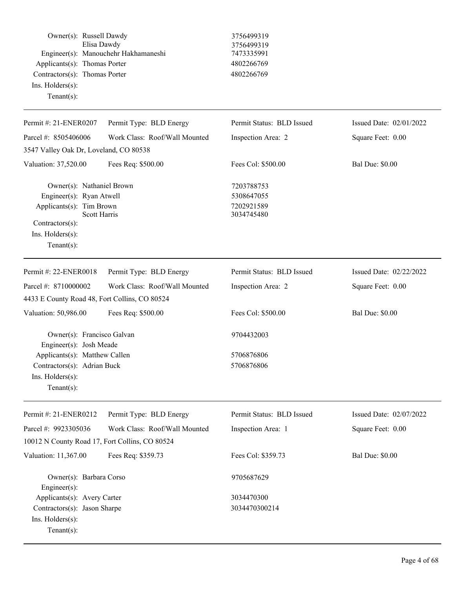| Owner(s): Russell Dawdy<br>Applicants(s): Thomas Porter<br>Contractors(s): Thomas Porter<br>Ins. Holders(s):<br>Tenant $(s)$ :                                    | Elisa Dawdy<br>Engineer(s): Manouchehr Hakhamaneshi | 3756499319<br>3756499319<br>7473335991<br>4802266769<br>4802266769 |                         |
|-------------------------------------------------------------------------------------------------------------------------------------------------------------------|-----------------------------------------------------|--------------------------------------------------------------------|-------------------------|
| Permit #: 21-ENER0207                                                                                                                                             | Permit Type: BLD Energy                             | Permit Status: BLD Issued                                          | Issued Date: 02/01/2022 |
| Parcel #: 8505406006                                                                                                                                              | Work Class: Roof/Wall Mounted                       | Inspection Area: 2                                                 | Square Feet: 0.00       |
| 3547 Valley Oak Dr, Loveland, CO 80538                                                                                                                            |                                                     |                                                                    |                         |
| Valuation: 37,520.00                                                                                                                                              | Fees Req: \$500.00                                  | Fees Col: \$500.00                                                 | <b>Bal Due: \$0.00</b>  |
| Owner(s): Nathaniel Brown<br>Engineer(s): Ryan Atwell<br>Applicants(s): Tim Brown<br><b>Scott Harris</b><br>Contractors(s):<br>Ins. Holders(s):<br>Tenant $(s)$ : |                                                     | 7203788753<br>5308647055<br>7202921589<br>3034745480               |                         |
| Permit #: 22-ENER0018                                                                                                                                             | Permit Type: BLD Energy                             | Permit Status: BLD Issued                                          | Issued Date: 02/22/2022 |
| Parcel #: 8710000002                                                                                                                                              | Work Class: Roof/Wall Mounted                       | Inspection Area: 2                                                 | Square Feet: 0.00       |
| 4433 E County Road 48, Fort Collins, CO 80524                                                                                                                     |                                                     |                                                                    |                         |
| Valuation: 50,986.00                                                                                                                                              | Fees Req: \$500.00                                  | Fees Col: \$500.00                                                 | <b>Bal Due: \$0.00</b>  |
| Owner(s): Francisco Galvan                                                                                                                                        |                                                     | 9704432003                                                         |                         |
| Engineer(s): Josh Meade<br>Applicants(s): Matthew Callen<br>Contractors(s): Adrian Buck<br>Ins. Holders(s):<br>$Tenant(s)$ :                                      |                                                     | 5706876806<br>5706876806                                           |                         |
| Permit #: 21-ENER0212                                                                                                                                             | Permit Type: BLD Energy                             | Permit Status: BLD Issued                                          | Issued Date: 02/07/2022 |
| Parcel #: 9923305036                                                                                                                                              | Work Class: Roof/Wall Mounted                       | Inspection Area: 1                                                 | Square Feet: 0.00       |
| 10012 N County Road 17, Fort Collins, CO 80524                                                                                                                    |                                                     |                                                                    |                         |
| Valuation: 11,367.00                                                                                                                                              | Fees Req: \$359.73                                  | Fees Col: \$359.73                                                 | <b>Bal Due: \$0.00</b>  |
| Owner(s): Barbara Corso<br>Engineer(s):                                                                                                                           |                                                     | 9705687629                                                         |                         |
| Applicants(s): Avery Carter                                                                                                                                       |                                                     | 3034470300                                                         |                         |
| Contractors(s): Jason Sharpe<br>Ins. Holders(s):<br>$Tenant(s)$ :                                                                                                 |                                                     | 3034470300214                                                      |                         |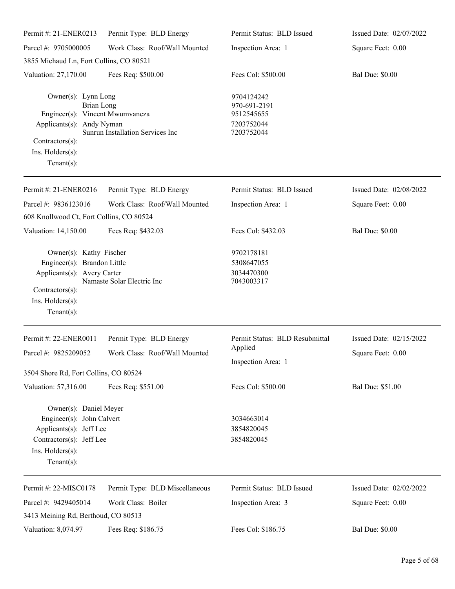| Permit #: 21-ENER0213                                                                                                                                            | Permit Type: BLD Energy                                  | Permit Status: BLD Issued                                            | Issued Date: 02/07/2022                      |
|------------------------------------------------------------------------------------------------------------------------------------------------------------------|----------------------------------------------------------|----------------------------------------------------------------------|----------------------------------------------|
| Parcel #: 9705000005                                                                                                                                             | Work Class: Roof/Wall Mounted                            | Inspection Area: 1                                                   | Square Feet: 0.00                            |
| 3855 Michaud Ln, Fort Collins, CO 80521                                                                                                                          |                                                          |                                                                      |                                              |
| Valuation: 27,170.00                                                                                                                                             | Fees Req: \$500.00                                       | Fees Col: \$500.00                                                   | <b>Bal Due: \$0.00</b>                       |
| Owner(s): Lynn Long<br><b>Brian Long</b><br>Engineer(s): Vincent Mwumvaneza<br>Applicants(s): Andy Nyman<br>Contractors(s):<br>Ins. Holders(s):<br>$Tenant(s)$ : | Sunrun Installation Services Inc                         | 9704124242<br>970-691-2191<br>9512545655<br>7203752044<br>7203752044 |                                              |
| Permit #: 21-ENER0216                                                                                                                                            | Permit Type: BLD Energy                                  | Permit Status: BLD Issued                                            | Issued Date: 02/08/2022                      |
| Parcel #: 9836123016                                                                                                                                             | Work Class: Roof/Wall Mounted                            | Inspection Area: 1                                                   | Square Feet: 0.00                            |
| 608 Knollwood Ct, Fort Collins, CO 80524                                                                                                                         |                                                          |                                                                      |                                              |
| Valuation: 14,150.00                                                                                                                                             | Fees Req: \$432.03                                       | Fees Col: \$432.03                                                   | <b>Bal Due: \$0.00</b>                       |
| Owner(s): Kathy Fischer<br>Engineer(s): Brandon Little<br>Applicants(s): Avery Carter<br>Contractors(s):<br>Ins. Holders(s):<br>$Tenant(s)$ :                    | Namaste Solar Electric Inc                               | 9702178181<br>5308647055<br>3034470300<br>7043003317                 |                                              |
| Permit #: 22-ENER0011<br>Parcel #: 9825209052                                                                                                                    | Permit Type: BLD Energy<br>Work Class: Roof/Wall Mounted | Permit Status: BLD Resubmittal<br>Applied<br>Inspection Area: 1      | Issued Date: 02/15/2022<br>Square Feet: 0.00 |
| 3504 Shore Rd, Fort Collins, CO 80524                                                                                                                            |                                                          |                                                                      |                                              |
| Valuation: 57,316.00                                                                                                                                             | Fees Req: \$551.00                                       | Fees Col: \$500.00                                                   | Bal Due: \$51.00                             |
| Owner(s): Daniel Meyer<br>Engineer(s): John Calvert<br>Applicants(s): Jeff Lee<br>Contractors(s): Jeff Lee<br>Ins. Holders(s):<br>Tenant $(s)$ :                 |                                                          | 3034663014<br>3854820045<br>3854820045                               |                                              |
| Permit #: 22-MISC0178                                                                                                                                            | Permit Type: BLD Miscellaneous                           | Permit Status: BLD Issued                                            | Issued Date: 02/02/2022                      |
| Parcel #: 9429405014                                                                                                                                             | Work Class: Boiler                                       | Inspection Area: 3                                                   | Square Feet: 0.00                            |
| 3413 Meining Rd, Berthoud, CO 80513                                                                                                                              |                                                          |                                                                      |                                              |
| Valuation: 8,074.97                                                                                                                                              | Fees Req: \$186.75                                       | Fees Col: \$186.75                                                   | <b>Bal Due: \$0.00</b>                       |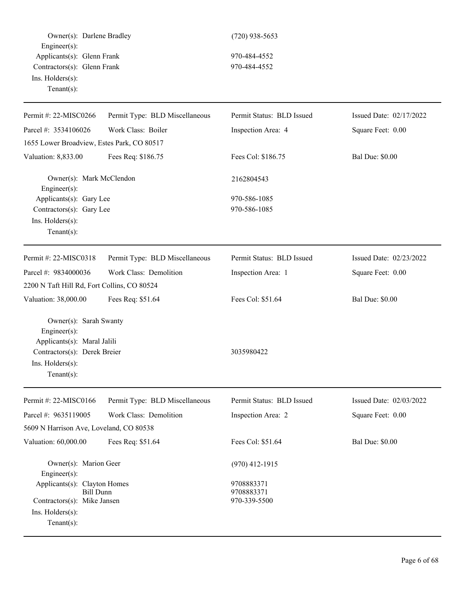Owner(s): Darlene Bradley (720) 938-5653 Engineer(s): Applicants(s): Glenn Frank 970-484-4552 Contractors(s): Glenn Frank 970-484-4552 Ins. Holders(s): Tenant(s): Permit #: 22-MISC0266 Parcel #: 3534106026 Permit Type: BLD Miscellaneous Work Class: Boiler Permit Status: BLD Issued Inspection Area: 4 Issued Date: 02/17/2022 Square Feet: 0.00 1655 Lower Broadview, Estes Park, CO 80517 Valuation: 8,833.00 Fees Req: \$186.75 Fees Col: \$186.75 Bal Due: \$0.00 Owner(s): Mark McClendon 2162804543 Engineer(s): Applicants(s): Gary Lee 970-586-1085 Contractors(s): Gary Lee 970-586-1085 Ins. Holders(s): Tenant(s): Permit #: 22-MISC0318 Parcel #: 9834000036 Permit Type: BLD Miscellaneous Work Class: Demolition Permit Status: BLD Issued Inspection Area: 1 Issued Date: 02/23/2022 Square Feet: 0.00 2200 N Taft Hill Rd, Fort Collins, CO 80524 Valuation: 38,000.00 Fees Req: \$51.64 Fees Col: \$51.64 Bal Due: \$0.00 Owner(s): Sarah Swanty Engineer(s): Applicants(s): Maral Jalili Contractors(s): Derek Breier 3035980422 Ins. Holders(s): Tenant(s): Permit #: 22-MISC0166 Parcel #: 9635119005 Permit Type: BLD Miscellaneous Work Class: Demolition Permit Status: BLD Issued Inspection Area: 2 Issued Date: 02/03/2022 Square Feet: 0.00 5609 N Harrison Ave, Loveland, CO 80538 Valuation: 60,000.00 Fees Req: \$51.64 Fees Col: \$51.64 Bal Due: \$0.00 Owner(s): Marion Geer (970) 412-1915 Engineer(s): Applicants(s): Clayton Homes 9708883371 Bill Dunn 9708883371 Contractors(s): Mike Jansen 970-339-5500 Ins. Holders(s): Tenant(s):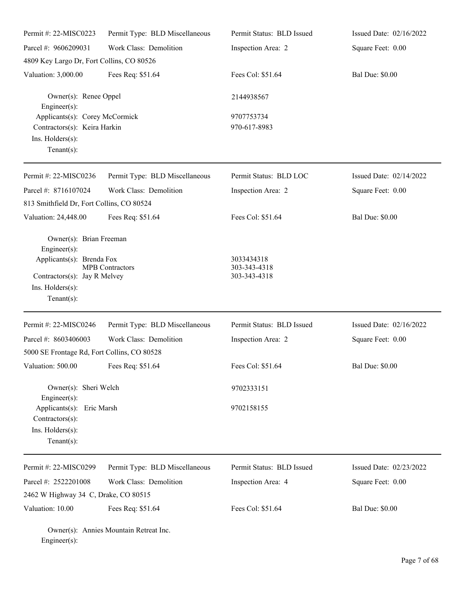| Permit #: 22-MISC0223                                                                                                                            | Permit Type: BLD Miscellaneous | Permit Status: BLD Issued                  | Issued Date: 02/16/2022   |
|--------------------------------------------------------------------------------------------------------------------------------------------------|--------------------------------|--------------------------------------------|---------------------------|
| Parcel #: 9606209031                                                                                                                             | Work Class: Demolition         | Inspection Area: 2                         | Square Feet: 0.00         |
| 4809 Key Largo Dr, Fort Collins, CO 80526                                                                                                        |                                |                                            |                           |
| Valuation: 3,000.00                                                                                                                              | Fees Req: \$51.64              | Fees Col: \$51.64                          | <b>Bal Due: \$0.00</b>    |
| Owner(s): Renee Oppel<br>$Engineering(s)$ :                                                                                                      |                                | 2144938567                                 |                           |
| Applicants(s): Corey McCormick<br>Contractors(s): Keira Harkin<br>Ins. Holders(s):<br>Tenant $(s)$ :                                             |                                | 9707753734<br>970-617-8983                 |                           |
| Permit #: 22-MISC0236                                                                                                                            | Permit Type: BLD Miscellaneous | Permit Status: BLD LOC                     | Issued Date: 02/14/2022   |
| Parcel #: 8716107024                                                                                                                             | Work Class: Demolition         | Inspection Area: 2                         | Square Feet: 0.00         |
| 813 Smithfield Dr, Fort Collins, CO 80524                                                                                                        |                                |                                            |                           |
| Valuation: 24,448.00                                                                                                                             | Fees Req: \$51.64              | Fees Col: \$51.64                          | <b>Bal Due: \$0.00</b>    |
| Owner(s): Brian Freeman<br>$Engineering(s)$ :<br>Applicants(s): Brenda Fox<br>Contractors(s): Jay R Melvey<br>Ins. Holders(s):<br>Tenant $(s)$ : | <b>MPB</b> Contractors         | 3033434318<br>303-343-4318<br>303-343-4318 |                           |
| Permit #: 22-MISC0246                                                                                                                            | Permit Type: BLD Miscellaneous | Permit Status: BLD Issued                  | Issued Date: $02/16/2022$ |
| Parcel #: 8603406003                                                                                                                             | Work Class: Demolition         | Inspection Area: 2                         | Square Feet: 0.00         |
| 5000 SE Frontage Rd, Fort Collins, CO 80528                                                                                                      |                                |                                            |                           |
| Valuation: 500.00                                                                                                                                | Fees Req: \$51.64              | Fees Col: \$51.64                          | <b>Bal Due: \$0.00</b>    |
| Owner(s): Sheri Welch<br>Engineer(s):                                                                                                            |                                | 9702333151                                 |                           |
| Applicants(s): Eric Marsh<br>$Contractors(s)$ :<br>Ins. Holders(s):<br>$Tenant(s)$ :                                                             |                                | 9702158155                                 |                           |
| Permit #: 22-MISC0299                                                                                                                            | Permit Type: BLD Miscellaneous | Permit Status: BLD Issued                  | Issued Date: 02/23/2022   |
| Parcel #: 2522201008                                                                                                                             | Work Class: Demolition         | Inspection Area: 4                         | Square Feet: 0.00         |
| 2462 W Highway 34 C, Drake, CO 80515                                                                                                             |                                |                                            |                           |
| Valuation: 10.00                                                                                                                                 | Fees Req: \$51.64              | Fees Col: \$51.64                          | <b>Bal Due: \$0.00</b>    |
|                                                                                                                                                  |                                |                                            |                           |

Owner(s): Annies Mountain Retreat Inc. Engineer(s):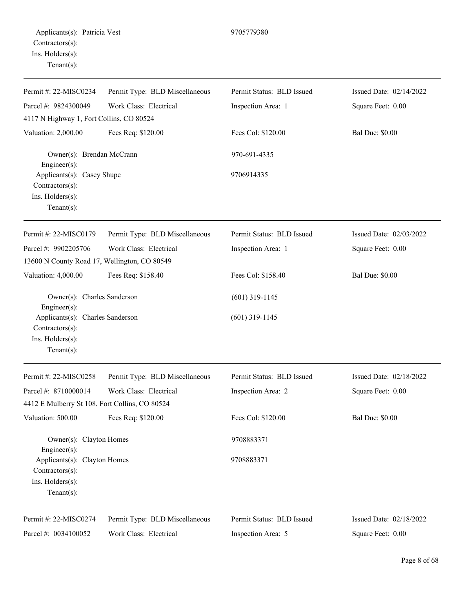| Permit #: 22-MISC0234                                                                     | Permit Type: BLD Miscellaneous | Permit Status: BLD Issued | Issued Date: 02/14/2022 |
|-------------------------------------------------------------------------------------------|--------------------------------|---------------------------|-------------------------|
| Parcel #: 9824300049                                                                      | Work Class: Electrical         | Inspection Area: 1        | Square Feet: 0.00       |
| 4117 N Highway 1, Fort Collins, CO 80524                                                  |                                |                           |                         |
| Valuation: 2,000.00                                                                       | Fees Req: \$120.00             | Fees Col: \$120.00        | <b>Bal Due: \$0.00</b>  |
| Owner(s): Brendan McCrann<br>Engineer(s):                                                 |                                | 970-691-4335              |                         |
| Applicants(s): Casey Shupe<br>Contractors(s):                                             |                                | 9706914335                |                         |
| Ins. Holders(s):<br>Tenant $(s)$ :                                                        |                                |                           |                         |
| Permit #: 22-MISC0179                                                                     | Permit Type: BLD Miscellaneous | Permit Status: BLD Issued | Issued Date: 02/03/2022 |
| Parcel #: 9902205706                                                                      | Work Class: Electrical         | Inspection Area: 1        | Square Feet: 0.00       |
| 13600 N County Road 17, Wellington, CO 80549                                              |                                |                           |                         |
| Valuation: 4,000.00                                                                       | Fees Req: \$158.40             | Fees Col: \$158.40        | <b>Bal Due: \$0.00</b>  |
| Owner(s): Charles Sanderson<br>Engineer(s):                                               |                                | $(601)$ 319-1145          |                         |
| Applicants(s): Charles Sanderson<br>Contractors(s):<br>Ins. Holders(s):<br>Tenant $(s)$ : |                                | $(601)$ 319-1145          |                         |
| Permit #: 22-MISC0258                                                                     | Permit Type: BLD Miscellaneous | Permit Status: BLD Issued | Issued Date: 02/18/2022 |
| Parcel #: 8710000014                                                                      | Work Class: Electrical         | Inspection Area: 2        | Square Feet: 0.00       |
| 4412 E Mulberry St 108, Fort Collins, CO 80524                                            |                                |                           |                         |
| Valuation: 500.00                                                                         | Fees Req: \$120.00             | Fees Col: \$120.00        | <b>Bal Due: \$0.00</b>  |
| Owner(s): Clayton Homes<br>Engineer(s):                                                   |                                | 9708883371                |                         |
| Applicants(s): Clayton Homes<br>Contractors(s):<br>Ins. Holders(s):                       |                                | 9708883371                |                         |
| Tenant $(s)$ :                                                                            |                                |                           |                         |
| Permit #: 22-MISC0274                                                                     | Permit Type: BLD Miscellaneous | Permit Status: BLD Issued | Issued Date: 02/18/2022 |
| Parcel #: 0034100052                                                                      | Work Class: Electrical         | Inspection Area: 5        | Square Feet: 0.00       |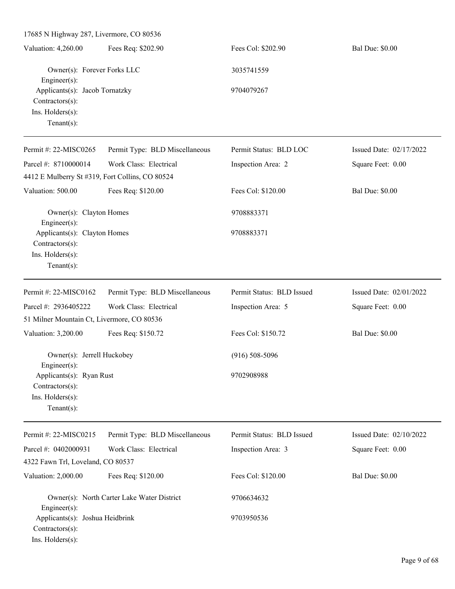17685 N Highway 287, Livermore, CO 80536 Valuation: 4,260.00 Fees Req: \$202.90 Fees Col: \$202.90 Bal Due: \$0.00 Owner(s): Forever Forks LLC 3035741559 Engineer(s): Applicants(s): Jacob Tornatzky 9704079267 Contractors(s): Ins. Holders(s): Tenant(s): Permit #: 22-MISC0265 Parcel #: 8710000014 Permit Type: BLD Miscellaneous Work Class: Electrical Permit Status: BLD LOC Inspection Area: 2 Issued Date: 02/17/2022 Square Feet: 0.00 4412 E Mulberry St #319, Fort Collins, CO 80524 Valuation: 500.00 Fees Req: \$120.00 Fees Col: \$120.00 Bal Due: \$0.00 Owner(s): Clayton Homes 9708883371 Engineer(s): Applicants(s): Clayton Homes 9708883371 Contractors(s): Ins. Holders(s): Tenant(s): Permit #: 22-MISC0162 Parcel #: 2936405222 Permit Type: BLD Miscellaneous Work Class: Electrical Permit Status: BLD Issued Inspection Area: 5 Issued Date: 02/01/2022 Square Feet: 0.00 51 Milner Mountain Ct, Livermore, CO 80536 Valuation: 3,200.00 Fees Req: \$150.72 Fees Col: \$150.72 Bal Due: \$0.00 Owner(s): Jerrell Huckobey (916) 508-5096 Engineer(s): Applicants(s): Ryan Rust 9702908988 Contractors(s): Ins. Holders(s): Tenant(s): Permit #: 22-MISC0215 Parcel #: 0402000931 Permit Type: BLD Miscellaneous Work Class: Electrical Permit Status: BLD Issued Inspection Area: 3 Issued Date: 02/10/2022 Square Feet: 0.00 4322 Fawn Trl, Loveland, CO 80537 Valuation: 2,000.00 Fees Req: \$120.00 Fees Col: \$120.00 Bal Due: \$0.00 Owner(s): North Carter Lake Water District 9706634632 Engineer(s): Applicants(s): Joshua Heidbrink 9703950536 Contractors(s): Ins. Holders(s):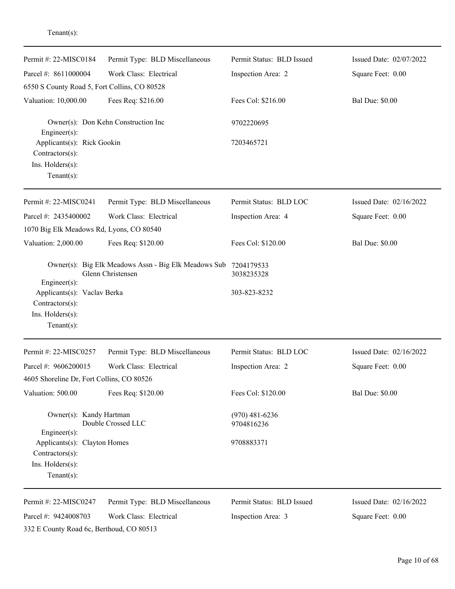| Permit #: 22-MISC0184                                                                                          | Permit Type: BLD Miscellaneous                                                       | Permit Status: BLD Issued      | Issued Date: 02/07/2022 |
|----------------------------------------------------------------------------------------------------------------|--------------------------------------------------------------------------------------|--------------------------------|-------------------------|
| Parcel #: 8611000004                                                                                           | Work Class: Electrical                                                               | Inspection Area: 2             | Square Feet: 0.00       |
| 6550 S County Road 5, Fort Collins, CO 80528                                                                   |                                                                                      |                                |                         |
| Valuation: 10,000.00                                                                                           | Fees Req: \$216.00                                                                   | Fees Col: \$216.00             | <b>Bal Due: \$0.00</b>  |
| Engineer(s):                                                                                                   | Owner(s): Don Kehn Construction Inc                                                  | 9702220695                     |                         |
| Applicants(s): Rick Gookin<br>Contractors(s):<br>Ins. Holders(s):<br>Tenant $(s)$ :                            |                                                                                      | 7203465721                     |                         |
| Permit #: 22-MISC0241                                                                                          | Permit Type: BLD Miscellaneous                                                       | Permit Status: BLD LOC         | Issued Date: 02/16/2022 |
| Parcel #: 2435400002                                                                                           | Work Class: Electrical                                                               | Inspection Area: 4             | Square Feet: 0.00       |
| 1070 Big Elk Meadows Rd, Lyons, CO 80540                                                                       |                                                                                      |                                |                         |
| Valuation: 2,000.00                                                                                            | Fees Req: \$120.00                                                                   | Fees Col: \$120.00             | <b>Bal Due: \$0.00</b>  |
| Engineer(s):                                                                                                   | Owner(s): Big Elk Meadows Assn - Big Elk Meadows Sub 7204179533<br>Glenn Christensen | 3038235328                     |                         |
| Applicants(s): Vaclav Berka<br>Contractors(s):<br>Ins. Holders(s):                                             |                                                                                      | 303-823-8232                   |                         |
| Tenant $(s)$ :<br>Permit #: 22-MISC0257                                                                        |                                                                                      | Permit Status: BLD LOC         | Issued Date: 02/16/2022 |
|                                                                                                                | Permit Type: BLD Miscellaneous                                                       |                                |                         |
| Parcel #: 9606200015                                                                                           | Work Class: Electrical                                                               | Inspection Area: 2             | Square Feet: 0.00       |
| 4605 Shoreline Dr, Fort Collins, CO 80526<br>Valuation: 500.00                                                 | Fees Req: \$120.00                                                                   | Fees Col: \$120.00             | <b>Bal Due: \$0.00</b>  |
| Owner(s): Kandy Hartman                                                                                        | Double Crossed LLC                                                                   | $(970)$ 481-6236<br>9704816236 |                         |
| $Engineering(s)$ :<br>Applicants(s): Clayton Homes<br>$Contractors(s)$ :<br>Ins. Holders(s):<br>Tenant $(s)$ : |                                                                                      | 9708883371                     |                         |
| Permit #: 22-MISC0247                                                                                          | Permit Type: BLD Miscellaneous                                                       | Permit Status: BLD Issued      | Issued Date: 02/16/2022 |
| Parcel #: 9424008703                                                                                           | Work Class: Electrical                                                               | Inspection Area: 3             | Square Feet: 0.00       |

Tenant(s):

332 E County Road 6c, Berthoud, CO 80513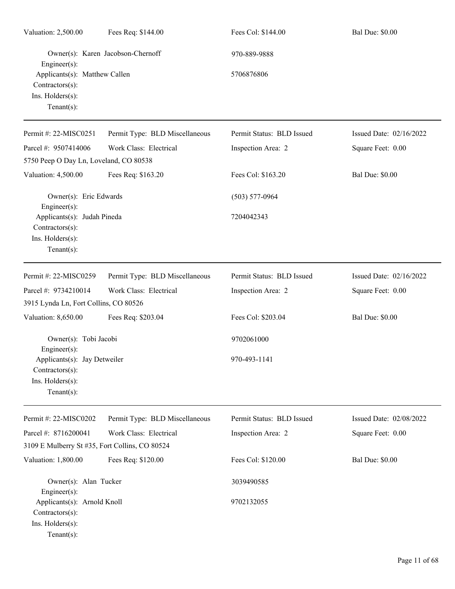| Valuation: 2,500.00                                                                                   | Fees Req: \$144.00                | Fees Col: \$144.00         | <b>Bal Due: \$0.00</b>  |
|-------------------------------------------------------------------------------------------------------|-----------------------------------|----------------------------|-------------------------|
| Engineer(s):<br>Applicants(s): Matthew Callen<br>Contractors(s):<br>Ins. Holders(s):<br>$Tenant(s)$ : | Owner(s): Karen Jacobson-Chernoff | 970-889-9888<br>5706876806 |                         |
| Permit #: 22-MISC0251                                                                                 | Permit Type: BLD Miscellaneous    | Permit Status: BLD Issued  | Issued Date: 02/16/2022 |
| Parcel #: 9507414006                                                                                  | Work Class: Electrical            | Inspection Area: 2         | Square Feet: 0.00       |
| 5750 Peep O Day Ln, Loveland, CO 80538                                                                |                                   |                            |                         |
| Valuation: 4,500.00                                                                                   | Fees Req: \$163.20                | Fees Col: \$163.20         | <b>Bal Due: \$0.00</b>  |
| Owner(s): Eric Edwards<br>Engineer(s):                                                                |                                   | $(503)$ 577-0964           |                         |
| Applicants(s): Judah Pineda<br>Contractors(s):<br>Ins. Holders(s):<br>$Tenant(s)$ :                   |                                   | 7204042343                 |                         |
| Permit #: 22-MISC0259                                                                                 | Permit Type: BLD Miscellaneous    | Permit Status: BLD Issued  | Issued Date: 02/16/2022 |
| Parcel #: 9734210014                                                                                  | Work Class: Electrical            | Inspection Area: 2         | Square Feet: 0.00       |
| 3915 Lynda Ln, Fort Collins, CO 80526                                                                 |                                   |                            |                         |
| Valuation: 8,650.00                                                                                   | Fees Req: \$203.04                | Fees Col: \$203.04         | <b>Bal Due: \$0.00</b>  |
| Owner(s): Tobi Jacobi<br>Engineer(s):                                                                 |                                   | 9702061000                 |                         |
| Applicants(s): Jay Detweiler<br>Contractors(s):<br>Ins. Holders(s):<br>$Tenant(s)$ :                  |                                   | 970-493-1141               |                         |
| Permit #: 22-MISC0202                                                                                 | Permit Type: BLD Miscellaneous    | Permit Status: BLD Issued  | Issued Date: 02/08/2022 |
| Parcel #: 8716200041                                                                                  | Work Class: Electrical            | Inspection Area: 2         | Square Feet: 0.00       |
| 3109 E Mulberry St #35, Fort Collins, CO 80524                                                        |                                   |                            |                         |
| Valuation: 1,800.00                                                                                   | Fees Req: \$120.00                | Fees Col: \$120.00         | <b>Bal Due: \$0.00</b>  |
| Owner(s): Alan Tucker<br>Engineer(s):                                                                 |                                   | 3039490585                 |                         |
| Applicants(s): Arnold Knoll<br>Contractors(s):<br>Ins. Holders(s):<br>$Tenant(s)$ :                   |                                   | 9702132055                 |                         |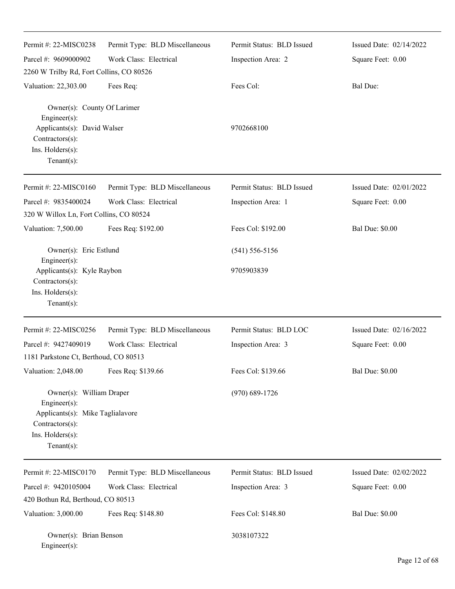| Permit #: 22-MISC0238                                                                                                                 | Permit Type: BLD Miscellaneous | Permit Status: BLD Issued | Issued Date: 02/14/2022 |
|---------------------------------------------------------------------------------------------------------------------------------------|--------------------------------|---------------------------|-------------------------|
| Parcel #: 9609000902                                                                                                                  | Work Class: Electrical         | Inspection Area: 2        | Square Feet: 0.00       |
| 2260 W Trilby Rd, Fort Collins, CO 80526                                                                                              |                                |                           |                         |
| Valuation: 22,303.00                                                                                                                  | Fees Req:                      | Fees Col:                 | <b>Bal Due:</b>         |
| Owner(s): County Of Larimer<br>Engineer(s):<br>Applicants(s): David Walser<br>Contractors(s):<br>Ins. Holders(s):<br>Tenant $(s)$ :   |                                | 9702668100                |                         |
| Permit #: 22-MISC0160                                                                                                                 | Permit Type: BLD Miscellaneous | Permit Status: BLD Issued | Issued Date: 02/01/2022 |
| Parcel #: 9835400024                                                                                                                  | Work Class: Electrical         | Inspection Area: 1        | Square Feet: 0.00       |
| 320 W Willox Ln, Fort Collins, CO 80524                                                                                               |                                |                           |                         |
| Valuation: 7,500.00                                                                                                                   | Fees Req: \$192.00             | Fees Col: \$192.00        | <b>Bal Due: \$0.00</b>  |
| Owner(s): Eric Estlund                                                                                                                |                                | $(541) 556 - 5156$        |                         |
| Engineer(s):<br>Applicants(s): Kyle Raybon<br>Contractors(s):<br>Ins. Holders(s):<br>Tenant $(s)$ :                                   |                                | 9705903839                |                         |
|                                                                                                                                       |                                |                           |                         |
| Permit #: 22-MISC0256                                                                                                                 | Permit Type: BLD Miscellaneous | Permit Status: BLD LOC    | Issued Date: 02/16/2022 |
| Parcel #: 9427409019                                                                                                                  | Work Class: Electrical         | Inspection Area: 3        | Square Feet: 0.00       |
| 1181 Parkstone Ct, Berthoud, CO 80513                                                                                                 |                                |                           |                         |
| Valuation: 2,048.00                                                                                                                   | Fees Req: \$139.66             | Fees Col: \$139.66        | <b>Bal Due: \$0.00</b>  |
| Owner(s): William Draper<br>Engineer(s):<br>Applicants(s): Mike Taglialavore<br>Contractors(s):<br>Ins. Holders(s):<br>Tenant $(s)$ : |                                | $(970) 689 - 1726$        |                         |
| Permit #: 22-MISC0170                                                                                                                 | Permit Type: BLD Miscellaneous | Permit Status: BLD Issued | Issued Date: 02/02/2022 |
| Parcel #: 9420105004                                                                                                                  | Work Class: Electrical         | Inspection Area: 3        | Square Feet: 0.00       |
| 420 Bothun Rd, Berthoud, CO 80513                                                                                                     |                                |                           |                         |
| Valuation: 3,000.00                                                                                                                   | Fees Req: \$148.80             | Fees Col: \$148.80        | <b>Bal Due: \$0.00</b>  |
| Owner(s): Brian Benson<br>Engineer(s):                                                                                                |                                | 3038107322                |                         |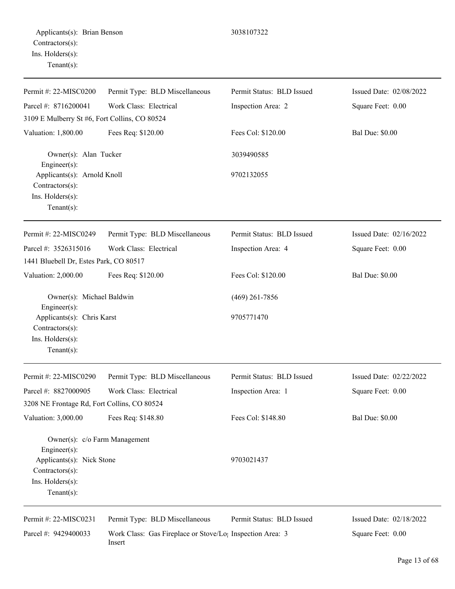Permit #: 22-MISC0200 Parcel #: 8716200041 Permit Type: BLD Miscellaneous Work Class: Electrical Permit Status: BLD Issued Inspection Area: 2 Issued Date: 02/08/2022 Square Feet: 0.00 3109 E Mulberry St #6, Fort Collins, CO 80524 Valuation: 1,800.00 Fees Req: \$120.00 Fees Col: \$120.00 Bal Due: \$0.00 Owner(s): Alan Tucker 3039490585 Engineer(s): Applicants(s): Arnold Knoll 9702132055 Contractors(s): Ins. Holders(s): Tenant(s): Permit #: 22-MISC0249 Parcel #: 3526315016 Permit Type: BLD Miscellaneous Work Class: Electrical Permit Status: BLD Issued Inspection Area: 4 Issued Date: 02/16/2022 Square Feet: 0.00 1441 Bluebell Dr, Estes Park, CO 80517 Valuation: 2,000.00 Fees Req: \$120.00 Fees Col: \$120.00 Bal Due: \$0.00 Owner(s): Michael Baldwin (469) 261-7856 Engineer(s): Applicants(s): Chris Karst 9705771470 Contractors(s): Ins. Holders(s): Tenant(s): Permit #: 22-MISC0290 Parcel #: 8827000905 Permit Type: BLD Miscellaneous Work Class: Electrical Permit Status: BLD Issued Inspection Area: 1 Issued Date: 02/22/2022 Square Feet: 0.00 3208 NE Frontage Rd, Fort Collins, CO 80524 Valuation: 3,000.00 Fees Req: \$148.80 Fees Col: \$148.80 Bal Due: \$0.00 Owner(s): c/o Farm Management Engineer(s): Applicants(s): Nick Stone 9703021437 Contractors(s): Ins. Holders(s): Tenant(s): Permit #: 22-MISC0231 Permit Type: BLD Miscellaneous Permit Status: BLD Issued Issued Date: 02/18/2022

Parcel #: 9429400033 Work Class: Gas Fireplace or Stove/Log Inspection Area: 3 Insert

Square Feet: 0.00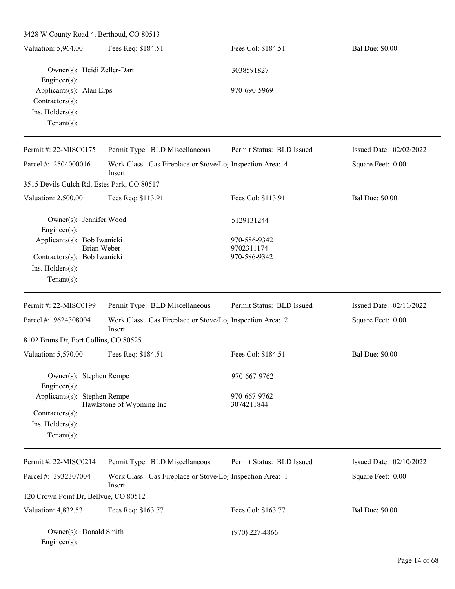| 3428 W County Road 4, Berthoud, CO 80513                                             |                                                                                 |                            |                         |  |  |
|--------------------------------------------------------------------------------------|---------------------------------------------------------------------------------|----------------------------|-------------------------|--|--|
| Valuation: 5,964.00                                                                  | Fees Req: \$184.51                                                              | Fees Col: \$184.51         | <b>Bal Due: \$0.00</b>  |  |  |
| Owner(s): Heidi Zeller-Dart<br>Engineer(s):                                          |                                                                                 | 3038591827                 |                         |  |  |
| Applicants(s): Alan Erps<br>$Contractors(s)$ :<br>Ins. Holders(s):<br>Tenant $(s)$ : |                                                                                 | 970-690-5969               |                         |  |  |
| Permit #: 22-MISC0175                                                                | Permit Type: BLD Miscellaneous                                                  | Permit Status: BLD Issued  | Issued Date: 02/02/2022 |  |  |
| Parcel #: 2504000016                                                                 | Work Class: Gas Fireplace or Stove/Lo <sub>1</sub> Inspection Area: 4<br>Insert |                            | Square Feet: 0.00       |  |  |
| 3515 Devils Gulch Rd, Estes Park, CO 80517                                           |                                                                                 |                            |                         |  |  |
| Valuation: 2,500.00                                                                  | Fees Req: \$113.91                                                              | Fees Col: \$113.91         | <b>Bal Due: \$0.00</b>  |  |  |
| Owner(s): Jennifer Wood<br>Engineer(s):                                              |                                                                                 | 5129131244                 |                         |  |  |
| Applicants(s): Bob Iwanicki                                                          |                                                                                 | 970-586-9342               |                         |  |  |
| Brian Weber<br>Contractors(s): Bob Iwanicki                                          |                                                                                 | 9702311174<br>970-586-9342 |                         |  |  |
| Ins. Holders(s):                                                                     |                                                                                 |                            |                         |  |  |
| Tenant $(s)$ :                                                                       |                                                                                 |                            |                         |  |  |
| Permit #: 22-MISC0199                                                                | Permit Type: BLD Miscellaneous                                                  | Permit Status: BLD Issued  | Issued Date: 02/11/2022 |  |  |
| Parcel #: 9624308004                                                                 | Work Class: Gas Fireplace or Stove/Lo <sub>1</sub> Inspection Area: 2<br>Insert |                            | Square Feet: 0.00       |  |  |
| 8102 Bruns Dr, Fort Collins, CO 80525                                                |                                                                                 |                            |                         |  |  |
| Valuation: 5,570.00                                                                  | Fees Req: \$184.51                                                              | Fees Col: \$184.51         | <b>Bal Due: \$0.00</b>  |  |  |
| Owner(s): Stephen Rempe<br>Engineer(s):                                              |                                                                                 | 970-667-9762               |                         |  |  |
| Applicants(s): Stephen Rempe<br>Contractors(s):<br>Ins. Holders(s):                  | Hawkstone of Wyoming Inc                                                        | 970-667-9762<br>3074211844 |                         |  |  |
| Tenant $(s)$ :                                                                       |                                                                                 |                            |                         |  |  |
| Permit #: 22-MISC0214                                                                | Permit Type: BLD Miscellaneous                                                  | Permit Status: BLD Issued  | Issued Date: 02/10/2022 |  |  |
| Parcel #: 3932307004                                                                 | Work Class: Gas Fireplace or Stove/Lo <sub>1</sub> Inspection Area: 1<br>Insert |                            | Square Feet: 0.00       |  |  |
| 120 Crown Point Dr, Bellvue, CO 80512                                                |                                                                                 |                            |                         |  |  |
| Valuation: 4,832.53                                                                  | Fees Req: \$163.77                                                              | Fees Col: \$163.77         | <b>Bal Due: \$0.00</b>  |  |  |
| Owner(s): Donald Smith<br>Engineer(s):                                               |                                                                                 | $(970)$ 227-4866           |                         |  |  |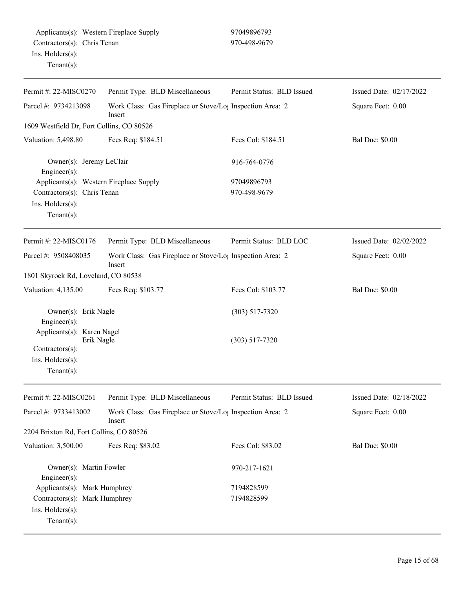| Permit #: 22-MISC0270                                                                            | Permit Type: BLD Miscellaneous                                                  | Permit Status: BLD Issued | Issued Date: 02/17/2022 |
|--------------------------------------------------------------------------------------------------|---------------------------------------------------------------------------------|---------------------------|-------------------------|
| Parcel #: 9734213098                                                                             | Work Class: Gas Fireplace or Stove/Lo <sub>1</sub> Inspection Area: 2<br>Insert |                           | Square Feet: 0.00       |
| 1609 Westfield Dr, Fort Collins, CO 80526                                                        |                                                                                 |                           |                         |
| Valuation: 5,498.80                                                                              | Fees Req: \$184.51                                                              | Fees Col: \$184.51        | <b>Bal Due: \$0.00</b>  |
| Owner(s): Jeremy LeClair<br>Engineer $(s)$ :                                                     |                                                                                 | 916-764-0776              |                         |
| Applicants(s): Western Fireplace Supply                                                          |                                                                                 | 97049896793               |                         |
| Contractors(s): Chris Tenan<br>Ins. Holders(s):<br>Tenant $(s)$ :                                |                                                                                 | 970-498-9679              |                         |
| Permit #: 22-MISC0176                                                                            | Permit Type: BLD Miscellaneous                                                  | Permit Status: BLD LOC    | Issued Date: 02/02/2022 |
| Parcel #: 9508408035                                                                             | Work Class: Gas Fireplace or Stove/Lo <sub>1</sub> Inspection Area: 2<br>Insert |                           | Square Feet: 0.00       |
| 1801 Skyrock Rd, Loveland, CO 80538                                                              |                                                                                 |                           |                         |
| Valuation: 4,135.00                                                                              | Fees Req: \$103.77                                                              | Fees Col: \$103.77        | <b>Bal Due: \$0.00</b>  |
| Owner(s): Erik Nagle<br>$Engineering(s)$ :                                                       |                                                                                 | $(303)$ 517-7320          |                         |
| Applicants(s): Karen Nagel<br>Erik Nagle<br>Contractors(s):<br>Ins. Holders(s):<br>$Tenant(s)$ : |                                                                                 | $(303) 517 - 7320$        |                         |
| Permit #: 22-MISC0261                                                                            | Permit Type: BLD Miscellaneous                                                  | Permit Status: BLD Issued | Issued Date: 02/18/2022 |
| Parcel #: 9733413002                                                                             | Work Class: Gas Fireplace or Stove/Lo <sub>1</sub> Inspection Area: 2<br>Insert |                           | Square Feet: 0.00       |
| 2204 Brixton Rd, Fort Collins, CO 80526                                                          |                                                                                 |                           |                         |
| Valuation: 3,500.00                                                                              | Fees Req: \$83.02                                                               | Fees Col: \$83.02         | <b>Bal Due: \$0.00</b>  |
| Owner(s): Martin Fowler<br>$Engineering(s)$ :                                                    |                                                                                 | 970-217-1621              |                         |
| Applicants(s): Mark Humphrey                                                                     |                                                                                 | 7194828599                |                         |
| Contractors(s): Mark Humphrey<br>Ins. Holders(s):<br>Tenant $(s)$ :                              |                                                                                 | 7194828599                |                         |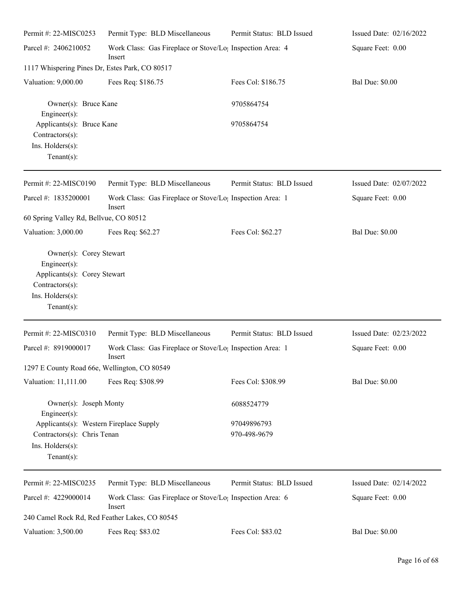| Permit #: 22-MISC0253                                                                                                              | Permit Type: BLD Miscellaneous                                                  | Permit Status: BLD Issued | Issued Date: 02/16/2022 |
|------------------------------------------------------------------------------------------------------------------------------------|---------------------------------------------------------------------------------|---------------------------|-------------------------|
| Parcel #: 2406210052                                                                                                               | Work Class: Gas Fireplace or Stove/Lo <sub>1</sub> Inspection Area: 4<br>Insert |                           | Square Feet: 0.00       |
| 1117 Whispering Pines Dr, Estes Park, CO 80517                                                                                     |                                                                                 |                           |                         |
| Valuation: 9,000.00                                                                                                                | Fees Req: \$186.75                                                              | Fees Col: \$186.75        | <b>Bal Due: \$0.00</b>  |
| Owner(s): Bruce Kane<br>Engineer(s):                                                                                               |                                                                                 | 9705864754                |                         |
| Applicants(s): Bruce Kane<br>Contractors(s):                                                                                       |                                                                                 | 9705864754                |                         |
| Ins. Holders(s):<br>Tenant $(s)$ :                                                                                                 |                                                                                 |                           |                         |
| Permit #: 22-MISC0190                                                                                                              | Permit Type: BLD Miscellaneous                                                  | Permit Status: BLD Issued | Issued Date: 02/07/2022 |
| Parcel #: 1835200001                                                                                                               | Work Class: Gas Fireplace or Stove/Lo <sub>1</sub> Inspection Area: 1<br>Insert |                           | Square Feet: 0.00       |
| 60 Spring Valley Rd, Bellvue, CO 80512                                                                                             |                                                                                 |                           |                         |
| Valuation: 3,000.00                                                                                                                | Fees Req: \$62.27                                                               | Fees Col: \$62.27         | <b>Bal Due: \$0.00</b>  |
| Owner(s): Corey Stewart<br>Engineer(s):<br>Applicants(s): Corey Stewart<br>$Contractors(s)$ :<br>Ins. Holders(s):<br>$Tenant(s)$ : |                                                                                 |                           |                         |
| Permit #: $22-MISCO310$                                                                                                            | Permit Type: BLD Miscellaneous                                                  | Permit Status: BLD Issued | Issued Date: 02/23/2022 |
| Parcel #: 8919000017                                                                                                               | Work Class: Gas Fireplace or Stove/Lo <sub>1</sub> Inspection Area: 1<br>Insert |                           | Square Feet: 0.00       |
| 1297 E County Road 66e, Wellington, CO 80549                                                                                       |                                                                                 |                           |                         |
| Valuation: 11,111.00                                                                                                               | Fees Req: \$308.99                                                              | Fees Col: \$308.99        | <b>Bal Due: \$0.00</b>  |
| Owner(s): Joseph Monty<br>$Engineering(s)$ :                                                                                       |                                                                                 | 6088524779                |                         |
| Applicants(s): Western Fireplace Supply                                                                                            |                                                                                 | 97049896793               |                         |
| Contractors(s): Chris Tenan                                                                                                        |                                                                                 | 970-498-9679              |                         |
| Ins. Holders(s):<br>Tenant $(s)$ :                                                                                                 |                                                                                 |                           |                         |
| Permit #: 22-MISC0235                                                                                                              | Permit Type: BLD Miscellaneous                                                  | Permit Status: BLD Issued | Issued Date: 02/14/2022 |
| Parcel #: 4229000014                                                                                                               | Work Class: Gas Fireplace or Stove/Lo <sub>1</sub> Inspection Area: 6<br>Insert |                           | Square Feet: 0.00       |
| 240 Camel Rock Rd, Red Feather Lakes, CO 80545                                                                                     |                                                                                 |                           |                         |
| Valuation: 3,500.00                                                                                                                | Fees Req: \$83.02                                                               | Fees Col: \$83.02         | <b>Bal Due: \$0.00</b>  |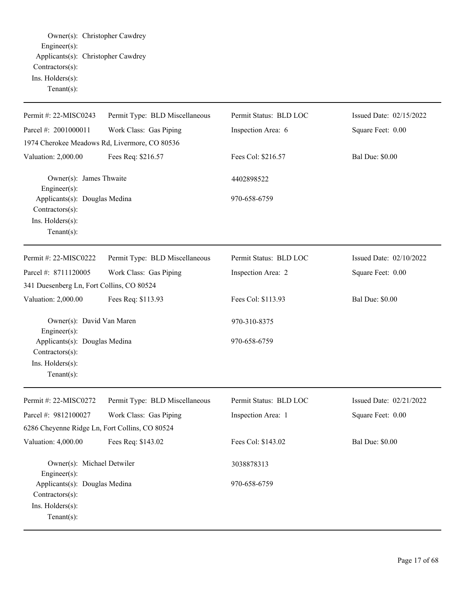Owner(s): Christopher Cawdrey Engineer(s): Applicants(s): Christopher Cawdrey Contractors(s): Ins. Holders(s): Tenant(s):

| Permit #: 22-MISC0243                                                                  | Permit Type: BLD Miscellaneous | Permit Status: BLD LOC | Issued Date: 02/15/2022 |
|----------------------------------------------------------------------------------------|--------------------------------|------------------------|-------------------------|
| Parcel #: 2001000011                                                                   | Work Class: Gas Piping         | Inspection Area: 6     | Square Feet: 0.00       |
| 1974 Cherokee Meadows Rd, Livermore, CO 80536                                          |                                |                        |                         |
| Valuation: 2,000.00                                                                    | Fees Req: \$216.57             | Fees Col: \$216.57     | <b>Bal Due: \$0.00</b>  |
| Owner(s): James Thwaite<br>Engineer(s):                                                |                                | 4402898522             |                         |
| Applicants(s): Douglas Medina<br>Contractors(s):<br>Ins. Holders(s):<br>$Tenant(s)$ :  |                                | 970-658-6759           |                         |
| Permit #: 22-MISC0222                                                                  | Permit Type: BLD Miscellaneous | Permit Status: BLD LOC | Issued Date: 02/10/2022 |
| Parcel #: 8711120005                                                                   | Work Class: Gas Piping         | Inspection Area: 2     | Square Feet: 0.00       |
| 341 Duesenberg Ln, Fort Collins, CO 80524                                              |                                |                        |                         |
| Valuation: 2,000.00                                                                    | Fees Req: \$113.93             | Fees Col: \$113.93     | <b>Bal Due: \$0.00</b>  |
| Owner(s): David Van Maren<br>Engineer(s):                                              |                                | 970-310-8375           |                         |
| Applicants(s): Douglas Medina<br>Contractors(s):<br>Ins. Holders(s):<br>Tenant $(s)$ : |                                | 970-658-6759           |                         |
| Permit #: 22-MISC0272                                                                  | Permit Type: BLD Miscellaneous | Permit Status: BLD LOC | Issued Date: 02/21/2022 |
| Parcel #: 9812100027                                                                   | Work Class: Gas Piping         | Inspection Area: 1     | Square Feet: 0.00       |
| 6286 Cheyenne Ridge Ln, Fort Collins, CO 80524                                         |                                |                        |                         |
| Valuation: 4,000.00                                                                    | Fees Req: \$143.02             | Fees Col: \$143.02     | <b>Bal Due: \$0.00</b>  |
| Owner(s): Michael Detwiler<br>Engineer $(s)$ :                                         |                                | 3038878313             |                         |
| Applicants(s): Douglas Medina<br>Contractors(s):<br>Ins. Holders(s):<br>Tenant $(s)$ : |                                | 970-658-6759           |                         |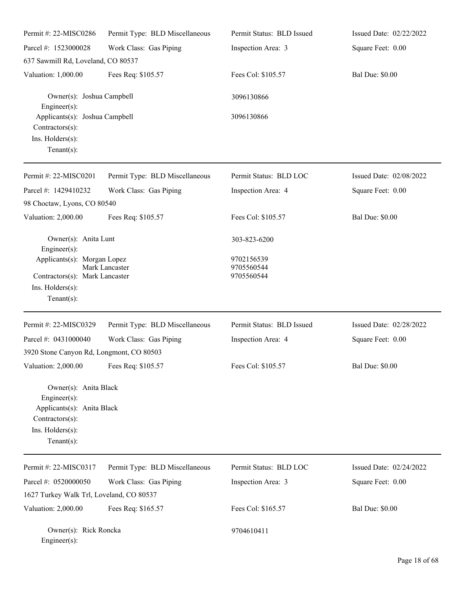| Permit #: 22-MISC0286                                                                                                       | Permit Type: BLD Miscellaneous | Permit Status: BLD Issued | Issued Date: 02/22/2022 |  |
|-----------------------------------------------------------------------------------------------------------------------------|--------------------------------|---------------------------|-------------------------|--|
| Parcel #: 1523000028                                                                                                        | Work Class: Gas Piping         | Inspection Area: 3        | Square Feet: 0.00       |  |
| 637 Sawmill Rd, Loveland, CO 80537                                                                                          |                                |                           |                         |  |
| Valuation: 1,000.00                                                                                                         | Fees Req: \$105.57             | Fees Col: \$105.57        | <b>Bal Due: \$0.00</b>  |  |
| Owner(s): Joshua Campbell<br>$Engineering(s)$ :                                                                             |                                | 3096130866                |                         |  |
| Applicants(s): Joshua Campbell<br>Contractors(s):<br>Ins. Holders(s):<br>$Tenant(s)$ :                                      |                                | 3096130866                |                         |  |
| Permit #: 22-MISC0201                                                                                                       | Permit Type: BLD Miscellaneous | Permit Status: BLD LOC    | Issued Date: 02/08/2022 |  |
| Parcel #: 1429410232                                                                                                        | Work Class: Gas Piping         | Inspection Area: 4        | Square Feet: 0.00       |  |
| 98 Choctaw, Lyons, CO 80540                                                                                                 |                                |                           |                         |  |
| Valuation: 2,000.00                                                                                                         | Fees Req: \$105.57             | Fees Col: \$105.57        | <b>Bal Due: \$0.00</b>  |  |
| Owner(s): Anita Lunt<br>Engineer(s):                                                                                        |                                | 303-823-6200              |                         |  |
| Applicants(s): Morgan Lopez<br>Mark Lancaster<br>Contractors(s): Mark Lancaster                                             |                                | 9702156539                |                         |  |
|                                                                                                                             |                                | 9705560544<br>9705560544  |                         |  |
| Ins. Holders(s):                                                                                                            |                                |                           |                         |  |
| Tenant $(s)$ :                                                                                                              |                                |                           |                         |  |
| Permit #: 22-MISC0329                                                                                                       | Permit Type: BLD Miscellaneous | Permit Status: BLD Issued | Issued Date: 02/28/2022 |  |
| Parcel #: 0431000040                                                                                                        | Work Class: Gas Piping         | Inspection Area: 4        | Square Feet: 0.00       |  |
| 3920 Stone Canyon Rd, Longmont, CO 80503                                                                                    |                                |                           |                         |  |
| Valuation: 2,000.00                                                                                                         | Fees Req: \$105.57             | Fees Col: \$105.57        | <b>Bal Due: \$0.00</b>  |  |
| Owner(s): Anita Black<br>Engineer(s):<br>Applicants(s): Anita Black<br>Contractors(s):<br>Ins. Holders(s):<br>$Tenant(s)$ : |                                |                           |                         |  |
| Permit #: 22-MISC0317                                                                                                       | Permit Type: BLD Miscellaneous | Permit Status: BLD LOC    | Issued Date: 02/24/2022 |  |
| Parcel #: 0520000050                                                                                                        | Work Class: Gas Piping         | Inspection Area: 3        | Square Feet: 0.00       |  |
| 1627 Turkey Walk Trl, Loveland, CO 80537                                                                                    |                                |                           |                         |  |
| Valuation: 2,000.00                                                                                                         | Fees Req: \$165.57             | Fees Col: \$165.57        | <b>Bal Due: \$0.00</b>  |  |
| Owner(s): Rick Roncka                                                                                                       |                                | 9704610411                |                         |  |

Engineer(s):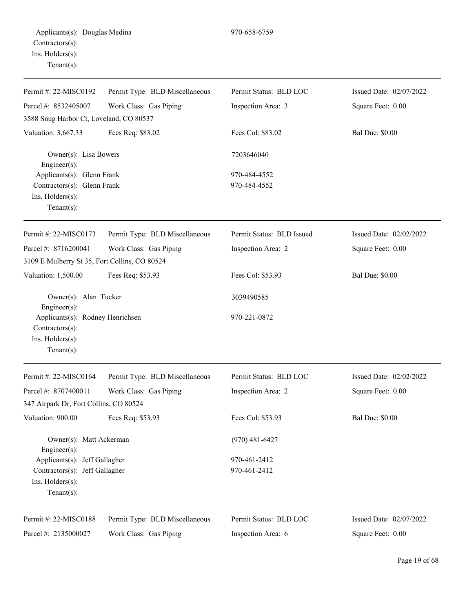| Permit #: 22-MISC0192                               | Permit Type: BLD Miscellaneous | Permit Status: BLD LOC    | Issued Date: 02/07/2022 |
|-----------------------------------------------------|--------------------------------|---------------------------|-------------------------|
| Parcel #: 8532405007                                | Work Class: Gas Piping         | Inspection Area: 3        | Square Feet: 0.00       |
| 3588 Snug Harbor Ct, Loveland, CO 80537             |                                |                           |                         |
| Valuation: 3,667.33                                 | Fees Req: \$83.02              | Fees Col: \$83.02         | <b>Bal Due: \$0.00</b>  |
| Owner(s): Lisa Bowers<br>Engineer(s):               |                                | 7203646040                |                         |
| Applicants(s): Glenn Frank                          |                                | 970-484-4552              |                         |
| Contractors(s): Glenn Frank                         |                                | 970-484-4552              |                         |
| Ins. Holders(s):<br>$Tenant(s)$ :                   |                                |                           |                         |
| Permit #: 22-MISC0173                               | Permit Type: BLD Miscellaneous | Permit Status: BLD Issued | Issued Date: 02/02/2022 |
| Parcel #: 8716200041                                | Work Class: Gas Piping         | Inspection Area: 2        | Square Feet: 0.00       |
| 3109 E Mulberry St 35, Fort Collins, CO 80524       |                                |                           |                         |
| Valuation: 1,500.00                                 | Fees Req: \$53.93              | Fees Col: \$53.93         | <b>Bal Due: \$0.00</b>  |
| Owner(s): Alan Tucker<br>Engineer(s):               |                                | 3039490585                |                         |
| Applicants(s): Rodney Henrichsen<br>Contractors(s): |                                | 970-221-0872              |                         |
| Ins. Holders(s):<br>$Tenant(s)$ :                   |                                |                           |                         |
| Permit #: 22-MISC0164                               | Permit Type: BLD Miscellaneous | Permit Status: BLD LOC    | Issued Date: 02/02/2022 |
| Parcel #: 8707400011                                | Work Class: Gas Piping         | Inspection Area: 2        | Square Feet: 0.00       |
| 347 Airpark Dr, Fort Collins, CO 80524              |                                |                           |                         |
| Valuation: 900.00                                   | Fees Req: \$53.93              | Fees Col: \$53.93         | <b>Bal Due: \$0.00</b>  |
| Owner(s): Matt Ackerman<br>Engineer(s):             |                                | $(970)$ 481-6427          |                         |
| Applicants(s): Jeff Gallagher                       |                                | 970-461-2412              |                         |
| Contractors(s): Jeff Gallagher                      |                                | 970-461-2412              |                         |
| Ins. Holders(s):                                    |                                |                           |                         |
| Tenant $(s)$ :                                      |                                |                           |                         |
| Permit #: 22-MISC0188                               | Permit Type: BLD Miscellaneous | Permit Status: BLD LOC    | Issued Date: 02/07/2022 |
| Parcel #: 2135000027                                | Work Class: Gas Piping         | Inspection Area: 6        | Square Feet: 0.00       |
|                                                     |                                |                           |                         |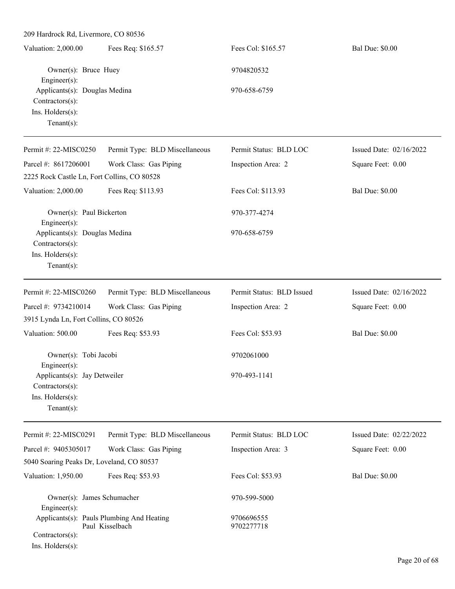| Valuation: 2,000.00                                                                    | Fees Req: \$165.57                                           | Fees Col: \$165.57        | <b>Bal Due: \$0.00</b>  |
|----------------------------------------------------------------------------------------|--------------------------------------------------------------|---------------------------|-------------------------|
| Owner(s): Bruce Huey<br>$Engineering(s)$ :                                             |                                                              | 9704820532                |                         |
| Applicants(s): Douglas Medina<br>Contractors(s):<br>Ins. Holders(s):<br>Tenant $(s)$ : |                                                              | 970-658-6759              |                         |
| Permit #: 22-MISC0250                                                                  | Permit Type: BLD Miscellaneous                               | Permit Status: BLD LOC    | Issued Date: 02/16/2022 |
| Parcel #: 8617206001<br>2225 Rock Castle Ln, Fort Collins, CO 80528                    | Work Class: Gas Piping                                       | Inspection Area: 2        | Square Feet: 0.00       |
| Valuation: 2,000.00                                                                    | Fees Req: \$113.93                                           | Fees Col: \$113.93        | <b>Bal Due: \$0.00</b>  |
| Owner(s): Paul Bickerton<br>$Engineering(s)$ :                                         |                                                              | 970-377-4274              |                         |
| Applicants(s): Douglas Medina<br>Contractors(s):<br>Ins. Holders(s):<br>Tenant $(s)$ : |                                                              | 970-658-6759              |                         |
| Permit #: 22-MISC0260                                                                  | Permit Type: BLD Miscellaneous                               | Permit Status: BLD Issued | Issued Date: 02/16/2022 |
| Parcel #: 9734210014                                                                   | Work Class: Gas Piping                                       | Inspection Area: 2        | Square Feet: 0.00       |
| 3915 Lynda Ln, Fort Collins, CO 80526                                                  |                                                              |                           |                         |
| Valuation: 500.00                                                                      | Fees Req: \$53.93                                            | Fees Col: \$53.93         | <b>Bal Due: \$0.00</b>  |
| Owner(s): Tobi Jacobi<br>Engineer(s):                                                  |                                                              | 9702061000                |                         |
| Applicants(s): Jay Detweiler<br>Contractors(s):<br>Ins. Holders(s):<br>Tenant $(s)$ :  |                                                              | 970-493-1141              |                         |
| Permit #: 22-MISC0291                                                                  | Permit Type: BLD Miscellaneous                               | Permit Status: BLD LOC    | Issued Date: 02/22/2022 |
| Parcel #: 9405305017                                                                   | Work Class: Gas Piping                                       | Inspection Area: 3        | Square Feet: 0.00       |
| 5040 Soaring Peaks Dr, Loveland, CO 80537                                              |                                                              |                           |                         |
| Valuation: 1,950.00                                                                    | Fees Req: \$53.93                                            | Fees Col: \$53.93         | <b>Bal Due: \$0.00</b>  |
| Owner(s): James Schumacher<br>Engineer(s):                                             |                                                              | 970-599-5000              |                         |
| Contractors(s):                                                                        | Applicants(s): Pauls Plumbing And Heating<br>Paul Kisselbach | 9706696555<br>9702277718  |                         |

Ins. Holders(s):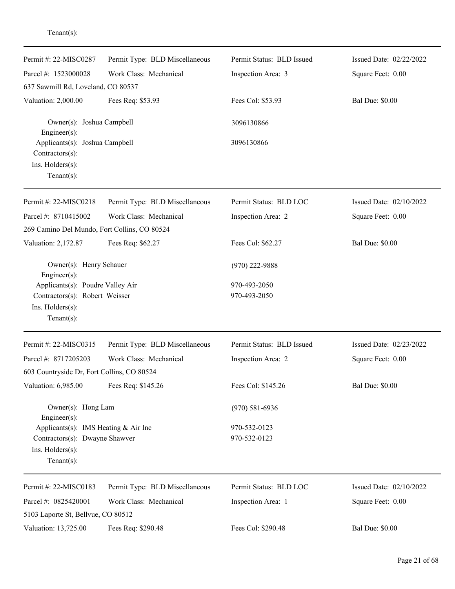| Permit #: 22-MISC0287                             | Permit Type: BLD Miscellaneous | Permit Status: BLD Issued | Issued Date: 02/22/2022 |
|---------------------------------------------------|--------------------------------|---------------------------|-------------------------|
| Parcel #: 1523000028                              | Work Class: Mechanical         | Inspection Area: 3        | Square Feet: 0.00       |
| 637 Sawmill Rd, Loveland, CO 80537                |                                |                           |                         |
| Valuation: 2,000.00                               | Fees Req: \$53.93              | Fees Col: \$53.93         | <b>Bal Due: \$0.00</b>  |
| Owner(s): Joshua Campbell<br>Engineer $(s)$ :     |                                | 3096130866                |                         |
| Applicants(s): Joshua Campbell<br>Contractors(s): |                                | 3096130866                |                         |
| Ins. Holders(s):                                  |                                |                           |                         |
| $Tenant(s)$ :                                     |                                |                           |                         |
| Permit #: 22-MISC0218                             | Permit Type: BLD Miscellaneous | Permit Status: BLD LOC    | Issued Date: 02/10/2022 |
| Parcel #: 8710415002                              | Work Class: Mechanical         | Inspection Area: 2        | Square Feet: 0.00       |
| 269 Camino Del Mundo, Fort Collins, CO 80524      |                                |                           |                         |
| Valuation: 2,172.87                               | Fees Req: \$62.27              | Fees Col: \$62.27         | <b>Bal Due: \$0.00</b>  |
| Owner(s): Henry Schauer<br>Engineer(s):           |                                | $(970)$ 222-9888          |                         |
| Applicants(s): Poudre Valley Air                  |                                | 970-493-2050              |                         |
| Contractors(s): Robert Weisser                    |                                | 970-493-2050              |                         |
| Ins. Holders(s):                                  |                                |                           |                         |
| $Tenant(s)$ :                                     |                                |                           |                         |
| Permit #: 22-MISC0315                             | Permit Type: BLD Miscellaneous | Permit Status: BLD Issued | Issued Date: 02/23/2022 |
| Parcel #: 8717205203                              | Work Class: Mechanical         | Inspection Area: 2        | Square Feet: 0.00       |
| 603 Countryside Dr, Fort Collins, CO 80524        |                                |                           |                         |
| Valuation: 6,985.00                               | Fees Req: \$145.26             | Fees Col: \$145.26        | <b>Bal Due: \$0.00</b>  |
| Owner(s): Hong Lam<br>Engineer(s):                |                                | $(970)$ 581-6936          |                         |
| Applicants(s): IMS Heating & Air Inc              |                                | 970-532-0123              |                         |
| Contractors(s): Dwayne Shawver                    |                                | 970-532-0123              |                         |
| Ins. Holders(s):<br>$Tenant(s)$ :                 |                                |                           |                         |
| Permit #: 22-MISC0183                             | Permit Type: BLD Miscellaneous | Permit Status: BLD LOC    | Issued Date: 02/10/2022 |
| Parcel #: 0825420001                              | Work Class: Mechanical         | Inspection Area: 1        | Square Feet: 0.00       |
| 5103 Laporte St, Bellvue, CO 80512                |                                |                           |                         |
| Valuation: 13,725.00                              | Fees Req: \$290.48             | Fees Col: \$290.48        | <b>Bal Due: \$0.00</b>  |

Tenant(s):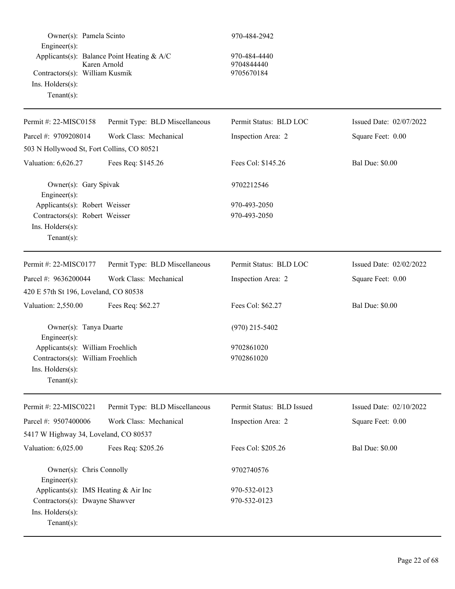| Owner(s): Pamela Scinto<br>Engineer(s):<br>Applicants(s): Balance Point Heating & A/C<br>Karen Arnold<br>Contractors(s): William Kusmik<br>Ins. Holders(s):<br>Tenant $(s)$ : |                                | 970-484-2942<br>970-484-4440<br>9704844440<br>9705670184 |                         |
|-------------------------------------------------------------------------------------------------------------------------------------------------------------------------------|--------------------------------|----------------------------------------------------------|-------------------------|
|                                                                                                                                                                               |                                | Permit Status: BLD LOC                                   |                         |
| Permit #: 22-MISC0158                                                                                                                                                         | Permit Type: BLD Miscellaneous |                                                          | Issued Date: 02/07/2022 |
| Parcel #: 9709208014                                                                                                                                                          | Work Class: Mechanical         | Inspection Area: 2                                       | Square Feet: 0.00       |
| 503 N Hollywood St, Fort Collins, CO 80521                                                                                                                                    |                                |                                                          |                         |
| Valuation: 6,626.27                                                                                                                                                           | Fees Req: \$145.26             | Fees Col: \$145.26                                       | <b>Bal Due: \$0.00</b>  |
| Owner(s): Gary Spivak<br>Engineer(s):                                                                                                                                         |                                | 9702212546                                               |                         |
| Applicants(s): Robert Weisser                                                                                                                                                 |                                | 970-493-2050                                             |                         |
| Contractors(s): Robert Weisser<br>Ins. Holders(s):<br>Tenant $(s)$ :                                                                                                          |                                | 970-493-2050                                             |                         |
| Permit #: 22-MISC0177                                                                                                                                                         | Permit Type: BLD Miscellaneous | Permit Status: BLD LOC                                   | Issued Date: 02/02/2022 |
| Parcel #: 9636200044                                                                                                                                                          | Work Class: Mechanical         | Inspection Area: 2                                       | Square Feet: 0.00       |
| 420 E 57th St 196, Loveland, CO 80538                                                                                                                                         |                                |                                                          |                         |
| Valuation: 2,550.00                                                                                                                                                           | Fees Req: \$62.27              | Fees Col: \$62.27                                        | <b>Bal Due: \$0.00</b>  |
| Owner(s): Tanya Duarte<br>Engineer(s):                                                                                                                                        |                                | $(970)$ 215-5402                                         |                         |
| Applicants(s): William Froehlich                                                                                                                                              |                                | 9702861020                                               |                         |
| Contractors(s): William Froehlich<br>$Ins.$ Holders $(s)$ :<br>Tenant $(s)$ :                                                                                                 |                                | 9702861020                                               |                         |
| Permit #: 22-MISC0221                                                                                                                                                         | Permit Type: BLD Miscellaneous | Permit Status: BLD Issued                                | Issued Date: 02/10/2022 |
| Parcel #: 9507400006                                                                                                                                                          | Work Class: Mechanical         | Inspection Area: 2                                       | Square Feet: 0.00       |
| 5417 W Highway 34, Loveland, CO 80537                                                                                                                                         |                                |                                                          |                         |
| Valuation: 6,025.00                                                                                                                                                           | Fees Req: \$205.26             | Fees Col: \$205.26                                       | <b>Bal Due: \$0.00</b>  |
| Owner(s): Chris Connolly<br>Engineer(s):                                                                                                                                      |                                | 9702740576                                               |                         |
| Applicants(s): IMS Heating & Air Inc                                                                                                                                          |                                | 970-532-0123                                             |                         |
| Contractors(s): Dwayne Shawver<br>Ins. Holders(s):<br>Tenant $(s)$ :                                                                                                          |                                | 970-532-0123                                             |                         |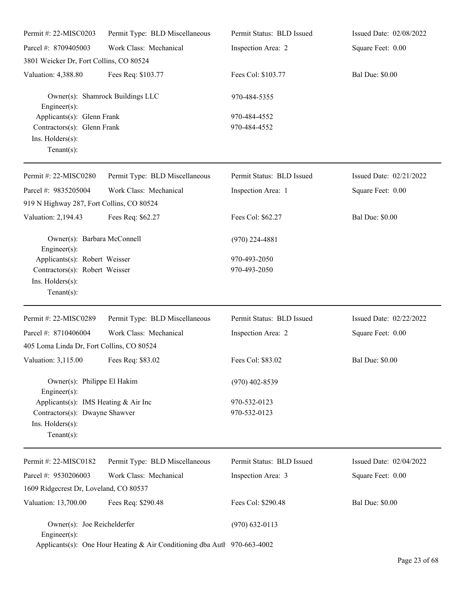| Permit #: 22-MISC0203                                                                                        | Permit Type: BLD Miscellaneous                                           | Permit Status: BLD Issued    | Issued Date: 02/08/2022 |
|--------------------------------------------------------------------------------------------------------------|--------------------------------------------------------------------------|------------------------------|-------------------------|
| Parcel #: 8709405003                                                                                         | Work Class: Mechanical                                                   | Inspection Area: 2           | Square Feet: 0.00       |
| 3801 Weicker Dr, Fort Collins, CO 80524                                                                      |                                                                          |                              |                         |
| Valuation: 4,388.80                                                                                          | Fees Req: \$103.77                                                       | Fees Col: \$103.77           | <b>Bal Due: \$0.00</b>  |
| $Engineering(s)$ :                                                                                           | Owner(s): Shamrock Buildings LLC                                         | 970-484-5355                 |                         |
| Applicants(s): Glenn Frank<br>Contractors(s): Glenn Frank<br>Ins. Holders(s):<br>Tenant $(s)$ :              |                                                                          | 970-484-4552<br>970-484-4552 |                         |
| Permit #: 22-MISC0280                                                                                        | Permit Type: BLD Miscellaneous                                           | Permit Status: BLD Issued    | Issued Date: 02/21/2022 |
| Parcel #: 9835205004<br>919 N Highway 287, Fort Collins, CO 80524                                            | Work Class: Mechanical                                                   | Inspection Area: 1           | Square Feet: 0.00       |
| Valuation: 2,194.43                                                                                          | Fees Req: \$62.27                                                        | Fees Col: \$62.27            | <b>Bal Due: \$0.00</b>  |
| Owner(s): Barbara McConnell<br>Engineer(s):                                                                  |                                                                          | $(970)$ 224-4881             |                         |
| Applicants(s): Robert Weisser<br>Contractors(s): Robert Weisser<br>Ins. Holders(s):<br>Tenant $(s)$ :        |                                                                          | 970-493-2050<br>970-493-2050 |                         |
| Permit #: 22-MISC0289                                                                                        | Permit Type: BLD Miscellaneous                                           | Permit Status: BLD Issued    | Issued Date: 02/22/2022 |
| Parcel #: 8710406004                                                                                         | Work Class: Mechanical                                                   | Inspection Area: 2           | Square Feet: 0.00       |
| 405 Loma Linda Dr, Fort Collins, CO 80524                                                                    |                                                                          |                              |                         |
| Valuation: 3,115.00                                                                                          | Fees Req: \$83.02                                                        | Fees Col: \$83.02            | <b>Bal Due: \$0.00</b>  |
| Owner(s): Philippe El Hakim<br>$Engineering(s)$ :                                                            |                                                                          | $(970)$ 402-8539             |                         |
| Applicants(s): IMS Heating & Air Inc<br>Contractors(s): Dwayne Shawver<br>Ins. Holders(s):<br>Tenant $(s)$ : |                                                                          | 970-532-0123<br>970-532-0123 |                         |
| Permit #: 22-MISC0182                                                                                        | Permit Type: BLD Miscellaneous                                           | Permit Status: BLD Issued    | Issued Date: 02/04/2022 |
| Parcel #: 9530206003                                                                                         | Work Class: Mechanical                                                   | Inspection Area: 3           | Square Feet: 0.00       |
| 1609 Ridgecrest Dr, Loveland, CO 80537                                                                       |                                                                          |                              |                         |
| Valuation: 13,700.00                                                                                         | Fees Req: \$290.48                                                       | Fees Col: \$290.48           | <b>Bal Due: \$0.00</b>  |
| Owner(s): Joe Reichelderfer<br>Engineer $(s)$ :                                                              |                                                                          | $(970) 632 - 0113$           |                         |
|                                                                                                              | Applicants(s): One Hour Heating & Air Conditioning dba Autl 970-663-4002 |                              |                         |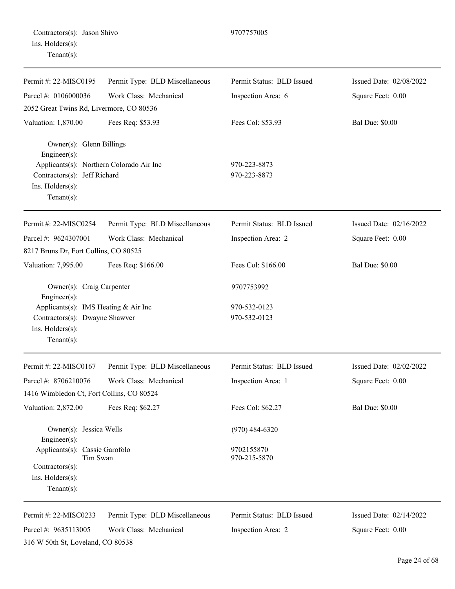| Contractors(s): Jason Shivo |  |
|-----------------------------|--|
| Ins. Holders(s):            |  |
| $Tenant(s)$ :               |  |

| Permit #: 22-MISC0195                                                                                                                                      | Permit Type: BLD Miscellaneous | Permit Status: BLD Issued    | Issued Date: 02/08/2022 |
|------------------------------------------------------------------------------------------------------------------------------------------------------------|--------------------------------|------------------------------|-------------------------|
| Parcel #: 0106000036                                                                                                                                       | Work Class: Mechanical         | Inspection Area: 6           | Square Feet: 0.00       |
| 2052 Great Twins Rd, Livermore, CO 80536                                                                                                                   |                                |                              |                         |
| Valuation: 1,870.00                                                                                                                                        | Fees Req: \$53.93              | Fees Col: \$53.93            | <b>Bal Due: \$0.00</b>  |
| Owner(s): Glenn Billings<br>Engineer(s):<br>Applicants(s): Northern Colorado Air Inc<br>Contractors(s): Jeff Richard<br>Ins. Holders(s):<br>Tenant $(s)$ : |                                | 970-223-8873<br>970-223-8873 |                         |
| Permit #: 22-MISC0254                                                                                                                                      | Permit Type: BLD Miscellaneous | Permit Status: BLD Issued    | Issued Date: 02/16/2022 |
| Parcel #: 9624307001                                                                                                                                       | Work Class: Mechanical         | Inspection Area: 2           | Square Feet: 0.00       |
| 8217 Bruns Dr, Fort Collins, CO 80525                                                                                                                      |                                |                              |                         |
| Valuation: 7,995.00                                                                                                                                        | Fees Req: \$166.00             | Fees Col: \$166.00           | <b>Bal Due: \$0.00</b>  |
| Owner(s): Craig Carpenter<br>Engineer(s):                                                                                                                  |                                | 9707753992                   |                         |
| Applicants(s): IMS Heating & Air Inc<br>Contractors(s): Dwayne Shawver<br>Ins. Holders(s):<br>Tenant $(s)$ :                                               |                                | 970-532-0123<br>970-532-0123 |                         |
| Permit #: 22-MISC0167                                                                                                                                      | Permit Type: BLD Miscellaneous | Permit Status: BLD Issued    | Issued Date: 02/02/2022 |
| Parcel #: 8706210076                                                                                                                                       | Work Class: Mechanical         | Inspection Area: 1           | Square Feet: 0.00       |
| 1416 Wimbledon Ct, Fort Collins, CO 80524                                                                                                                  |                                |                              |                         |
| Valuation: 2,872.00                                                                                                                                        | Fees Req: \$62.27              | Fees Col: \$62.27            | <b>Bal Due: \$0.00</b>  |
| Owner(s): Jessica Wells<br>Engineer(s):                                                                                                                    |                                | $(970)$ 484-6320             |                         |
| Applicants(s): Cassie Garofolo<br>Tim Swan<br>Contractors(s):<br>Ins. Holders(s):<br>$Tenant(s)$ :                                                         |                                | 9702155870<br>970-215-5870   |                         |
| Permit #: 22-MISC0233                                                                                                                                      | Permit Type: BLD Miscellaneous | Permit Status: BLD Issued    | Issued Date: 02/14/2022 |
| Parcel #: 9635113005                                                                                                                                       | Work Class: Mechanical         | Inspection Area: 2           | Square Feet: 0.00       |
| 316 W 50th St, Loveland, CO 80538                                                                                                                          |                                |                              |                         |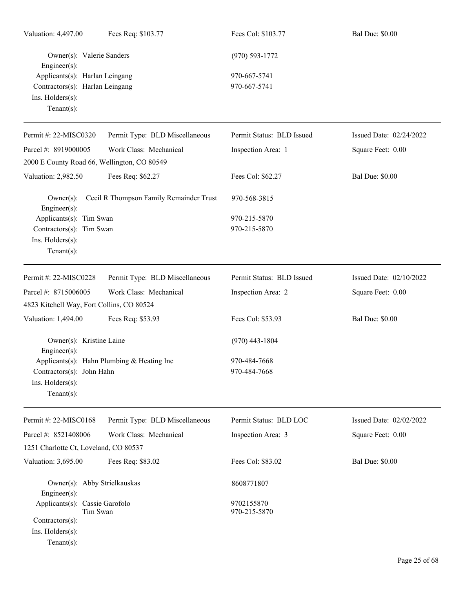| Valuation: 4,497.00                                                                                    | Fees Req: \$103.77                           | Fees Col: \$103.77           | <b>Bal Due: \$0.00</b>  |
|--------------------------------------------------------------------------------------------------------|----------------------------------------------|------------------------------|-------------------------|
| Owner(s): Valerie Sanders<br>Engineer(s):                                                              |                                              | $(970) 593 - 1772$           |                         |
| Applicants(s): Harlan Leingang<br>Contractors(s): Harlan Leingang<br>Ins. Holders(s):<br>$Tenant(s)$ : |                                              | 970-667-5741<br>970-667-5741 |                         |
| Permit #: 22-MISC0320                                                                                  | Permit Type: BLD Miscellaneous               | Permit Status: BLD Issued    | Issued Date: 02/24/2022 |
| Parcel #: 8919000005<br>2000 E County Road 66, Wellington, CO 80549                                    | Work Class: Mechanical                       | Inspection Area: 1           | Square Feet: 0.00       |
| Valuation: 2,982.50                                                                                    | Fees Req: \$62.27                            | Fees Col: \$62.27            | <b>Bal Due: \$0.00</b>  |
| $Owner(s)$ :<br>Engineer(s):                                                                           | Cecil R Thompson Family Remainder Trust      | 970-568-3815                 |                         |
| Applicants(s): Tim Swan<br>Contractors(s): Tim Swan<br>Ins. Holders(s):<br>$Tenant(s)$ :               |                                              | 970-215-5870<br>970-215-5870 |                         |
| Permit #: 22-MISC0228                                                                                  | Permit Type: BLD Miscellaneous               | Permit Status: BLD Issued    | Issued Date: 02/10/2022 |
| Parcel #: 8715006005<br>4823 Kitchell Way, Fort Collins, CO 80524                                      | Work Class: Mechanical                       | Inspection Area: 2           | Square Feet: 0.00       |
| Valuation: 1,494.00                                                                                    | Fees Req: \$53.93                            | Fees Col: \$53.93            | <b>Bal Due: \$0.00</b>  |
| Owner(s): Kristine Laine<br>$Engineering(s)$ :                                                         |                                              | $(970)$ 443-1804             |                         |
| Contractors(s): John Hahn<br>Ins. Holders(s):<br>$Tenant(s)$ :                                         | Applicants(s): Hahn Plumbing $&$ Heating Inc | 970-484-7668<br>970-484-7668 |                         |
| Permit #: 22-MISC0168                                                                                  | Permit Type: BLD Miscellaneous               | Permit Status: BLD LOC       | Issued Date: 02/02/2022 |
| Parcel #: 8521408006<br>1251 Charlotte Ct, Loveland, CO 80537                                          | Work Class: Mechanical                       | Inspection Area: 3           | Square Feet: 0.00       |
| Valuation: 3,695.00                                                                                    | Fees Req: \$83.02                            | Fees Col: \$83.02            | <b>Bal Due: \$0.00</b>  |
| Owner(s): Abby Strielkauskas<br>Engineer(s):                                                           |                                              | 8608771807                   |                         |
| Applicants(s): Cassie Garofolo<br>Tim Swan<br>Contractors(s):<br>Ins. Holders(s):<br>$Tenant(s)$ :     |                                              | 9702155870<br>970-215-5870   |                         |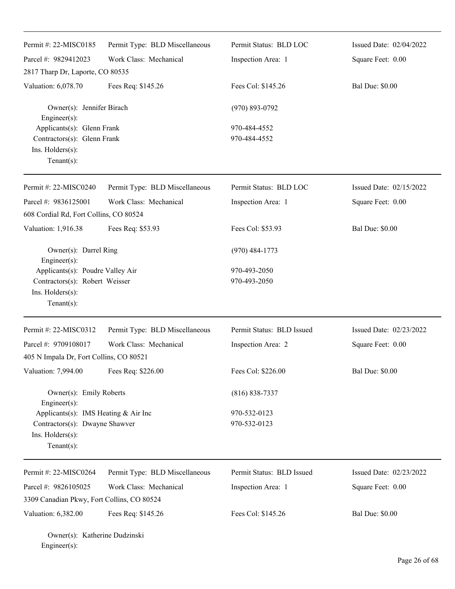| Permit #: 22-MISC0185                                                                                    | Permit Type: BLD Miscellaneous | Permit Status: BLD LOC       | Issued Date: 02/04/2022 |
|----------------------------------------------------------------------------------------------------------|--------------------------------|------------------------------|-------------------------|
| Parcel #: 9829412023<br>2817 Tharp Dr, Laporte, CO 80535                                                 | Work Class: Mechanical         | Inspection Area: 1           | Square Feet: 0.00       |
| Valuation: 6,078.70                                                                                      | Fees Req: \$145.26             | Fees Col: \$145.26           | <b>Bal Due: \$0.00</b>  |
| Owner(s): Jennifer Birach<br>Engineer(s):                                                                |                                | $(970) 893 - 0792$           |                         |
| Applicants(s): Glenn Frank<br>Contractors(s): Glenn Frank<br>Ins. Holders(s):<br>Tenant $(s)$ :          |                                | 970-484-4552<br>970-484-4552 |                         |
| Permit #: 22-MISC0240                                                                                    | Permit Type: BLD Miscellaneous | Permit Status: BLD LOC       | Issued Date: 02/15/2022 |
| Parcel #: 9836125001<br>608 Cordial Rd, Fort Collins, CO 80524                                           | Work Class: Mechanical         | Inspection Area: 1           | Square Feet: 0.00       |
| Valuation: 1,916.38                                                                                      | Fees Req: \$53.93              | Fees Col: \$53.93            | <b>Bal Due: \$0.00</b>  |
| Owner(s): Darrel Ring<br>Engineer(s):                                                                    |                                | $(970)$ 484-1773             |                         |
| Applicants(s): Poudre Valley Air<br>Contractors(s): Robert Weisser<br>Ins. Holders(s):<br>Tenant $(s)$ : |                                | 970-493-2050<br>970-493-2050 |                         |
| Permit #: 22-MISC0312                                                                                    | Permit Type: BLD Miscellaneous | Permit Status: BLD Issued    | Issued Date: 02/23/2022 |
| Parcel #: 9709108017                                                                                     | Work Class: Mechanical         | Inspection Area: 2           | Square Feet: 0.00       |
| 405 N Impala Dr, Fort Collins, CO 80521<br>Valuation: 7,994.00                                           | Fees Req: \$226.00             | Fees Col: \$226.00           | <b>Bal Due: \$0.00</b>  |
|                                                                                                          |                                |                              |                         |
| Owner(s): Emily Roberts<br>Engineer(s):                                                                  |                                | $(816) 838 - 7337$           |                         |
| Applicants(s): IMS Heating & Air Inc<br>Contractors(s): Dwayne Shawver<br>Ins. Holders(s):<br>Tenant(s): |                                | 970-532-0123<br>970-532-0123 |                         |
| Permit #: 22-MISC0264                                                                                    | Permit Type: BLD Miscellaneous | Permit Status: BLD Issued    | Issued Date: 02/23/2022 |
| Parcel #: 9826105025                                                                                     | Work Class: Mechanical         | Inspection Area: 1           | Square Feet: 0.00       |
| 3309 Canadian Pkwy, Fort Collins, CO 80524                                                               |                                |                              |                         |
| Valuation: 6,382.00                                                                                      | Fees Req: \$145.26             | Fees Col: \$145.26           | <b>Bal Due: \$0.00</b>  |

Owner(s): Katherine Dudzinski Engineer(s):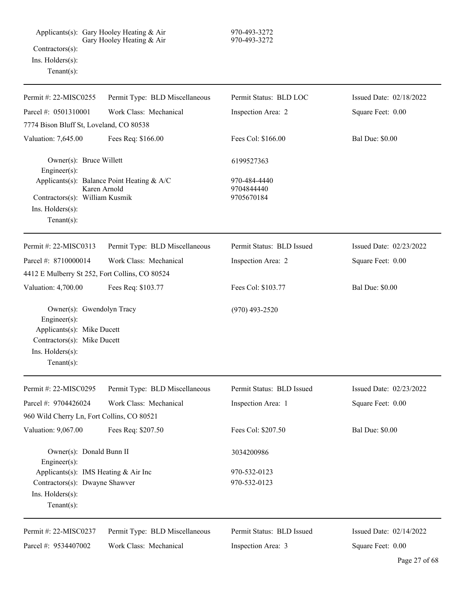Applicants(s): Gary Hooley Heating & Air 970-493-3272 Gary Hooley Heating & Air 970-493-3272 Contractors(s): Ins. Holders(s): Tenant(s):

| Permit #: 22-MISC0255                                                                                                                        | Permit Type: BLD Miscellaneous                             | Permit Status: BLD LOC                   | Issued Date: 02/18/2022 |
|----------------------------------------------------------------------------------------------------------------------------------------------|------------------------------------------------------------|------------------------------------------|-------------------------|
| Parcel #: 0501310001                                                                                                                         | Work Class: Mechanical                                     | Inspection Area: 2                       | Square Feet: 0.00       |
| 7774 Bison Bluff St, Loveland, CO 80538                                                                                                      |                                                            |                                          |                         |
| Valuation: 7,645.00                                                                                                                          | Fees Req: \$166.00                                         | Fees Col: \$166.00                       | <b>Bal Due: \$0.00</b>  |
| Owner(s): Bruce Willett<br>Engineer(s):                                                                                                      |                                                            | 6199527363                               |                         |
| Contractors(s): William Kusmik<br>Ins. Holders(s):<br>Tenant $(s)$ :                                                                         | Applicants(s): Balance Point Heating & A/C<br>Karen Arnold | 970-484-4440<br>9704844440<br>9705670184 |                         |
| Permit #: 22-MISC0313                                                                                                                        | Permit Type: BLD Miscellaneous                             | Permit Status: BLD Issued                | Issued Date: 02/23/2022 |
| Parcel #: 8710000014                                                                                                                         | Work Class: Mechanical                                     | Inspection Area: 2                       | Square Feet: 0.00       |
| 4412 E Mulberry St 252, Fort Collins, CO 80524                                                                                               |                                                            |                                          |                         |
| Valuation: 4,700.00                                                                                                                          | Fees Req: \$103.77                                         | Fees Col: \$103.77                       | <b>Bal Due: \$0.00</b>  |
| Owner(s): Gwendolyn Tracy<br>Engineer(s):<br>Applicants(s): Mike Ducett<br>Contractors(s): Mike Ducett<br>Ins. Holders(s):<br>Tenant $(s)$ : |                                                            | $(970)$ 493-2520                         |                         |
| Permit #: 22-MISC0295                                                                                                                        | Permit Type: BLD Miscellaneous                             | Permit Status: BLD Issued                | Issued Date: 02/23/2022 |
| Parcel #: 9704426024                                                                                                                         | Work Class: Mechanical                                     | Inspection Area: 1                       | Square Feet: 0.00       |
| 960 Wild Cherry Ln, Fort Collins, CO 80521                                                                                                   |                                                            |                                          |                         |
| Valuation: 9,067.00                                                                                                                          | Fees Req: \$207.50                                         | Fees Col: \$207.50                       | <b>Bal Due: \$0.00</b>  |
| Owner(s): Donald Bunn II<br>Engineer(s):                                                                                                     |                                                            | 3034200986                               |                         |
| Applicants(s): IMS Heating & Air Inc<br>Contractors(s): Dwayne Shawver<br>Ins. Holders(s):<br>$Tenant(s)$ :                                  |                                                            | 970-532-0123<br>970-532-0123             |                         |
| Permit #: 22-MISC0237                                                                                                                        | Permit Type: BLD Miscellaneous                             | Permit Status: BLD Issued                | Issued Date: 02/14/2022 |
| Parcel #: 9534407002                                                                                                                         | Work Class: Mechanical                                     | Inspection Area: 3                       | Square Feet: 0.00       |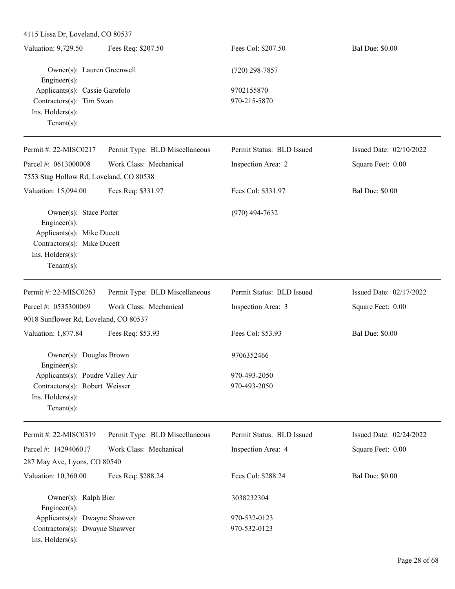| Valuation: 9,729.50            | Fees Req: \$207.50 | Fees Col: \$207.50 | <b>Bal Due: \$0.00</b> |
|--------------------------------|--------------------|--------------------|------------------------|
| Owner(s): Lauren Greenwell     |                    | $(720)$ 298-7857   |                        |
| Engineer $(s)$ :               |                    |                    |                        |
| Applicants(s): Cassie Garofolo |                    | 9702155870         |                        |
| Contractors(s): Tim Swan       |                    | 970-215-5870       |                        |
| Ins. $H$ olders $(s)$ :        |                    |                    |                        |
| Tenant $(s)$ :                 |                    |                    |                        |
|                                |                    |                    |                        |

| Permit #: $22-MISCO217$                        | Permit Type: BLD Miscellaneous | Permit Status: BLD Issued | Issued Date: $02/10/2022$ |
|------------------------------------------------|--------------------------------|---------------------------|---------------------------|
| Parcel #: $0613000008$                         | Work Class: Mechanical         | Inspection Area: 2        | Square Feet: 0.00         |
| 7553 Stag Hollow Rd, Loveland, CO 80538        |                                |                           |                           |
| Valuation: 15,094.00                           | Fees Req: \$331.97             | Fees Col: \$331.97        | <b>Bal Due: \$0.00</b>    |
| Owner(s): Stace Porter                         |                                | $(970)$ 494-7632          |                           |
| Engineer $(s)$ :<br>Applicants(s): Mike Ducett |                                |                           |                           |
| Contractors(s): Mike Ducett                    |                                |                           |                           |
| $Ins.$ Holders $(s)$ :                         |                                |                           |                           |
| $Tenant(s)$ :                                  |                                |                           |                           |

| Permit #: $22-MISCO263$                                | Permit Type: BLD Miscellaneous | Permit Status: BLD Issued | Issued Date: 02/17/2022 |
|--------------------------------------------------------|--------------------------------|---------------------------|-------------------------|
| Parcel #: $0535300069$                                 | Work Class: Mechanical         | Inspection Area: 3        | Square Feet: 0.00       |
| 9018 Sunflower Rd, Loveland, CO 80537                  |                                |                           |                         |
| Valuation: 1,877.84                                    | Fees Req: \$53.93              | Fees Col: \$53.93         | <b>Bal Due: \$0.00</b>  |
| Owner(s): Douglas Brown                                |                                | 9706352466                |                         |
| $Engineering(s)$ :<br>Applicants(s): Poudre Valley Air |                                | 970-493-2050              |                         |
| Contractors(s): Robert Weisser                         |                                | 970-493-2050              |                         |
| $Ins.$ Holders $(s)$ :                                 |                                |                           |                         |
| $Tenant(s)$ :                                          |                                |                           |                         |

| Permit #: $22-MISCO319$                    | Permit Type: BLD Miscellaneous | Permit Status: BLD Issued | Issued Date: $02/24/2022$ |
|--------------------------------------------|--------------------------------|---------------------------|---------------------------|
| Parcel #: $1429406017$                     | Work Class: Mechanical         | Inspection Area: 4        | Square Feet: 0.00         |
| 287 May Ave, Lyons, CO 80540               |                                |                           |                           |
| Valuation: 10,360.00                       | Fees Req: \$288.24             | Fees Col: \$288.24        | <b>Bal Due: \$0.00</b>    |
| Owner(s): Ralph Bier<br>$Engineering(s)$ : |                                | 3038232304                |                           |
| Applicants(s): Dwayne Shawver              |                                | 970-532-0123              |                           |
| Contractors(s): Dwayne Shawver             |                                | 970-532-0123              |                           |
| $Ins.$ Holders $(s)$ :                     |                                |                           |                           |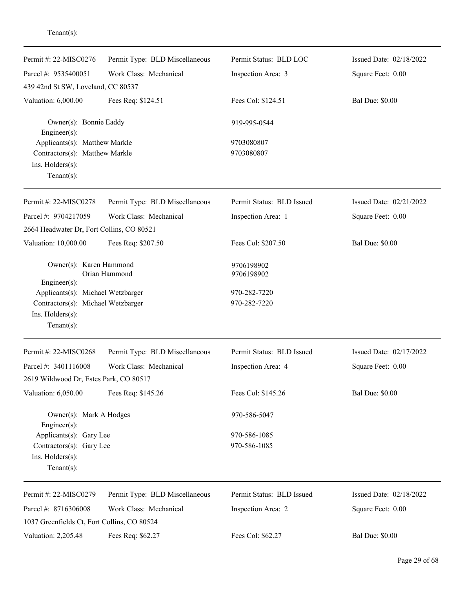| Permit #: 22-MISC0276                                                                                     | Permit Type: BLD Miscellaneous | Permit Status: BLD LOC       | Issued Date: 02/18/2022 |
|-----------------------------------------------------------------------------------------------------------|--------------------------------|------------------------------|-------------------------|
| Parcel #: 9535400051                                                                                      | Work Class: Mechanical         | Inspection Area: 3           | Square Feet: 0.00       |
| 439 42nd St SW, Loveland, CC 80537                                                                        |                                |                              |                         |
| Valuation: 6,000.00                                                                                       | Fees Req: \$124.51             | Fees Col: \$124.51           | <b>Bal Due: \$0.00</b>  |
| Owner(s): Bonnie Eaddy<br>$Engineering(s)$ :                                                              |                                | 919-995-0544                 |                         |
| Applicants(s): Matthew Markle<br>Contractors(s): Matthew Markle<br>Ins. Holders(s):<br>Tenant $(s)$ :     |                                | 9703080807<br>9703080807     |                         |
| Permit #: 22-MISC0278                                                                                     | Permit Type: BLD Miscellaneous | Permit Status: BLD Issued    | Issued Date: 02/21/2022 |
| Parcel #: 9704217059                                                                                      | Work Class: Mechanical         | Inspection Area: 1           | Square Feet: 0.00       |
| 2664 Headwater Dr, Fort Collins, CO 80521                                                                 |                                |                              |                         |
| Valuation: 10,000.00                                                                                      | Fees Req: \$207.50             | Fees Col: \$207.50           | <b>Bal Due: \$0.00</b>  |
| Owner(s): Karen Hammond<br>$Engineering(s)$ :                                                             | Orian Hammond                  | 9706198902<br>9706198902     |                         |
| Applicants(s): Michael Wetzbarger                                                                         |                                | 970-282-7220                 |                         |
| Contractors(s): Michael Wetzbarger                                                                        |                                | 970-282-7220                 |                         |
| Ins. Holders(s):                                                                                          |                                |                              |                         |
| Tenant $(s)$ :                                                                                            |                                |                              |                         |
| Permit #: 22-MISC0268                                                                                     | Permit Type: BLD Miscellaneous | Permit Status: BLD Issued    | Issued Date: 02/17/2022 |
| Parcel #: 3401116008                                                                                      | Work Class: Mechanical         | Inspection Area: 4           | Square Feet: 0.00       |
| 2619 Wildwood Dr, Estes Park, CO 80517                                                                    |                                |                              |                         |
| Valuation: 6,050.00                                                                                       | Fees Req: \$145.26             | Fees Col: \$145.26           | <b>Bal Due: \$0.00</b>  |
| Owner(s): Mark A Hodges                                                                                   |                                | 970-586-5047                 |                         |
| Engineer(s):<br>Applicants(s): Gary Lee<br>Contractors(s): Gary Lee<br>Ins. Holders(s):<br>Tenant $(s)$ : |                                | 970-586-1085<br>970-586-1085 |                         |
| Permit #: 22-MISC0279                                                                                     | Permit Type: BLD Miscellaneous | Permit Status: BLD Issued    | Issued Date: 02/18/2022 |
| Parcel #: 8716306008                                                                                      | Work Class: Mechanical         | Inspection Area: 2           | Square Feet: 0.00       |
| 1037 Greenfields Ct, Fort Collins, CO 80524                                                               |                                |                              |                         |
| Valuation: 2,205.48                                                                                       | Fees Req: \$62.27              | Fees Col: \$62.27            | <b>Bal Due: \$0.00</b>  |

## Tenant(s):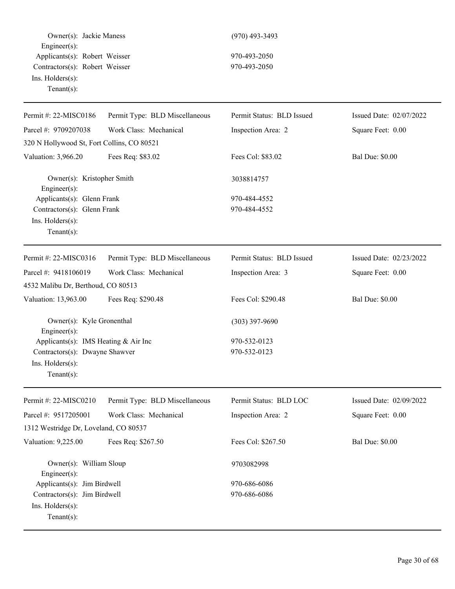Owner(s): Jackie Maness (970) 493-3493 Engineer(s): Applicants(s): Robert Weisser 970-493-2050 Contractors(s): Robert Weisser 970-493-2050 Ins. Holders(s): Tenant(s):

| Permit #: 22-MISC0186                      | Permit Type: BLD Miscellaneous | Permit Status: BLD Issued | Issued Date: 02/07/2022 |
|--------------------------------------------|--------------------------------|---------------------------|-------------------------|
| Parcel #: 9709207038                       | Work Class: Mechanical         | Inspection Area: 2        | Square Feet: 0.00       |
| 320 N Hollywood St, Fort Collins, CO 80521 |                                |                           |                         |
| Valuation: 3,966.20                        | Fees Req: \$83.02              | Fees Col: \$83.02         | <b>Bal Due: \$0.00</b>  |
| Owner(s): Kristopher Smith<br>Engineer(s): |                                | 3038814757                |                         |
| Applicants(s): Glenn Frank                 |                                | 970-484-4552              |                         |
| Contractors(s): Glenn Frank                |                                | 970-484-4552              |                         |
| Ins. Holders(s):<br>$Tenant(s)$ :          |                                |                           |                         |
| Permit #: 22-MISC0316                      | Permit Type: BLD Miscellaneous | Permit Status: BLD Issued | Issued Date: 02/23/2022 |
| Parcel #: 9418106019                       | Work Class: Mechanical         | Inspection Area: 3        | Square Feet: 0.00       |
| 4532 Malibu Dr, Berthoud, CO 80513         |                                |                           |                         |
| Valuation: 13,963.00                       | Fees Req: \$290.48             | Fees Col: \$290.48        | <b>Bal Due: \$0.00</b>  |
| Owner(s): Kyle Gronenthal<br>Engineer(s):  |                                | $(303)$ 397-9690          |                         |
| Applicants(s): IMS Heating $& Air Inc$     |                                | 970-532-0123              |                         |
| Contractors(s): Dwayne Shawver             |                                | 970-532-0123              |                         |
| Ins. Holders(s):                           |                                |                           |                         |
| $Tenant(s)$ :                              |                                |                           |                         |
| Permit #: 22-MISC0210                      | Permit Type: BLD Miscellaneous | Permit Status: BLD LOC    | Issued Date: 02/09/2022 |
| Parcel #: 9517205001                       | Work Class: Mechanical         | Inspection Area: 2        | Square Feet: 0.00       |
| 1312 Westridge Dr, Loveland, CO 80537      |                                |                           |                         |
| Valuation: 9,225.00                        | Fees Req: \$267.50             | Fees Col: \$267.50        | <b>Bal Due: \$0.00</b>  |
| Owner(s): William Sloup<br>Engineer(s):    |                                | 9703082998                |                         |
| Applicants(s): Jim Birdwell                |                                | 970-686-6086              |                         |
| Contractors(s): Jim Birdwell               |                                | 970-686-6086              |                         |
| Ins. Holders(s):                           |                                |                           |                         |
| Tenant $(s)$ :                             |                                |                           |                         |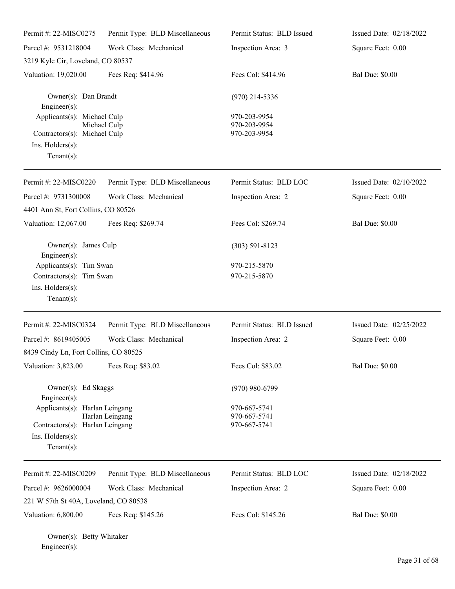| Permit #: 22-MISC0275                                                                             | Permit Type: BLD Miscellaneous | Permit Status: BLD Issued                        | Issued Date: 02/18/2022 |
|---------------------------------------------------------------------------------------------------|--------------------------------|--------------------------------------------------|-------------------------|
| Parcel #: 9531218004                                                                              | Work Class: Mechanical         | Inspection Area: 3                               | Square Feet: 0.00       |
| 3219 Kyle Cir, Loveland, CO 80537                                                                 |                                |                                                  |                         |
| Valuation: 19,020.00                                                                              | Fees Req: \$414.96             | Fees Col: \$414.96                               | <b>Bal Due: \$0.00</b>  |
| Owner(s): Dan Brandt<br>Engineer(s):                                                              |                                | $(970)$ 214-5336                                 |                         |
| Applicants(s): Michael Culp<br>Contractors(s): Michael Culp<br>Ins. Holders(s):<br>Tenant $(s)$ : | Michael Culp                   | 970-203-9954<br>970-203-9954<br>970-203-9954     |                         |
| Permit #: 22-MISC0220                                                                             | Permit Type: BLD Miscellaneous | Permit Status: BLD LOC                           | Issued Date: 02/10/2022 |
| Parcel #: 9731300008<br>4401 Ann St, Fort Collins, CO 80526                                       | Work Class: Mechanical         | Inspection Area: 2                               | Square Feet: 0.00       |
| Valuation: 12,067.00                                                                              | Fees Req: \$269.74             | Fees Col: \$269.74                               | <b>Bal Due: \$0.00</b>  |
| Owner(s): James Culp<br>Engineer(s):                                                              |                                | $(303)$ 591-8123                                 |                         |
| Applicants(s): Tim Swan<br>Contractors(s): Tim Swan<br>Ins. Holders(s):<br>Tenant $(s)$ :         |                                | 970-215-5870<br>970-215-5870                     |                         |
| Permit #: 22-MISC0324                                                                             | Permit Type: BLD Miscellaneous | Permit Status: BLD Issued                        | Issued Date: 02/25/2022 |
| Parcel #: 8619405005                                                                              | Work Class: Mechanical         | Inspection Area: 2                               | Square Feet: 0.00       |
| 8439 Cindy Ln, Fort Collins, CO 80525<br>Valuation: 3,823.00                                      | Fees Req: \$83.02              | Fees Col: \$83.02                                | <b>Bal Due: \$0.00</b>  |
| Owner(s): Ed Skaggs<br>Engineer(s):<br>Applicants(s): Harlan Leingang                             | Harlan Leingang                | $(970)$ 980-6799<br>970-667-5741<br>970-667-5741 |                         |
| Contractors(s): Harlan Leingang<br>Ins. Holders(s):<br>Tenant $(s)$ :                             |                                | 970-667-5741                                     |                         |
| Permit #: 22-MISC0209                                                                             | Permit Type: BLD Miscellaneous | Permit Status: BLD LOC                           | Issued Date: 02/18/2022 |
| Parcel #: 9626000004                                                                              | Work Class: Mechanical         | Inspection Area: 2                               | Square Feet: 0.00       |
| 221 W 57th St 40A, Loveland, CO 80538                                                             |                                |                                                  |                         |
| Valuation: 6,800.00                                                                               | Fees Req: \$145.26             | Fees Col: \$145.26                               | <b>Bal Due: \$0.00</b>  |

Owner(s): Betty Whitaker Engineer(s):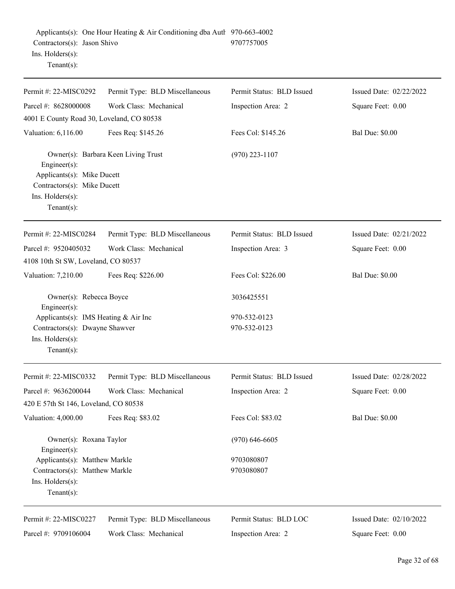| Permit #: 22-MISC0292                                                                                           | Permit Type: BLD Miscellaneous      | Permit Status: BLD Issued | Issued Date: 02/22/2022   |
|-----------------------------------------------------------------------------------------------------------------|-------------------------------------|---------------------------|---------------------------|
| Parcel #: 8628000008                                                                                            | Work Class: Mechanical              | Inspection Area: 2        | Square Feet: 0.00         |
| 4001 E County Road 30, Loveland, CO 80538                                                                       |                                     |                           |                           |
| Valuation: 6,116.00                                                                                             | Fees Req: \$145.26                  | Fees Col: \$145.26        | <b>Bal Due: \$0.00</b>    |
| Engineer(s):<br>Applicants(s): Mike Ducett<br>Contractors(s): Mike Ducett<br>Ins. Holders(s):<br>Tenant $(s)$ : | Owner(s): Barbara Keen Living Trust | $(970)$ 223-1107          |                           |
|                                                                                                                 |                                     |                           |                           |
| Permit #: 22-MISC0284                                                                                           | Permit Type: BLD Miscellaneous      | Permit Status: BLD Issued | Issued Date: $02/21/2022$ |
| Parcel #: 9520405032                                                                                            | Work Class: Mechanical              | Inspection Area: 3        | Square Feet: 0.00         |
| 4108 10th St SW, Loveland, CO 80537                                                                             |                                     |                           |                           |
| Valuation: 7,210.00                                                                                             | Fees Req: \$226.00                  | Fees Col: \$226.00        | <b>Bal Due: \$0.00</b>    |
| Owner(s): Rebecca Boyce<br>$Engineering(s)$ :                                                                   |                                     | 3036425551                |                           |
| Applicants(s): IMS Heating & Air Inc                                                                            |                                     | 970-532-0123              |                           |
| Contractors(s): Dwayne Shawver<br>Ins. Holders(s):<br>Tenant $(s)$ :                                            |                                     | 970-532-0123              |                           |
| Permit #: 22-MISC0332                                                                                           | Permit Type: BLD Miscellaneous      | Permit Status: BLD Issued | Issued Date: 02/28/2022   |
| Parcel #: 9636200044                                                                                            | Work Class: Mechanical              | Inspection Area: 2        | Square Feet: 0.00         |
| 420 E 57th St 146, Loveland, CO 80538                                                                           |                                     |                           |                           |
| Valuation: 4,000.00                                                                                             | Fees Req: \$83.02                   | Fees Col: \$83.02         | <b>Bal Due: \$0.00</b>    |
| Owner(s): Roxana Taylor<br>Engineer(s):                                                                         |                                     | $(970)$ 646-6605          |                           |

Page 32 of 68

Issued Date: 02/10/2022

Square Feet: 0.00

Parcel #: 9709106004

Ins. Holders(s): Tenant(s):

Permit #: 22-MISC0227

Work Class: Mechanical

Applicants(s): Matthew Markle 9703080807 Contractors(s): Matthew Markle 9703080807

Permit Status: BLD LOC

Inspection Area: 2

Permit Type: BLD Miscellaneous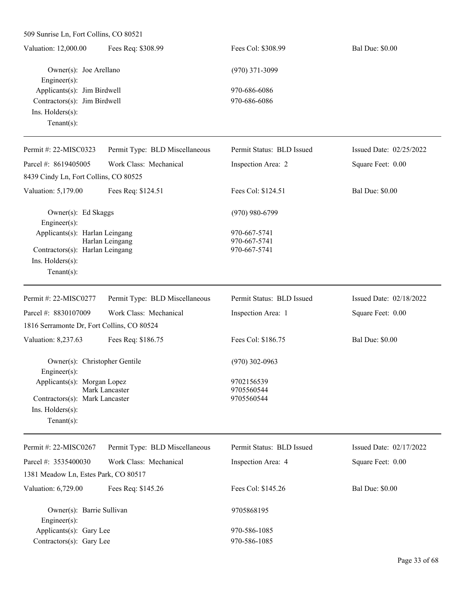| Fees Req: \$308.99<br>Valuation: 12,000.00 | Fees Col: \$308.99 | <b>Bal Due: \$0.00</b> |
|--------------------------------------------|--------------------|------------------------|
| Owner(s): Joe Arellano                     | $(970)$ 371-3099   |                        |
| $Engineer(s)$ :                            |                    |                        |
| Applicants(s): Jim Birdwell                | 970-686-6086       |                        |
| Contractors $(s)$ : Jim Birdwell           | 970-686-6086       |                        |
| $Ins.$ Holders $(s)$ :                     |                    |                        |
| Tenant $(s)$ :                             |                    |                        |
|                                            |                    |                        |

| Permit #: 22-MISC0323                                                                                  | Permit Type: BLD Miscellaneous | Permit Status: BLD Issued                    | Issued Date: 02/25/2022 |
|--------------------------------------------------------------------------------------------------------|--------------------------------|----------------------------------------------|-------------------------|
| Parcel #: 8619405005                                                                                   | Work Class: Mechanical         | Inspection Area: 2                           | Square Feet: 0.00       |
| 8439 Cindy Ln, Fort Collins, CO 80525                                                                  |                                |                                              |                         |
| Valuation: 5,179.00                                                                                    | Fees Req: \$124.51             | Fees Col: \$124.51                           | <b>Bal Due: \$0.00</b>  |
| Owner(s): Ed Skaggs<br>$Engineering(s)$ :                                                              |                                | $(970)$ 980-6799                             |                         |
| Applicants(s): Harlan Leingang<br>Contractors(s): Harlan Leingang<br>Ins. Holders(s):<br>$Tenant(s)$ : | Harlan Leingang                | 970-667-5741<br>970-667-5741<br>970-667-5741 |                         |
|                                                                                                        |                                |                                              |                         |
| Permit #: 22-MISC0277                                                                                  | Permit Type: BLD Miscellaneous | Permit Status: BLD Issued                    | Issued Date: 02/18/2022 |
| Parcel #: 8830107009                                                                                   | Work Class: Mechanical         | Inspection Area: 1                           | Square Feet: 0.00       |
| 1816 Serramonte Dr, Fort Collins, CO 80524                                                             |                                |                                              |                         |
| Valuation: 8,237.63                                                                                    | Fees Req: \$186.75             | Fees Col: \$186.75                           | <b>Bal Due: \$0.00</b>  |
| Owner(s): Christopher Gentile<br>Engineer $(s)$ :                                                      |                                | $(970)$ 302-0963                             |                         |
| Applicants(s): Morgan Lopez<br>Contractors(s): Mark Lancaster                                          | Mark Lancaster                 | 9702156539<br>9705560544<br>9705560544       |                         |

| Permit #: 22-MISC0267                | Permit Type: BLD Miscellaneous | Permit Status: BLD Issued | Issued Date: $02/17/2022$ |
|--------------------------------------|--------------------------------|---------------------------|---------------------------|
| Parcel #: $3535400030$               | Work Class: Mechanical         | Inspection Area: 4        | Square Feet: 0.00         |
| 1381 Meadow Ln, Estes Park, CO 80517 |                                |                           |                           |
| Valuation: 6,729.00                  | Fees Req: \$145.26             | Fees Col: \$145.26        | <b>Bal Due: \$0.00</b>    |
| Owner(s): Barrie Sullivan            |                                | 9705868195                |                           |
| Engineer $(s)$ :                     |                                |                           |                           |
| Applicants(s): Gary Lee              |                                | 970-586-1085              |                           |
| Contractors $(s)$ : Gary Lee         |                                | 970-586-1085              |                           |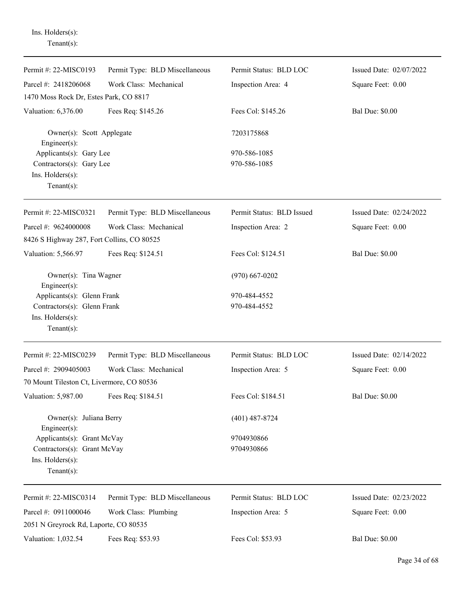Ins. Holders(s): Tenant(s):

| Permit #: 22-MISC0193                         | Permit Type: BLD Miscellaneous | Permit Status: BLD LOC    | Issued Date: 02/07/2022 |
|-----------------------------------------------|--------------------------------|---------------------------|-------------------------|
| Parcel #: 2418206068                          | Work Class: Mechanical         | Inspection Area: 4        | Square Feet: 0.00       |
| 1470 Moss Rock Dr, Estes Park, CO 8817        |                                |                           |                         |
| Valuation: 6,376.00                           | Fees Req: \$145.26             | Fees Col: \$145.26        | <b>Bal Due: \$0.00</b>  |
| Owner(s): Scott Applegate<br>Engineer(s):     |                                | 7203175868                |                         |
| Applicants(s): Gary Lee                       |                                | 970-586-1085              |                         |
| Contractors(s): Gary Lee                      |                                | 970-586-1085              |                         |
| Ins. Holders(s):                              |                                |                           |                         |
| Tenant $(s)$ :                                |                                |                           |                         |
| Permit #: 22-MISC0321                         | Permit Type: BLD Miscellaneous | Permit Status: BLD Issued | Issued Date: 02/24/2022 |
| Parcel #: 9624000008                          | Work Class: Mechanical         | Inspection Area: 2        | Square Feet: 0.00       |
| 8426 S Highway 287, Fort Collins, CO 80525    |                                |                           |                         |
| Valuation: 5,566.97                           | Fees Req: \$124.51             | Fees Col: \$124.51        | <b>Bal Due: \$0.00</b>  |
| Owner(s): Tina Wagner<br>$Engineering(s)$ :   |                                | $(970)$ 667-0202          |                         |
| Applicants(s): Glenn Frank                    |                                | 970-484-4552              |                         |
| Contractors(s): Glenn Frank                   |                                | 970-484-4552              |                         |
| Ins. $H$ olders $(s)$ :                       |                                |                           |                         |
| Tenant $(s)$ :                                |                                |                           |                         |
| Permit #: 22-MISC0239                         | Permit Type: BLD Miscellaneous | Permit Status: BLD LOC    | Issued Date: 02/14/2022 |
| Parcel #: 2909405003                          | Work Class: Mechanical         | Inspection Area: 5        | Square Feet: 0.00       |
| 70 Mount Tileston Ct, Livermore, CO 80536     |                                |                           |                         |
| Valuation: 5,987.00                           | Fees Req: \$184.51             | Fees Col: \$184.51        | <b>Bal Due: \$0.00</b>  |
| Owner(s): Juliana Berry<br>$Engineering(s)$ : |                                | $(401)$ 487-8724          |                         |
| Applicants(s): Grant McVay                    |                                | 9704930866                |                         |
| Contractors(s): Grant McVay                   |                                | 9704930866                |                         |
| Ins. Holders(s):                              |                                |                           |                         |
| Tenant $(s)$ :                                |                                |                           |                         |
| Permit #: 22-MISC0314                         | Permit Type: BLD Miscellaneous | Permit Status: BLD LOC    | Issued Date: 02/23/2022 |
| Parcel #: 0911000046                          | Work Class: Plumbing           | Inspection Area: 5        | Square Feet: 0.00       |
| 2051 N Greyrock Rd, Laporte, CO 80535         |                                |                           |                         |
| Valuation: 1,032.54                           | Fees Req: \$53.93              | Fees Col: \$53.93         | <b>Bal Due: \$0.00</b>  |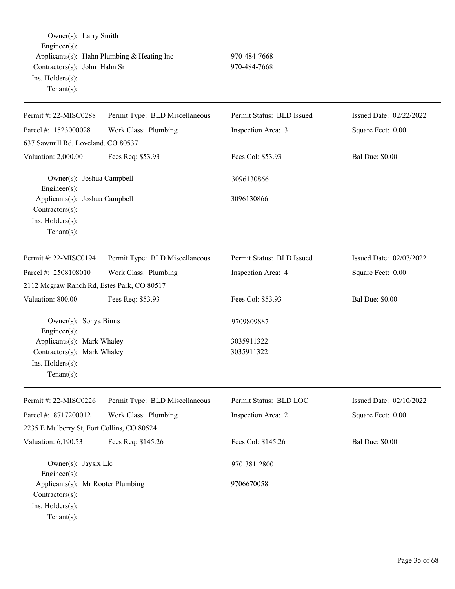Owner(s): Larry Smith Engineer(s): Applicants(s): Hahn Plumbing & Heating Inc 970-484-7668 Contractors(s): John Hahn Sr 970-484-7668 Ins. Holders(s): Tenant(s):

Permit #: 22-MISC0288 Parcel #: 1523000028 Permit Type: BLD Miscellaneous Work Class: Plumbing Permit Status: BLD Issued Inspection Area: 3 Issued Date: 02/22/2022 Square Feet: 0.00 637 Sawmill Rd, Loveland, CO 80537 Valuation: 2,000.00 Fees Req: \$53.93 Fees Col: \$53.93 Bal Due: \$0.00 Owner(s): Joshua Campbell 3096130866 Engineer(s): Applicants(s): Joshua Campbell 3096130866 Contractors(s): Ins. Holders(s): Tenant(s): Permit #: 22-MISC0194 Parcel #: 2508108010 Permit Type: BLD Miscellaneous Work Class: Plumbing Permit Status: BLD Issued Inspection Area: 4 Issued Date: 02/07/2022 Square Feet: 0.00 2112 Mcgraw Ranch Rd, Estes Park, CO 80517 Valuation: 800.00 Fees Req: \$53.93 Fees Col: \$53.93 Bal Due: \$0.00 Owner(s): Sonya Binns 9709809887 Engineer(s): Applicants(s): Mark Whaley 3035911322 Contractors(s): Mark Whaley 3035911322 Ins. Holders(s): Tenant(s): Permit #: 22-MISC0226 Parcel #: 8717200012 Permit Type: BLD Miscellaneous Work Class: Plumbing Permit Status: BLD LOC Inspection Area: 2 Issued Date: 02/10/2022 Square Feet: 0.00 2235 E Mulberry St, Fort Collins, CO 80524 Valuation: 6,190.53 Fees Req: \$145.26 Fees Col: \$145.26 Bal Due: \$0.00 Owner(s): Jaysix Llc 970-381-2800 Engineer(s): Applicants(s): Mr Rooter Plumbing 9706670058 Contractors(s): Ins. Holders(s): Tenant(s):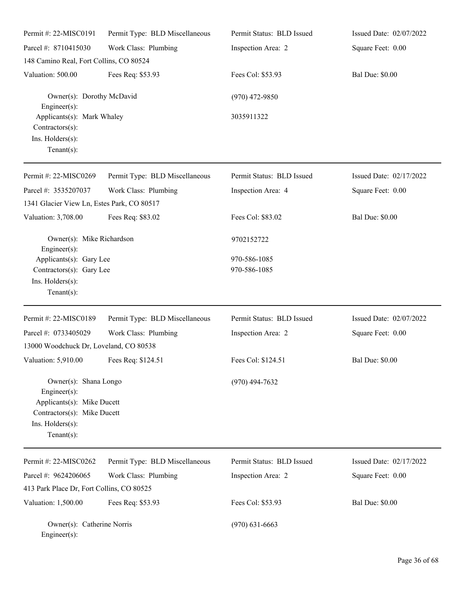| Permit #: 22-MISC0191                                                                                                                          | Permit Type: BLD Miscellaneous | Permit Status: BLD Issued | Issued Date: 02/07/2022 |
|------------------------------------------------------------------------------------------------------------------------------------------------|--------------------------------|---------------------------|-------------------------|
| Parcel #: 8710415030                                                                                                                           | Work Class: Plumbing           | Inspection Area: 2        | Square Feet: 0.00       |
| 148 Camino Real, Fort Collins, CO 80524                                                                                                        |                                |                           |                         |
| Valuation: 500.00                                                                                                                              | Fees Req: \$53.93              | Fees Col: \$53.93         | <b>Bal Due: \$0.00</b>  |
| Owner(s): Dorothy McDavid<br>Engineer $(s)$ :                                                                                                  |                                | $(970)$ 472-9850          |                         |
| Applicants(s): Mark Whaley<br>Contractors(s):<br>Ins. Holders(s):<br>Tenant $(s)$ :                                                            |                                | 3035911322                |                         |
| Permit #: 22-MISC0269                                                                                                                          | Permit Type: BLD Miscellaneous | Permit Status: BLD Issued | Issued Date: 02/17/2022 |
| Parcel #: 3535207037                                                                                                                           | Work Class: Plumbing           | Inspection Area: 4        | Square Feet: 0.00       |
| 1341 Glacier View Ln, Estes Park, CO 80517                                                                                                     |                                |                           |                         |
| Valuation: 3,708.00                                                                                                                            | Fees Req: \$83.02              | Fees Col: \$83.02         | <b>Bal Due: \$0.00</b>  |
| Owner(s): Mike Richardson<br>Engineer(s):                                                                                                      |                                | 9702152722                |                         |
| Applicants(s): Gary Lee                                                                                                                        |                                | 970-586-1085              |                         |
| Contractors(s): Gary Lee<br>Ins. Holders(s):<br>Tenant $(s)$ :                                                                                 |                                | 970-586-1085              |                         |
| Permit #: 22-MISC0189                                                                                                                          | Permit Type: BLD Miscellaneous | Permit Status: BLD Issued | Issued Date: 02/07/2022 |
| Parcel #: 0733405029                                                                                                                           | Work Class: Plumbing           | Inspection Area: 2        | Square Feet: 0.00       |
| 13000 Woodchuck Dr, Loveland, CO 80538                                                                                                         |                                |                           |                         |
| Valuation: 5,910.00 Fees Req: \$124.51                                                                                                         |                                | Fees Col: \$124.51        | <b>Bal Due: \$0.00</b>  |
| Owner(s): Shana Longo<br>$Engineering(s)$ :<br>Applicants(s): Mike Ducett<br>Contractors(s): Mike Ducett<br>Ins. Holders(s):<br>Tenant $(s)$ : |                                | $(970)$ 494-7632          |                         |
| Permit #: 22-MISC0262                                                                                                                          | Permit Type: BLD Miscellaneous | Permit Status: BLD Issued | Issued Date: 02/17/2022 |
| Parcel #: 9624206065                                                                                                                           | Work Class: Plumbing           | Inspection Area: 2        | Square Feet: 0.00       |
| 413 Park Place Dr, Fort Collins, CO 80525                                                                                                      |                                |                           |                         |
| Valuation: 1,500.00                                                                                                                            | Fees Req: \$53.93              | Fees Col: \$53.93         | <b>Bal Due: \$0.00</b>  |
| Owner(s): Catherine Norris<br>$Enginer(s)$ :                                                                                                   |                                | $(970)$ 631-6663          |                         |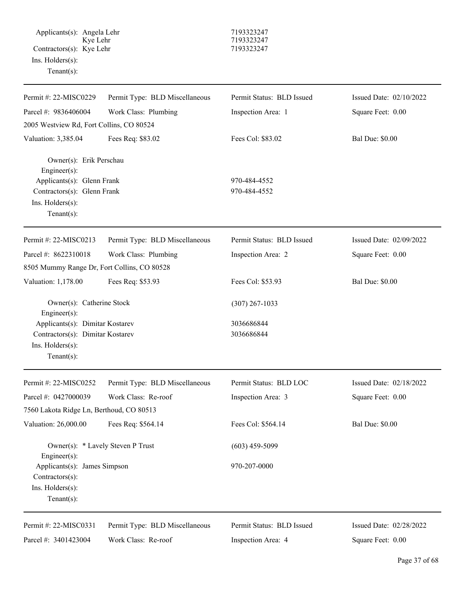Applicants(s): Angela Lehr 7193323247 Kye Lehr 7193323247 Contractors(s): Kye Lehr 7193323247 Ins. Holders(s): Tenant(s):

| Permit #: 22-MISC0229                                 | Permit Type: BLD Miscellaneous | Permit Status: BLD Issued | Issued Date: 02/10/2022 |
|-------------------------------------------------------|--------------------------------|---------------------------|-------------------------|
| Parcel #: 9836406004                                  | Work Class: Plumbing           | Inspection Area: 1        | Square Feet: 0.00       |
| 2005 Westview Rd, Fort Collins, CO 80524              |                                |                           |                         |
| Valuation: 3,385.04                                   | Fees Req: \$83.02              | Fees Col: \$83.02         | <b>Bal Due: \$0.00</b>  |
| Owner(s): Erik Perschau<br>Engineer(s):               |                                |                           |                         |
| Applicants(s): Glenn Frank                            |                                | 970-484-4552              |                         |
| Contractors(s): Glenn Frank<br>Ins. Holders(s):       |                                | 970-484-4552              |                         |
| $Tenant(s)$ :                                         |                                |                           |                         |
| Permit #: 22-MISC0213                                 | Permit Type: BLD Miscellaneous | Permit Status: BLD Issued | Issued Date: 02/09/2022 |
| Parcel #: 8622310018                                  | Work Class: Plumbing           | Inspection Area: 2        | Square Feet: 0.00       |
| 8505 Mummy Range Dr, Fort Collins, CO 80528           |                                |                           |                         |
| Valuation: 1,178.00                                   | Fees Req: \$53.93              | Fees Col: \$53.93         | <b>Bal Due: \$0.00</b>  |
| Owner(s): Catherine Stock<br>Engineer(s):             |                                | $(307)$ 267-1033          |                         |
| Applicants(s): Dimitar Kostarev                       |                                | 3036686844                |                         |
| Contractors(s): Dimitar Kostarev                      |                                | 3036686844                |                         |
| Ins. Holders(s):                                      |                                |                           |                         |
| $Tenant(s)$ :                                         |                                |                           |                         |
| Permit #: 22-MISC0252                                 | Permit Type: BLD Miscellaneous | Permit Status: BLD LOC    | Issued Date: 02/18/2022 |
| Parcel #: 0427000039                                  | Work Class: Re-roof            | Inspection Area: 3        | Square Feet: 0.00       |
| 7560 Lakota Ridge Ln, Berthoud, CO 80513              |                                |                           |                         |
| Valuation: 26,000.00                                  | Fees Req: \$564.14             | Fees Col: \$564.14        | <b>Bal Due: \$0.00</b>  |
| Owner(s): * Lavely Steven P Trust<br>Engineer $(s)$ : |                                | $(603)$ 459-5099          |                         |
| Applicants(s): James Simpson                          |                                | 970-207-0000              |                         |
| Contractors(s):                                       |                                |                           |                         |
| Ins. Holders(s):                                      |                                |                           |                         |
| Tenant $(s)$ :                                        |                                |                           |                         |
| Permit #: 22-MISC0331                                 | Permit Type: BLD Miscellaneous | Permit Status: BLD Issued | Issued Date: 02/28/2022 |
| Parcel #: 3401423004                                  | Work Class: Re-roof            | Inspection Area: 4        | Square Feet: 0.00       |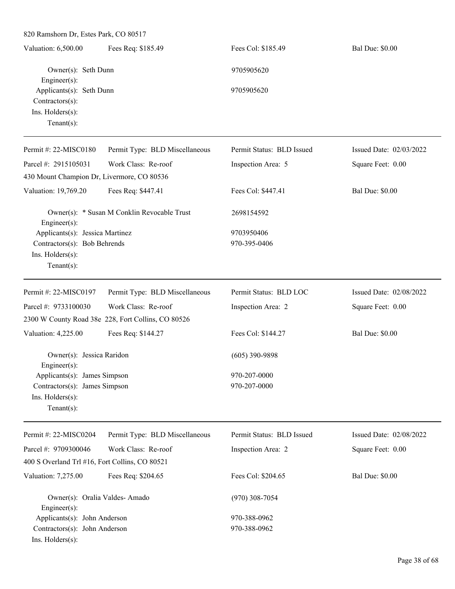| 820 Ramshorn Dr, Estes Park, CO 80517                                                                 |                                                    |                              |                         |
|-------------------------------------------------------------------------------------------------------|----------------------------------------------------|------------------------------|-------------------------|
| Valuation: 6,500.00                                                                                   | Fees Req: \$185.49                                 | Fees Col: \$185.49           | <b>Bal Due: \$0.00</b>  |
| Owner(s): Seth Dunn<br>$Engineering(s)$ :                                                             |                                                    | 9705905620                   |                         |
| Applicants(s): Seth Dunn<br>Contractors(s):<br>Ins. Holders(s):<br>Tenant $(s)$ :                     |                                                    | 9705905620                   |                         |
| Permit #: $22-MISCO180$                                                                               | Permit Type: BLD Miscellaneous                     | Permit Status: BLD Issued    | Issued Date: 02/03/2022 |
| Parcel #: 2915105031                                                                                  | Work Class: Re-roof                                | Inspection Area: 5           | Square Feet: 0.00       |
| 430 Mount Champion Dr, Livermore, CO 80536                                                            |                                                    |                              |                         |
| Valuation: 19,769.20                                                                                  | Fees Req: \$447.41                                 | Fees Col: \$447.41           | <b>Bal Due: \$0.00</b>  |
| Engineer(s):                                                                                          | Owner(s): * Susan M Conklin Revocable Trust        | 2698154592                   |                         |
| Applicants(s): Jessica Martinez<br>Contractors(s): Bob Behrends<br>Ins. Holders(s):<br>Tenant $(s)$ : |                                                    | 9703950406<br>970-395-0406   |                         |
| Permit #: 22-MISC0197                                                                                 | Permit Type: BLD Miscellaneous                     | Permit Status: BLD LOC       | Issued Date: 02/08/2022 |
| Parcel #: 9733100030                                                                                  | Work Class: Re-roof                                | Inspection Area: 2           | Square Feet: 0.00       |
|                                                                                                       | 2300 W County Road 38e 228, Fort Collins, CO 80526 |                              |                         |
| Valuation: 4,225.00                                                                                   | Fees Req: \$144.27                                 | Fees Col: \$144.27           | <b>Bal Due: \$0.00</b>  |
| Owner(s): Jessica Raridon<br>$Engineering(s)$ :                                                       |                                                    | $(605)$ 390-9898             |                         |
| Applicants(s): James Simpson<br>Contractors(s): James Simpson<br>Ins. Holders(s):<br>Tenant $(s)$ :   |                                                    | 970-207-0000<br>970-207-0000 |                         |
| Permit #: 22-MISC0204                                                                                 | Permit Type: BLD Miscellaneous                     | Permit Status: BLD Issued    | Issued Date: 02/08/2022 |
| Parcel #: 9709300046                                                                                  | Work Class: Re-roof                                | Inspection Area: 2           | Square Feet: 0.00       |
| 400 S Overland Trl #16, Fort Collins, CO 80521                                                        |                                                    |                              |                         |
| Valuation: 7,275.00                                                                                   | Fees Req: \$204.65                                 | Fees Col: \$204.65           | <b>Bal Due: \$0.00</b>  |
| Owner(s): Oralia Valdes-Amado<br>Engineer(s):                                                         |                                                    | $(970)$ 308-7054             |                         |
| Applicants(s): John Anderson                                                                          |                                                    | 970-388-0962                 |                         |
| Contractors(s): John Anderson<br>Ins. Holders(s):                                                     |                                                    | 970-388-0962                 |                         |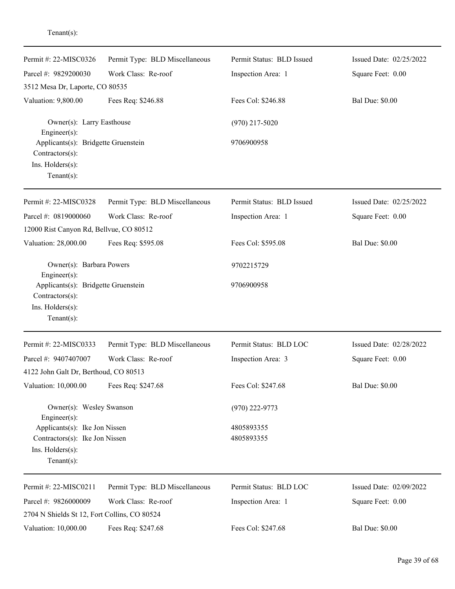| Permit #: 22-MISC0326                                                                        | Permit Type: BLD Miscellaneous | Permit Status: BLD Issued | Issued Date: 02/25/2022 |
|----------------------------------------------------------------------------------------------|--------------------------------|---------------------------|-------------------------|
| Parcel #: 9829200030                                                                         | Work Class: Re-roof            | Inspection Area: 1        | Square Feet: 0.00       |
| 3512 Mesa Dr, Laporte, CO 80535                                                              |                                |                           |                         |
| Valuation: 9,800.00                                                                          | Fees Req: \$246.88             | Fees Col: \$246.88        | <b>Bal Due: \$0.00</b>  |
| Owner(s): Larry Easthouse<br>Engineer(s):                                                    |                                | $(970)$ 217-5020          |                         |
| Applicants(s): Bridgette Gruenstein<br>Contractors(s):<br>Ins. Holders(s):<br>Tenant $(s)$ : |                                | 9706900958                |                         |
| Permit #: 22-MISC0328                                                                        | Permit Type: BLD Miscellaneous | Permit Status: BLD Issued | Issued Date: 02/25/2022 |
| Parcel #: 0819000060                                                                         | Work Class: Re-roof            | Inspection Area: 1        | Square Feet: 0.00       |
| 12000 Rist Canyon Rd, Bellvue, CO 80512                                                      |                                |                           |                         |
| Valuation: 28,000.00                                                                         | Fees Req: \$595.08             | Fees Col: \$595.08        | <b>Bal Due: \$0.00</b>  |
| Owner(s): Barbara Powers<br>Engineer(s):                                                     |                                | 9702215729                |                         |
| Applicants(s): Bridgette Gruenstein<br>Contractors(s):<br>Ins. Holders(s):<br>$Tenant(s)$ :  |                                | 9706900958                |                         |
| Permit #: 22-MISC0333                                                                        | Permit Type: BLD Miscellaneous | Permit Status: BLD LOC    | Issued Date: 02/28/2022 |
| Parcel #: 9407407007                                                                         | Work Class: Re-roof            | Inspection Area: 3        | Square Feet: 0.00       |
| 4122 John Galt Dr, Berthoud, CO 80513                                                        |                                |                           |                         |
| Valuation: 10,000.00                                                                         | Fees Req: \$247.68             | Fees Col: \$247.68        | <b>Bal Due: \$0.00</b>  |
| Owner(s): Wesley Swanson<br>Engineer(s):                                                     |                                | $(970)$ 222-9773          |                         |
| Applicants(s): Ike Jon Nissen                                                                |                                | 4805893355                |                         |
| Contractors(s): Ike Jon Nissen                                                               |                                | 4805893355                |                         |
| $Ins.$ Holders $(s)$ :<br>$Tenant(s)$ :                                                      |                                |                           |                         |
| Permit #: 22-MISC0211                                                                        | Permit Type: BLD Miscellaneous | Permit Status: BLD LOC    | Issued Date: 02/09/2022 |
| Parcel #: 9826000009<br>2704 N Shields St 12, Fort Collins, CO 80524                         | Work Class: Re-roof            | Inspection Area: 1        | Square Feet: 0.00       |
| Valuation: 10,000.00                                                                         | Fees Req: \$247.68             | Fees Col: \$247.68        | <b>Bal Due: \$0.00</b>  |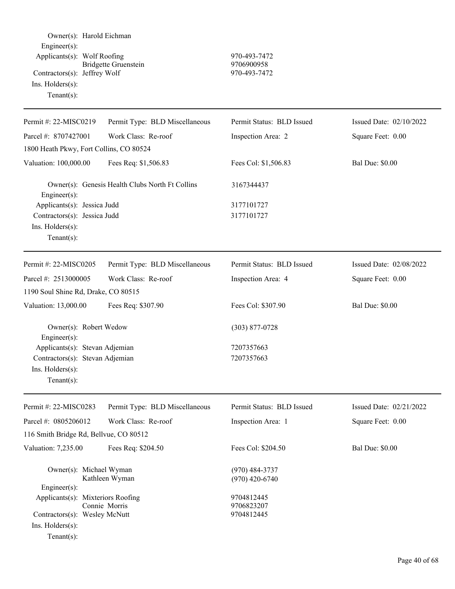| Owner(s): Harold Eichman<br>Engineer(s):<br>Applicants(s): Wolf Roofing<br>Contractors(s): Jeffrey Wolf<br>Ins. $H$ olders $(s)$ :<br>Tenant $(s)$ : | <b>Bridgette Gruenstein</b>                     | 970-493-7472<br>9706900958<br>970-493-7472 |                           |
|------------------------------------------------------------------------------------------------------------------------------------------------------|-------------------------------------------------|--------------------------------------------|---------------------------|
| Permit #: 22-MISC0219                                                                                                                                | Permit Type: BLD Miscellaneous                  | Permit Status: BLD Issued                  | Issued Date: $02/10/2022$ |
| Parcel #: 8707427001                                                                                                                                 | Work Class: Re-roof                             | Inspection Area: 2                         | Square Feet: 0.00         |
| 1800 Heath Pkwy, Fort Collins, CO 80524                                                                                                              |                                                 |                                            |                           |
| Valuation: 100,000.00                                                                                                                                | Fees Req: \$1,506.83                            | Fees Col: \$1,506.83                       | <b>Bal Due: \$0.00</b>    |
| Engineer(s):                                                                                                                                         | Owner(s): Genesis Health Clubs North Ft Collins | 3167344437                                 |                           |
| Applicants(s): Jessica Judd                                                                                                                          |                                                 | 3177101727                                 |                           |
| Contractors(s): Jessica Judd                                                                                                                         |                                                 | 3177101727                                 |                           |
| Ins. Holders(s):<br>Tenant $(s)$ :                                                                                                                   |                                                 |                                            |                           |
| Permit #: 22-MISC0205                                                                                                                                | Permit Type: BLD Miscellaneous                  | Permit Status: BLD Issued                  | Issued Date: 02/08/2022   |
| Parcel #: 2513000005                                                                                                                                 | Work Class: Re-roof                             | Inspection Area: 4                         | Square Feet: 0.00         |
| 1190 Soul Shine Rd, Drake, CO 80515                                                                                                                  |                                                 |                                            |                           |
| Valuation: 13,000.00                                                                                                                                 | Fees Req: \$307.90                              | Fees Col: \$307.90                         | <b>Bal Due: \$0.00</b>    |
| Owner(s): Robert Wedow<br>Engineer(s):                                                                                                               |                                                 | $(303)$ 877-0728                           |                           |
| Applicants(s): Stevan Adjemian                                                                                                                       |                                                 | 7207357663                                 |                           |
| Contractors(s): Stevan Adjemian                                                                                                                      |                                                 | 7207357663                                 |                           |
| Ins. Holders(s):<br>Tenant $(s)$ :                                                                                                                   |                                                 |                                            |                           |
| Permit #: 22-MISC0283                                                                                                                                | Permit Type: BLD Miscellaneous                  | Permit Status: BLD Issued                  | Issued Date: 02/21/2022   |
| Parcel #: 0805206012                                                                                                                                 | Work Class: Re-roof                             | Inspection Area: 1                         | Square Feet: 0.00         |
| 116 Smith Bridge Rd, Bellvue, CO 80512                                                                                                               |                                                 |                                            |                           |
| Valuation: 7,235.00                                                                                                                                  | Fees Req: \$204.50                              | Fees Col: \$204.50                         | <b>Bal Due: \$0.00</b>    |
| Owner(s): Michael Wyman                                                                                                                              | Kathleen Wyman                                  | $(970)$ 484-3737<br>$(970)$ 420-6740       |                           |
| $Engineering(s)$ :<br>Applicants(s): Mixteriors Roofing<br>Contractors(s): Wesley McNutt<br>Ins. Holders(s):                                         | Connie Morris                                   | 9704812445<br>9706823207<br>9704812445     |                           |
| Tenant $(s)$ :                                                                                                                                       |                                                 |                                            |                           |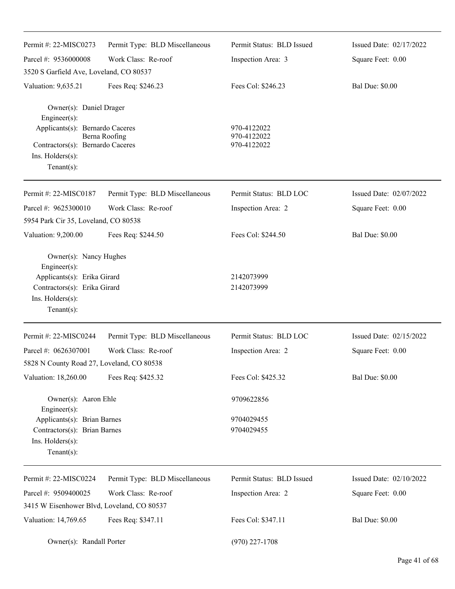| Permit #: 22-MISC0273                            | Permit Type: BLD Miscellaneous | Permit Status: BLD Issued  | Issued Date: 02/17/2022 |
|--------------------------------------------------|--------------------------------|----------------------------|-------------------------|
| Parcel #: 9536000008                             | Work Class: Re-roof            | Inspection Area: 3         | Square Feet: 0.00       |
| 3520 S Garfield Ave, Loveland, CO 80537          |                                |                            |                         |
| Valuation: 9,635.21                              | Fees Req: \$246.23             | Fees Col: \$246.23         | <b>Bal Due: \$0.00</b>  |
| Owner(s): Daniel Drager<br>Engineer(s):          |                                |                            |                         |
| Applicants(s): Bernardo Caceres                  |                                | 970-4122022                |                         |
| Contractors(s): Bernardo Caceres                 | Berna Roofing                  | 970-4122022<br>970-4122022 |                         |
| $Ins.$ Holders $(s)$ :<br>$Tenant(s)$ :          |                                |                            |                         |
|                                                  |                                |                            |                         |
| Permit #: 22-MISC0187                            | Permit Type: BLD Miscellaneous | Permit Status: BLD LOC     | Issued Date: 02/07/2022 |
| Parcel #: 9625300010                             | Work Class: Re-roof            | Inspection Area: 2         | Square Feet: 0.00       |
| 5954 Park Cir 35, Loveland, CO 80538             |                                |                            |                         |
| Valuation: 9,200.00                              | Fees Req: \$244.50             | Fees Col: \$244.50         | <b>Bal Due: \$0.00</b>  |
| Owner(s): Nancy Hughes<br>Engineer(s):           |                                |                            |                         |
| Applicants(s): Erika Girard                      |                                | 2142073999                 |                         |
| Contractors(s): Erika Girard<br>Ins. Holders(s): |                                | 2142073999                 |                         |
| $Tenant(s)$ :                                    |                                |                            |                         |
|                                                  |                                |                            |                         |
| Permit #: 22-MISC0244                            | Permit Type: BLD Miscellaneous | Permit Status: BLD LOC     | Issued Date: 02/15/2022 |
| Parcel #: 0626307001                             | Work Class: Re-roof            | Inspection Area: 2         | Square Feet: 0.00       |
| 5828 N County Road 27, Loveland, CO 80538        |                                |                            |                         |
| Valuation: 18,260.00                             | Fees Req: \$425.32             | Fees Col: \$425.32         | <b>Bal Due: \$0.00</b>  |
| Owner(s): Aaron Ehle<br>Engineer(s):             |                                | 9709622856                 |                         |
| Applicants(s): Brian Barnes                      |                                | 9704029455                 |                         |
| Contractors(s): Brian Barnes                     |                                | 9704029455                 |                         |
| Ins. Holders(s):                                 |                                |                            |                         |
| $Tenant(s)$ :                                    |                                |                            |                         |
| Permit #: 22-MISC0224                            | Permit Type: BLD Miscellaneous | Permit Status: BLD Issued  | Issued Date: 02/10/2022 |
| Parcel #: 9509400025                             | Work Class: Re-roof            | Inspection Area: 2         | Square Feet: 0.00       |
| 3415 W Eisenhower Blvd, Loveland, CO 80537       |                                |                            |                         |
| Valuation: 14,769.65                             | Fees Req: \$347.11             | Fees Col: \$347.11         | <b>Bal Due: \$0.00</b>  |
| Owner(s): Randall Porter                         |                                | $(970)$ 227-1708           |                         |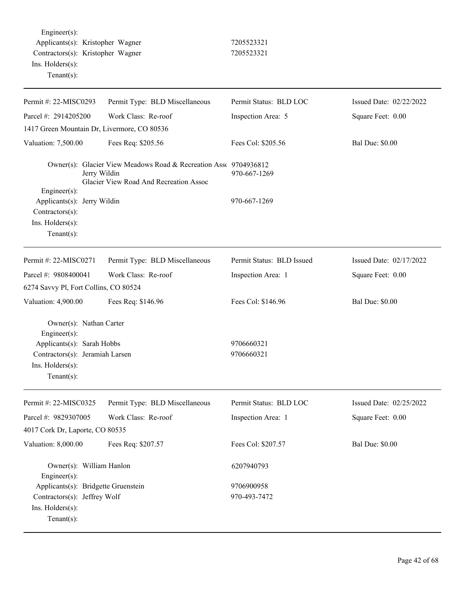Engineer(s): Applicants(s): Kristopher Wagner 7205523321 Contractors(s): Kristopher Wagner 7205523321 Ins. Holders(s): Tenant(s):

| Permit #: 22-MISC0293                                                                                                                            | Permit Type: BLD Miscellaneous                                                                                             | Permit Status: BLD LOC    | Issued Date: 02/22/2022 |
|--------------------------------------------------------------------------------------------------------------------------------------------------|----------------------------------------------------------------------------------------------------------------------------|---------------------------|-------------------------|
| Parcel #: 2914205200                                                                                                                             | Work Class: Re-roof                                                                                                        | Inspection Area: 5        | Square Feet: 0.00       |
| 1417 Green Mountain Dr, Livermore, CO 80536                                                                                                      |                                                                                                                            |                           |                         |
| Valuation: 7,500.00                                                                                                                              | Fees Req: \$205.56                                                                                                         | Fees Col: \$205.56        | <b>Bal Due: \$0.00</b>  |
| $Engineering(s)$ :                                                                                                                               | Owner(s): Glacier View Meadows Road & Recreation Asse 9704936812<br>Jerry Wildin<br>Glacier View Road And Recreation Assoc | 970-667-1269              |                         |
| Applicants(s): Jerry Wildin<br>Contractors(s):<br>Ins. Holders(s):<br>Tenant $(s)$ :                                                             |                                                                                                                            | 970-667-1269              |                         |
| Permit #: 22-MISC0271                                                                                                                            | Permit Type: BLD Miscellaneous                                                                                             | Permit Status: BLD Issued | Issued Date: 02/17/2022 |
| Parcel #: 9808400041                                                                                                                             | Work Class: Re-roof                                                                                                        | Inspection Area: 1        | Square Feet: 0.00       |
| 6274 Savvy Pl, Fort Collins, CO 80524                                                                                                            |                                                                                                                            |                           |                         |
| Valuation: 4,900.00                                                                                                                              | Fees Req: \$146.96                                                                                                         | Fees Col: \$146.96        | <b>Bal Due: \$0.00</b>  |
| Owner(s): Nathan Carter<br>$Engineer(s)$ :<br>Applicants(s): Sarah Hobbs<br>Contractors(s): Jeramiah Larsen<br>Ins. Holders(s):<br>$Tenant(s)$ : |                                                                                                                            | 9706660321<br>9706660321  |                         |
| Permit #: 22-MISC0325                                                                                                                            | Permit Type: BLD Miscellaneous                                                                                             | Permit Status: BLD LOC    | Issued Date: 02/25/2022 |
| Parcel #: 9829307005                                                                                                                             | Work Class: Re-roof                                                                                                        | Inspection Area: 1        | Square Feet: 0.00       |
| 4017 Cork Dr, Laporte, CO 80535                                                                                                                  |                                                                                                                            |                           |                         |
| Valuation: 8,000.00                                                                                                                              | Fees Req: \$207.57                                                                                                         | Fees Col: \$207.57        | <b>Bal Due: \$0.00</b>  |
| Owner(s): William Hanlon<br>$Engineering(s)$ :                                                                                                   |                                                                                                                            | 6207940793                |                         |
| Applicants(s): Bridgette Gruenstein                                                                                                              |                                                                                                                            | 9706900958                |                         |
| Contractors(s): Jeffrey Wolf<br>Ins. Holders(s):<br>Tenant $(s)$ :                                                                               |                                                                                                                            | 970-493-7472              |                         |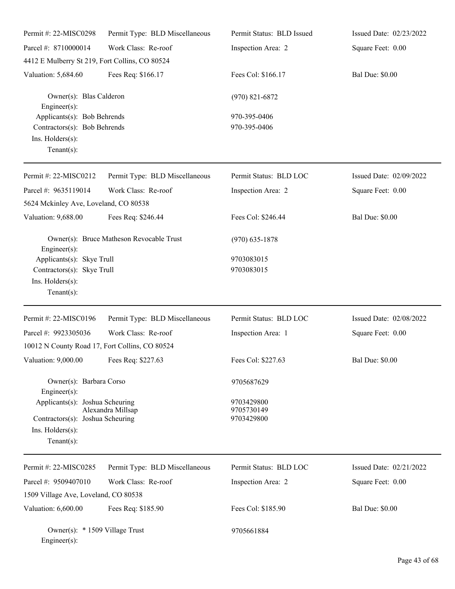| Permit #: 22-MISC0298                                                                             | Permit Type: BLD Miscellaneous           | Permit Status: BLD Issued              | Issued Date: 02/23/2022 |
|---------------------------------------------------------------------------------------------------|------------------------------------------|----------------------------------------|-------------------------|
| Parcel #: 8710000014                                                                              | Work Class: Re-roof                      | Inspection Area: 2                     | Square Feet: 0.00       |
| 4412 E Mulberry St 219, Fort Collins, CO 80524                                                    |                                          |                                        |                         |
| Valuation: 5,684.60                                                                               | Fees Req: \$166.17                       | Fees Col: \$166.17                     | <b>Bal Due: \$0.00</b>  |
| Owner(s): Blas Calderon<br>$Engineering(s)$ :                                                     |                                          | $(970)$ 821-6872                       |                         |
| Applicants(s): Bob Behrends<br>Contractors(s): Bob Behrends<br>Ins. Holders(s):<br>Tenant $(s)$ : |                                          | 970-395-0406<br>970-395-0406           |                         |
| Permit #: 22-MISC0212                                                                             | Permit Type: BLD Miscellaneous           | Permit Status: BLD LOC                 | Issued Date: 02/09/2022 |
| Parcel #: 9635119014                                                                              | Work Class: Re-roof                      | Inspection Area: 2                     | Square Feet: 0.00       |
| 5624 Mckinley Ave, Loveland, CO 80538                                                             |                                          |                                        |                         |
| Valuation: 9,688.00                                                                               | Fees Req: \$246.44                       | Fees Col: \$246.44                     | <b>Bal Due: \$0.00</b>  |
| Engineer(s):                                                                                      | Owner(s): Bruce Matheson Revocable Trust | $(970)$ 635-1878                       |                         |
| Applicants(s): Skye Trull                                                                         |                                          | 9703083015                             |                         |
| Contractors(s): Skye Trull                                                                        |                                          | 9703083015                             |                         |
| Ins. Holders(s):<br>Tenant $(s)$ :                                                                |                                          |                                        |                         |
|                                                                                                   |                                          |                                        |                         |
| Permit #: 22-MISC0196                                                                             | Permit Type: BLD Miscellaneous           | Permit Status: BLD LOC                 | Issued Date: 02/08/2022 |
| Parcel #: 9923305036                                                                              | Work Class: Re-roof                      | Inspection Area: 1                     | Square Feet: 0.00       |
| 10012 N County Road 17, Fort Collins, CO 80524                                                    |                                          |                                        |                         |
| Valuation: 9,000.00 Fees Req: \$227.63                                                            |                                          | Fees Col: \$227.63                     | <b>Bal Due: \$0.00</b>  |
| Owner(s): Barbara Corso<br>$Engineering(s)$ :                                                     |                                          | 9705687629                             |                         |
| Applicants(s): Joshua Scheuring<br>Contractors(s): Joshua Scheuring                               | Alexandra Millsap                        | 9703429800<br>9705730149<br>9703429800 |                         |
| Ins. $H$ olders $(s)$ :<br>Tenant $(s)$ :                                                         |                                          |                                        |                         |
| Permit #: 22-MISC0285                                                                             | Permit Type: BLD Miscellaneous           | Permit Status: BLD LOC                 | Issued Date: 02/21/2022 |
| Parcel #: 9509407010                                                                              | Work Class: Re-roof                      | Inspection Area: 2                     | Square Feet: 0.00       |
| 1509 Village Ave, Loveland, CO 80538                                                              |                                          |                                        |                         |
| Valuation: 6,600.00                                                                               | Fees Req: \$185.90                       | Fees Col: \$185.90                     | <b>Bal Due: \$0.00</b>  |
| Owner(s): * 1509 Village Trust<br>$Engineering(s)$ :                                              |                                          | 9705661884                             |                         |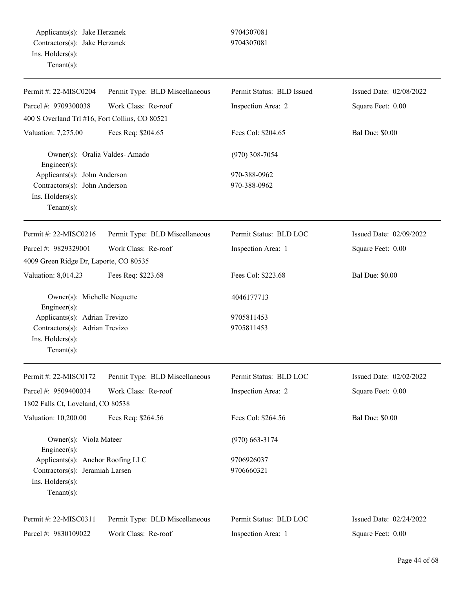| Permit #: 22-MISC0204                                                                                     | Permit Type: BLD Miscellaneous | Permit Status: BLD Issued    | Issued Date: 02/08/2022 |
|-----------------------------------------------------------------------------------------------------------|--------------------------------|------------------------------|-------------------------|
| Parcel #: 9709300038                                                                                      | Work Class: Re-roof            | Inspection Area: 2           | Square Feet: 0.00       |
| 400 S Overland Trl #16, Fort Collins, CO 80521                                                            |                                |                              |                         |
| Valuation: 7,275.00                                                                                       | Fees Req: \$204.65             | Fees Col: \$204.65           | <b>Bal Due: \$0.00</b>  |
| Owner(s): Oralia Valdes-Amado<br>Engineer(s):                                                             |                                | $(970)$ 308-7054             |                         |
| Applicants(s): John Anderson<br>Contractors(s): John Anderson<br>Ins. Holders(s):<br>Tenant $(s)$ :       |                                | 970-388-0962<br>970-388-0962 |                         |
| Permit #: 22-MISC0216                                                                                     | Permit Type: BLD Miscellaneous | Permit Status: BLD LOC       | Issued Date: 02/09/2022 |
| Parcel #: 9829329001                                                                                      | Work Class: Re-roof            | Inspection Area: 1           | Square Feet: 0.00       |
| 4009 Green Ridge Dr, Laporte, CO 80535                                                                    |                                |                              |                         |
| Valuation: 8,014.23                                                                                       | Fees Req: \$223.68             | Fees Col: \$223.68           | <b>Bal Due: \$0.00</b>  |
| Owner(s): Michelle Nequette<br>Engineer(s):                                                               |                                | 4046177713                   |                         |
| Applicants(s): Adrian Trevizo<br>Contractors(s): Adrian Trevizo<br>Ins. Holders(s):<br>Tenant $(s)$ :     |                                | 9705811453<br>9705811453     |                         |
| Permit #: $22-MISCO172$                                                                                   | Permit Type: BLD Miscellaneous | Permit Status: BLD LOC       | Issued Date: 02/02/2022 |
| Parcel #: 9509400034<br>1802 Falls Ct, Loveland, CO 80538                                                 | Work Class: Re-roof            | Inspection Area: 2           | Square Feet: 0.00       |
| Valuation: 10,200.00                                                                                      | Fees Req: \$264.56             | Fees Col: \$264.56           | <b>Bal Due: \$0.00</b>  |
| Owner(s): Viola Mateer<br>Engineer $(s)$ :                                                                |                                | $(970)$ 663-3174             |                         |
| Applicants(s): Anchor Roofing LLC<br>Contractors(s): Jeramiah Larsen<br>Ins. Holders(s):<br>$Tenant(s)$ : |                                | 9706926037<br>9706660321     |                         |
| Permit #: 22-MISC0311                                                                                     | Permit Type: BLD Miscellaneous | Permit Status: BLD LOC       | Issued Date: 02/24/2022 |
| Parcel #: 9830109022                                                                                      | Work Class: Re-roof            | Inspection Area: 1           | Square Feet: 0.00       |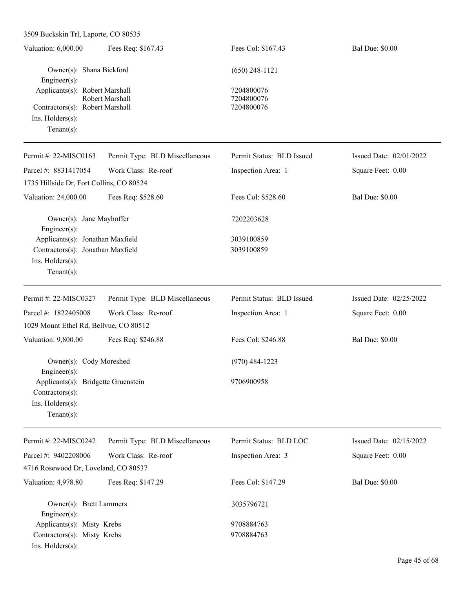| Valuation: 6,000.00                                                                                        | Fees Req: \$167.43             | Fees Col: \$167.43                     | <b>Bal Due: \$0.00</b>  |
|------------------------------------------------------------------------------------------------------------|--------------------------------|----------------------------------------|-------------------------|
| Owner(s): Shana Bickford<br>Engineer(s):                                                                   |                                | $(650)$ 248-1121                       |                         |
| Applicants(s): Robert Marshall<br>Contractors(s): Robert Marshall<br>Ins. Holders(s):<br>$Tenant(s)$ :     | Robert Marshall                | 7204800076<br>7204800076<br>7204800076 |                         |
| Permit #: 22-MISC0163                                                                                      | Permit Type: BLD Miscellaneous | Permit Status: BLD Issued              | Issued Date: 02/01/2022 |
| Parcel #: 8831417054<br>1735 Hillside Dr, Fort Collins, CO 80524                                           | Work Class: Re-roof            | Inspection Area: 1                     | Square Feet: 0.00       |
| Valuation: 24,000.00                                                                                       | Fees Req: \$528.60             | Fees Col: \$528.60                     | <b>Bal Due: \$0.00</b>  |
| Owner(s): Jane Mayhoffer<br>Engineer(s):                                                                   |                                | 7202203628                             |                         |
| Applicants(s): Jonathan Maxfield<br>Contractors(s): Jonathan Maxfield<br>Ins. Holders(s):<br>$Tenant(s)$ : |                                | 3039100859<br>3039100859               |                         |
| Permit #: 22-MISC0327                                                                                      | Permit Type: BLD Miscellaneous | Permit Status: BLD Issued              | Issued Date: 02/25/2022 |
| Parcel #: 1822405008                                                                                       | Work Class: Re-roof            | Inspection Area: 1                     | Square Feet: 0.00       |
| 1029 Mount Ethel Rd, Bellvue, CO 80512                                                                     |                                |                                        |                         |
| Valuation: 9,800.00                                                                                        | Fees Req: \$246.88             | Fees Col: \$246.88                     | <b>Bal Due: \$0.00</b>  |
| Owner(s): Cody Moreshed<br>Engineer(s):                                                                    |                                | $(970)$ 484-1223                       |                         |
| Applicants(s): Bridgette Gruenstein<br>Contractors(s):<br>Ins. Holders(s):<br>$Tenant(s)$ :                |                                | 9706900958                             |                         |
| Permit #: 22-MISC0242                                                                                      | Permit Type: BLD Miscellaneous | Permit Status: BLD LOC                 | Issued Date: 02/15/2022 |
| Parcel #: 9402208006<br>4716 Rosewood Dr, Loveland, CO 80537                                               | Work Class: Re-roof            | Inspection Area: 3                     | Square Feet: 0.00       |
| Valuation: 4,978.80                                                                                        | Fees Req: \$147.29             | Fees Col: \$147.29                     | <b>Bal Due: \$0.00</b>  |
| Owner(s): Brett Lammers<br>Engineer(s):                                                                    |                                | 3035796721                             |                         |
| Applicants(s): Misty Krebs<br>Contractors(s): Misty Krebs<br>Ins. Holders(s):                              |                                | 9708884763<br>9708884763               |                         |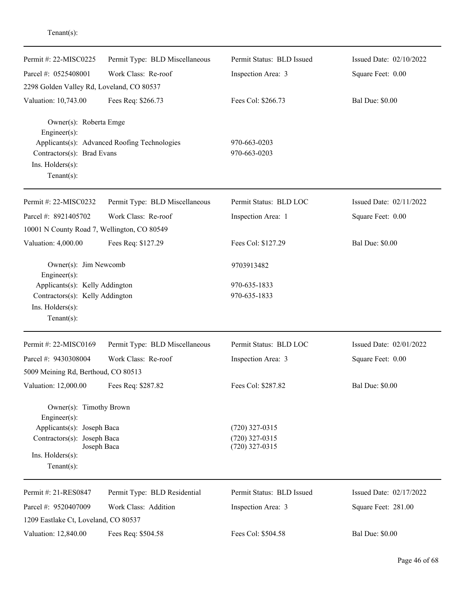| Permit #: 22-MISC0225                          | Permit Type: BLD Miscellaneous               | Permit Status: BLD Issued            | Issued Date: 02/10/2022 |
|------------------------------------------------|----------------------------------------------|--------------------------------------|-------------------------|
| Parcel #: 0525408001                           | Work Class: Re-roof                          | Inspection Area: 3                   | Square Feet: 0.00       |
| 2298 Golden Valley Rd, Loveland, CO 80537      |                                              |                                      |                         |
| Valuation: 10,743.00                           | Fees Req: \$266.73                           | Fees Col: \$266.73                   | <b>Bal Due: \$0.00</b>  |
| Owner(s): Roberta Emge<br>$Engineering(s)$ :   |                                              |                                      |                         |
| Contractors(s): Brad Evans<br>Ins. Holders(s): | Applicants(s): Advanced Roofing Technologies | 970-663-0203<br>970-663-0203         |                         |
| Tenant $(s)$ :                                 |                                              |                                      |                         |
| Permit #: 22-MISC0232                          | Permit Type: BLD Miscellaneous               | Permit Status: BLD LOC               | Issued Date: 02/11/2022 |
| Parcel #: 8921405702                           | Work Class: Re-roof                          | Inspection Area: 1                   | Square Feet: 0.00       |
| 10001 N County Road 7, Wellington, CO 80549    |                                              |                                      |                         |
| Valuation: 4,000.00                            | Fees Req: \$127.29                           | Fees Col: \$127.29                   | <b>Bal Due: \$0.00</b>  |
| Owner(s): Jim Newcomb<br>Engineer(s):          |                                              | 9703913482                           |                         |
| Applicants(s): Kelly Addington                 |                                              | 970-635-1833                         |                         |
| Contractors(s): Kelly Addington                |                                              | 970-635-1833                         |                         |
| Ins. Holders(s):<br>Tenant $(s)$ :             |                                              |                                      |                         |
| Permit #: 22-MISC0169                          | Permit Type: BLD Miscellaneous               | Permit Status: BLD LOC               | Issued Date: 02/01/2022 |
| Parcel #: 9430308004                           | Work Class: Re-roof                          | Inspection Area: 3                   | Square Feet: 0.00       |
| 5009 Meining Rd, Berthoud, CO 80513            |                                              |                                      |                         |
| Valuation: 12,000.00                           | Fees Req: \$287.82                           | Fees Col: \$287.82                   | <b>Bal Due: \$0.00</b>  |
| Owner(s): Timothy Brown<br>Engineer $(s)$ :    |                                              |                                      |                         |
| Applicants(s): Joseph Baca                     |                                              | $(720)$ 327-0315                     |                         |
| Contractors(s): Joseph Baca                    | Joseph Baca                                  | $(720)$ 327-0315<br>$(720)$ 327-0315 |                         |
| $Ins.$ Holders $(s)$ :<br>Tenant $(s)$ :       |                                              |                                      |                         |
| Permit #: 21-RES0847                           | Permit Type: BLD Residential                 | Permit Status: BLD Issued            | Issued Date: 02/17/2022 |
| Parcel #: 9520407009                           | Work Class: Addition                         | Inspection Area: 3                   | Square Feet: 281.00     |
| 1209 Eastlake Ct, Loveland, CO 80537           |                                              |                                      |                         |
| Valuation: 12,840.00                           | Fees Req: \$504.58                           | Fees Col: \$504.58                   | <b>Bal Due: \$0.00</b>  |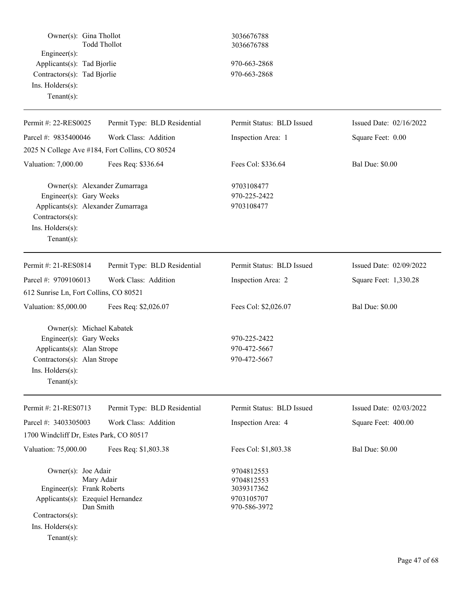| Owner(s): Gina Thollot<br>Engineer(s):<br>Applicants(s): Tad Bjorlie<br>Contractors(s): Tad Bjorlie<br>Ins. Holders(s):<br>Tenant $(s)$ :                                  | <b>Todd Thollot</b>          | 3036676788<br>3036676788<br>970-663-2868<br>970-663-2868             |                         |
|----------------------------------------------------------------------------------------------------------------------------------------------------------------------------|------------------------------|----------------------------------------------------------------------|-------------------------|
| Permit #: 22-RES0025                                                                                                                                                       | Permit Type: BLD Residential | Permit Status: BLD Issued                                            | Issued Date: 02/16/2022 |
| Parcel #: 9835400046                                                                                                                                                       | Work Class: Addition         | Inspection Area: 1                                                   | Square Feet: 0.00       |
| 2025 N College Ave #184, Fort Collins, CO 80524                                                                                                                            |                              |                                                                      |                         |
| Valuation: 7,000.00                                                                                                                                                        | Fees Req: \$336.64           | Fees Col: \$336.64                                                   | <b>Bal Due: \$0.00</b>  |
| Owner(s): Alexander Zumarraga<br>Engineer(s): Gary Weeks<br>Applicants(s): Alexander Zumarraga<br>Contractors(s):<br>Ins. Holders(s):<br>Tenant $(s)$ :                    |                              | 9703108477<br>970-225-2422<br>9703108477                             |                         |
| Permit #: 21-RES0814                                                                                                                                                       | Permit Type: BLD Residential | Permit Status: BLD Issued                                            | Issued Date: 02/09/2022 |
| Parcel #: 9709106013                                                                                                                                                       | Work Class: Addition         | Inspection Area: 2                                                   | Square Feet: 1,330.28   |
| 612 Sunrise Ln, Fort Collins, CO 80521                                                                                                                                     |                              |                                                                      |                         |
| Valuation: 85,000.00                                                                                                                                                       | Fees Req: \$2,026.07         | Fees Col: \$2,026.07                                                 | <b>Bal Due: \$0.00</b>  |
| Owner(s): Michael Kabatek<br>Engineer(s): Gary Weeks<br>Applicants(s): Alan Strope<br>Contractors(s): Alan Strope<br>Ins. Holders(s):<br>Tenant $(s)$ :                    |                              | 970-225-2422<br>970-472-5667<br>970-472-5667                         |                         |
| Permit #: 21-RES0713                                                                                                                                                       | Permit Type: BLD Residential | Permit Status: BLD Issued                                            | Issued Date: 02/03/2022 |
| Parcel #: 3403305003                                                                                                                                                       | Work Class: Addition         | Inspection Area: 4                                                   | Square Feet: 400.00     |
| 1700 Windcliff Dr, Estes Park, CO 80517                                                                                                                                    |                              |                                                                      |                         |
| Valuation: 75,000.00                                                                                                                                                       | Fees Req: \$1,803.38         | Fees Col: \$1,803.38                                                 | <b>Bal Due: \$0.00</b>  |
| Owner(s): Joe Adair<br>Mary Adair<br>Engineer(s): Frank Roberts<br>Applicants(s): Ezequiel Hernandez<br>Dan Smith<br>Contractors(s):<br>Ins. Holders(s):<br>Tenant $(s)$ : |                              | 9704812553<br>9704812553<br>3039317362<br>9703105707<br>970-586-3972 |                         |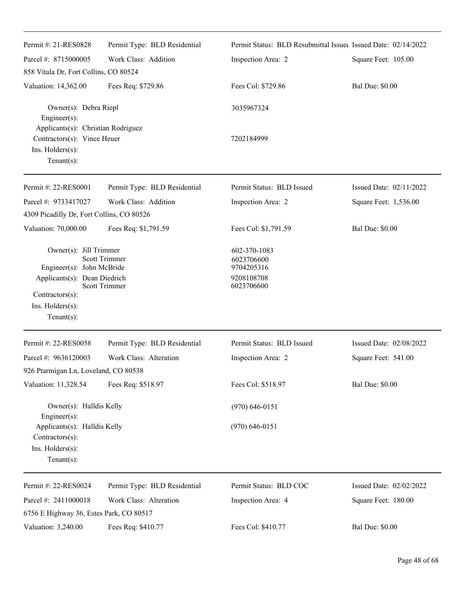| Permit #: 21-RES0828                                                                                                                        | Permit Type: BLD Residential                 | Permit Status: BLD Resubmittal Issued Issued Date: 02/14/2022        |                         |
|---------------------------------------------------------------------------------------------------------------------------------------------|----------------------------------------------|----------------------------------------------------------------------|-------------------------|
| Parcel #: 8715000005                                                                                                                        | Work Class: Addition                         | Inspection Area: 2                                                   | Square Feet: 105.00     |
| 858 Vitala Dr, Fort Collins, CO 80524                                                                                                       |                                              |                                                                      |                         |
| Valuation: 14,362.00                                                                                                                        | Fees Req: \$729.86                           | Fees Col: \$729.86                                                   | <b>Bal Due: \$0.00</b>  |
| Owner(s): Debra Riepl<br>Engineer(s):                                                                                                       |                                              | 3035967324                                                           |                         |
| Applicants(s): Christian Rodriguez<br>Contractors(s): Vince Heuer<br>Ins. $H$ olders $(s)$ :<br>$Tenant(s)$ :                               |                                              | 7202184999                                                           |                         |
| Permit #: 22-RES0001                                                                                                                        | Permit Type: BLD Residential                 | Permit Status: BLD Issued                                            | Issued Date: 02/11/2022 |
| Parcel #: 9733417027                                                                                                                        | Work Class: Addition                         | Inspection Area: 2                                                   | Square Feet: 1,536.00   |
| 4309 Picadilly Dr, Fort Collins, CO 80526                                                                                                   |                                              |                                                                      |                         |
| Valuation: 70,000.00                                                                                                                        | Fees Req: \$1,791.59                         | Fees Col: \$1,791.59                                                 | <b>Bal Due: \$0.00</b>  |
| Owner(s): Jill Trimmer<br>Engineer(s): John McBride<br>Applicants(s): Dean Diedrich<br>Contractors(s):<br>Ins. Holders(s):<br>$Tenant(s)$ : | <b>Scott Trimmer</b><br><b>Scott Trimmer</b> | 602-370-1083<br>6023706600<br>9704205316<br>9208108708<br>6023706600 |                         |
| Permit #: 22-RES0058                                                                                                                        | Permit Type: BLD Residential                 | Permit Status: BLD Issued                                            | Issued Date: 02/08/2022 |
| Parcel #: 9636120003<br>926 Ptarmigan Ln, Loveland, CO 80538                                                                                | Work Class: Alteration                       | Inspection Area: 2                                                   | Square Feet: 541.00     |
| Valuation: 11,328.54                                                                                                                        | Fees Req: \$518.97                           | Fees Col: \$518.97                                                   | <b>Bal Due: \$0.00</b>  |
| Owner(s): Halldis Kelly<br>Engineer(s):                                                                                                     |                                              | $(970) 646 - 0151$                                                   |                         |
| Applicants(s): Halldis Kelly<br>Contractors(s):<br>Ins. Holders(s):<br>$Tenant(s)$ :                                                        |                                              | $(970)$ 646-0151                                                     |                         |
| Permit #: 22-RES0024                                                                                                                        | Permit Type: BLD Residential                 | Permit Status: BLD COC                                               | Issued Date: 02/02/2022 |
| Parcel #: 2411000018                                                                                                                        | Work Class: Alteration                       | Inspection Area: 4                                                   | Square Feet: 180.00     |
| 6756 E Highway 36, Estes Park, CO 80517                                                                                                     |                                              |                                                                      |                         |
| Valuation: 3,240.00                                                                                                                         | Fees Req: \$410.77                           | Fees Col: \$410.77                                                   | <b>Bal Due: \$0.00</b>  |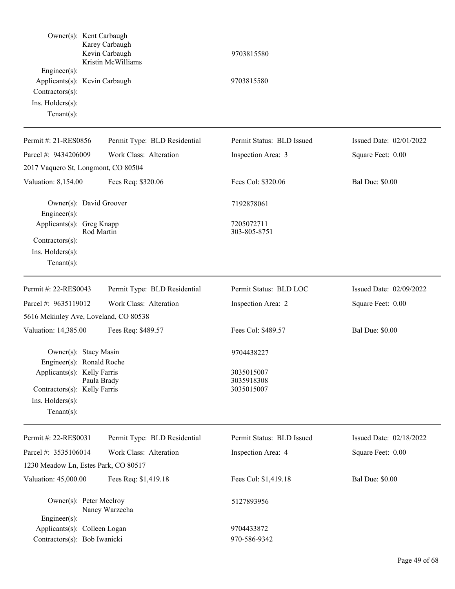| $Engineering(s)$ :<br>Contractors(s):<br>Ins. Holders(s):<br>Tenant $(s)$ :                       | Owner(s): Kent Carbaugh<br>Karey Carbaugh<br>Kevin Carbaugh<br>Kristin McWilliams<br>Applicants(s): Kevin Carbaugh | 9703815580<br>9703815580               |                         |
|---------------------------------------------------------------------------------------------------|--------------------------------------------------------------------------------------------------------------------|----------------------------------------|-------------------------|
| Permit #: 21-RES0856                                                                              | Permit Type: BLD Residential                                                                                       | Permit Status: BLD Issued              | Issued Date: 02/01/2022 |
| Parcel #: 9434206009                                                                              | Work Class: Alteration                                                                                             | Inspection Area: 3                     | Square Feet: 0.00       |
|                                                                                                   | 2017 Vaquero St, Longmont, CO 80504                                                                                |                                        |                         |
| Valuation: 8,154.00                                                                               | Fees Req: \$320.06                                                                                                 | Fees Col: \$320.06                     | <b>Bal Due: \$0.00</b>  |
| Engineer(s):                                                                                      | Owner(s): David Groover                                                                                            | 7192878061                             |                         |
| Applicants(s): Greg Knapp<br>Contractors(s):<br>Ins. Holders(s):<br>Tenant $(s)$ :                | Rod Martin                                                                                                         | 7205072711<br>303-805-8751             |                         |
| Permit #: 22-RES0043                                                                              | Permit Type: BLD Residential                                                                                       | Permit Status: BLD LOC                 | Issued Date: 02/09/2022 |
| Parcel #: 9635119012                                                                              | Work Class: Alteration                                                                                             | Inspection Area: 2                     | Square Feet: 0.00       |
|                                                                                                   | 5616 Mckinley Ave, Loveland, CO 80538                                                                              |                                        |                         |
| Valuation: 14,385.00                                                                              | Fees Req: \$489.57                                                                                                 | Fees Col: \$489.57                     | <b>Bal Due: \$0.00</b>  |
|                                                                                                   | Owner(s): Stacy Masin<br>Engineer(s): Ronald Roche                                                                 | 9704438227                             |                         |
| Applicants(s): Kelly Farris<br>Contractors(s): Kelly Farris<br>Ins. Holders(s):<br>Tenant $(s)$ : | Paula Brady                                                                                                        | 3035015007<br>3035918308<br>3035015007 |                         |
| Permit #: 22-RES0031                                                                              | Permit Type: BLD Residential                                                                                       | Permit Status: BLD Issued              | Issued Date: 02/18/2022 |
| Parcel #: 3535106014                                                                              | Work Class: Alteration                                                                                             | Inspection Area: 4                     | Square Feet: 0.00       |
|                                                                                                   | 1230 Meadow Ln, Estes Park, CO 80517                                                                               |                                        |                         |
| Valuation: 45,000.00                                                                              | Fees Req: \$1,419.18                                                                                               | Fees Col: \$1,419.18                   | <b>Bal Due: \$0.00</b>  |
| Engineer(s):                                                                                      | Owner(s): Peter Mcelroy<br>Nancy Warzecha                                                                          | 5127893956                             |                         |
| Applicants(s): Colleen Logan                                                                      |                                                                                                                    | 9704433872                             |                         |
| Contractors(s): Bob Iwanicki                                                                      |                                                                                                                    | 970-586-9342                           |                         |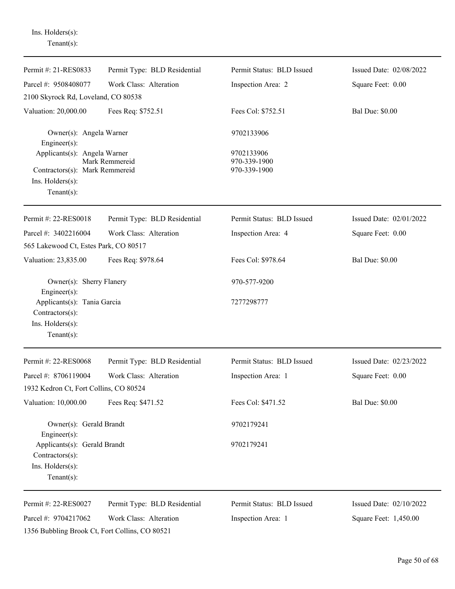| $Tenant(s)$ :                                                                                              |                              |                                            |                         |
|------------------------------------------------------------------------------------------------------------|------------------------------|--------------------------------------------|-------------------------|
| Permit #: 21-RES0833                                                                                       | Permit Type: BLD Residential | Permit Status: BLD Issued                  | Issued Date: 02/08/2022 |
| Parcel #: 9508408077                                                                                       | Work Class: Alteration       | Inspection Area: 2                         | Square Feet: 0.00       |
| 2100 Skyrock Rd, Loveland, CO 80538                                                                        |                              |                                            |                         |
| Valuation: 20,000.00                                                                                       | Fees Req: \$752.51           | Fees Col: \$752.51                         | <b>Bal Due: \$0.00</b>  |
| Owner(s): Angela Warner<br>Engineer(s):                                                                    |                              | 9702133906                                 |                         |
| Applicants(s): Angela Warner<br>Contractors(s): Mark Remmereid<br>$Ins.$ Holders $(s)$ :<br>Tenant $(s)$ : | Mark Remmereid               | 9702133906<br>970-339-1900<br>970-339-1900 |                         |
| Permit #: 22-RES0018                                                                                       | Permit Type: BLD Residential | Permit Status: BLD Issued                  | Issued Date: 02/01/2022 |
| Parcel #: 3402216004                                                                                       | Work Class: Alteration       | Inspection Area: 4                         | Square Feet: 0.00       |
| 565 Lakewood Ct, Estes Park, CO 80517                                                                      |                              |                                            |                         |
| Valuation: 23,835.00                                                                                       | Fees Req: \$978.64           | Fees Col: \$978.64                         | <b>Bal Due: \$0.00</b>  |
| Owner(s): Sherry Flanery<br>Engineer(s):                                                                   |                              | 970-577-9200                               |                         |
| Applicants(s): Tania Garcia<br>Contractors(s):                                                             |                              | 7277298777                                 |                         |
| Ins. Holders(s):<br>Tenant $(s)$ :                                                                         |                              |                                            |                         |
| Permit #: 22-RES0068                                                                                       | Permit Type: BLD Residential | Permit Status: BLD Issued                  | Issued Date: 02/23/2022 |
| Parcel #: 8706119004                                                                                       | Work Class: Alteration       | Inspection Area: 1                         | Square Feet: 0.00       |
| 1932 Kedron Ct, Fort Collins, CO 80524                                                                     |                              |                                            |                         |
| Valuation: 10,000.00                                                                                       | Fees Req: \$471.52           | Fees Col: \$471.52                         | <b>Bal Due: \$0.00</b>  |
| Owner(s): Gerald Brandt<br>Engineer(s):                                                                    |                              | 9702179241                                 |                         |
| Applicants(s): Gerald Brandt<br>Contractors(s):                                                            |                              | 9702179241                                 |                         |
| Ins. Holders(s):<br>$Tenant(s)$ :                                                                          |                              |                                            |                         |
| Permit #: 22-RES0027                                                                                       | Permit Type: BLD Residential | Permit Status: BLD Issued                  | Issued Date: 02/10/2022 |
| Parcel #: 9704217062                                                                                       | Work Class: Alteration       | Inspection Area: 1                         | Square Feet: 1,450.00   |
| 1356 Bubbling Brook Ct, Fort Collins, CO 80521                                                             |                              |                                            |                         |

Ins. Holders(s):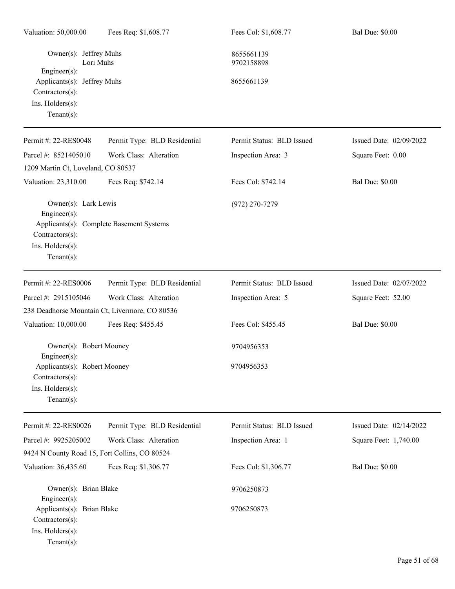| Valuation: 50,000.00                                                                                       | Fees Req: \$1,608.77                           | Fees Col: \$1,608.77      | <b>Bal Due: \$0.00</b>  |
|------------------------------------------------------------------------------------------------------------|------------------------------------------------|---------------------------|-------------------------|
| Owner(s): Jeffrey Muhs<br>Lori Muhs                                                                        |                                                | 8655661139<br>9702158898  |                         |
| Engineer(s):<br>Applicants(s): Jeffrey Muhs<br>Contractors(s):<br>Ins. Holders(s):<br>$Tenant(s)$ :        |                                                | 8655661139                |                         |
| Permit #: 22-RES0048                                                                                       | Permit Type: BLD Residential                   | Permit Status: BLD Issued | Issued Date: 02/09/2022 |
| Parcel #: 8521405010                                                                                       | Work Class: Alteration                         | Inspection Area: 3        | Square Feet: 0.00       |
| 1209 Martin Ct, Loveland, CO 80537                                                                         |                                                |                           |                         |
| Valuation: 23,310.00                                                                                       | Fees Req: \$742.14                             | Fees Col: \$742.14        | <b>Bal Due: \$0.00</b>  |
| Owner(s): Lark Lewis<br>Engineer(s):<br>Contractors(s):<br>Ins. Holders(s):<br>$Tenant(s)$ :               | Applicants(s): Complete Basement Systems       | $(972)$ 270-7279          |                         |
| Permit #: 22-RES0006                                                                                       | Permit Type: BLD Residential                   | Permit Status: BLD Issued | Issued Date: 02/07/2022 |
| Parcel #: 2915105046                                                                                       | Work Class: Alteration                         | Inspection Area: 5        | Square Feet: 52.00      |
|                                                                                                            | 238 Deadhorse Mountain Ct, Livermore, CO 80536 |                           |                         |
| Valuation: 10,000.00                                                                                       | Fees Req: \$455.45                             | Fees Col: \$455.45        | <b>Bal Due: \$0.00</b>  |
| Owner(s): Robert Mooney                                                                                    |                                                | 9704956353                |                         |
| $Engineering(s)$ :<br>Applicants(s): Robert Mooney<br>Contractors(s):<br>Ins. Holders(s):<br>$Tenant(s)$ : |                                                | 9704956353                |                         |
| Permit #: 22-RES0026                                                                                       | Permit Type: BLD Residential                   | Permit Status: BLD Issued | Issued Date: 02/14/2022 |
| Parcel #: 9925205002                                                                                       | Work Class: Alteration                         | Inspection Area: 1        | Square Feet: 1,740.00   |
| 9424 N County Road 15, Fort Collins, CO 80524                                                              |                                                |                           |                         |
| Valuation: 36,435.60                                                                                       | Fees Req: \$1,306.77                           | Fees Col: \$1,306.77      | <b>Bal Due: \$0.00</b>  |
| Owner(s): Brian Blake<br>Engineer(s):                                                                      |                                                | 9706250873                |                         |
| Applicants(s): Brian Blake<br>Contractors(s):<br>Ins. Holders(s):<br>$Tenant(s)$ :                         |                                                | 9706250873                |                         |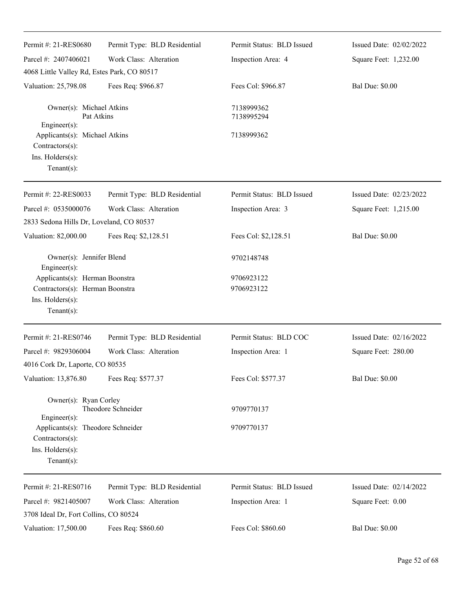| Permit #: 21-RES0680                                                                                        | Permit Type: BLD Residential | Permit Status: BLD Issued | Issued Date: 02/02/2022 |
|-------------------------------------------------------------------------------------------------------------|------------------------------|---------------------------|-------------------------|
| Parcel #: 2407406021                                                                                        | Work Class: Alteration       | Inspection Area: 4        | Square Feet: 1,232.00   |
| 4068 Little Valley Rd, Estes Park, CO 80517                                                                 |                              |                           |                         |
| Valuation: 25,798.08                                                                                        | Fees Req: \$966.87           | Fees Col: \$966.87        | <b>Bal Due: \$0.00</b>  |
| Owner(s): Michael Atkins<br>Pat Atkins                                                                      |                              | 7138999362<br>7138995294  |                         |
| $Engineering(s)$ :<br>Applicants(s): Michael Atkins<br>Contractors(s):<br>Ins. Holders(s):<br>$Tenant(s)$ : |                              | 7138999362                |                         |
| Permit #: 22-RES0033                                                                                        | Permit Type: BLD Residential | Permit Status: BLD Issued | Issued Date: 02/23/2022 |
| Parcel #: 0535000076                                                                                        | Work Class: Alteration       | Inspection Area: 3        | Square Feet: 1,215.00   |
| 2833 Sedona Hills Dr, Loveland, CO 80537                                                                    |                              |                           |                         |
| Valuation: 82,000.00                                                                                        | Fees Req: \$2,128.51         | Fees Col: \$2,128.51      | <b>Bal Due: \$0.00</b>  |
| Owner(s): Jennifer Blend<br>Engineer $(s)$ :                                                                |                              | 9702148748                |                         |
| Applicants(s): Herman Boonstra                                                                              |                              | 9706923122                |                         |
| Contractors(s): Herman Boonstra<br>Ins. Holders(s):<br>Tenant $(s)$ :                                       |                              | 9706923122                |                         |
| Permit #: 21-RES0746                                                                                        | Permit Type: BLD Residential | Permit Status: BLD COC    | Issued Date: 02/16/2022 |
| Parcel #: 9829306004                                                                                        | Work Class: Alteration       | Inspection Area: 1        | Square Feet: 280.00     |
| 4016 Cork Dr, Laporte, CO 80535                                                                             |                              |                           |                         |
| Valuation: 13,876.80                                                                                        | Fees Req: \$577.37           | Fees Col: \$577.37        | <b>Bal Due: \$0.00</b>  |
| Owner(s): Ryan Corley<br>$Engineering(s)$ :                                                                 | Theodore Schneider           | 9709770137                |                         |
| Applicants(s): Theodore Schneider<br>Contractors(s):<br>Ins. Holders(s):<br>Tenant $(s)$ :                  |                              | 9709770137                |                         |
| Permit #: 21-RES0716                                                                                        | Permit Type: BLD Residential | Permit Status: BLD Issued | Issued Date: 02/14/2022 |
| Parcel #: 9821405007<br>3708 Ideal Dr, Fort Collins, CO 80524                                               | Work Class: Alteration       | Inspection Area: 1        | Square Feet: 0.00       |
| Valuation: 17,500.00                                                                                        | Fees Req: \$860.60           | Fees Col: \$860.60        | <b>Bal Due: \$0.00</b>  |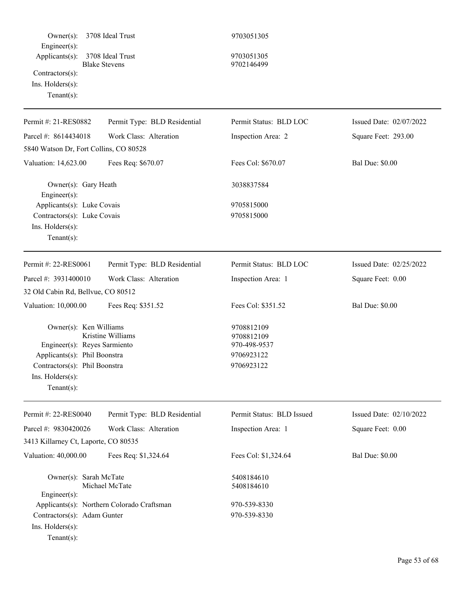| $Owner(s)$ :                                                                                                                                                        | 3708 Ideal Trust                           | 9703051305                                                           |                         |
|---------------------------------------------------------------------------------------------------------------------------------------------------------------------|--------------------------------------------|----------------------------------------------------------------------|-------------------------|
| Engineer $(s)$ :<br>Applicants(s):<br>Contractors(s):<br>Ins. Holders(s):<br>$Tenant(s)$ :                                                                          | 3708 Ideal Trust<br><b>Blake Stevens</b>   | 9703051305<br>9702146499                                             |                         |
| Permit #: 21-RES0882                                                                                                                                                | Permit Type: BLD Residential               | Permit Status: BLD LOC                                               | Issued Date: 02/07/2022 |
| Parcel #: 8614434018                                                                                                                                                | Work Class: Alteration                     | Inspection Area: 2                                                   | Square Feet: 293.00     |
| 5840 Watson Dr, Fort Collins, CO 80528                                                                                                                              |                                            |                                                                      |                         |
| Valuation: 14,623.00                                                                                                                                                | Fees Req: \$670.07                         | Fees Col: \$670.07                                                   | <b>Bal Due: \$0.00</b>  |
| Owner(s): Gary Heath<br>Engineer(s):                                                                                                                                |                                            | 3038837584                                                           |                         |
| Applicants(s): Luke Covais<br>Contractors(s): Luke Covais<br>Ins. Holders(s):<br>Tenant $(s)$ :                                                                     |                                            | 9705815000<br>9705815000                                             |                         |
| Permit #: 22-RES0061                                                                                                                                                | Permit Type: BLD Residential               | Permit Status: BLD LOC                                               | Issued Date: 02/25/2022 |
| Parcel #: 3931400010                                                                                                                                                | Work Class: Alteration                     | Inspection Area: 1                                                   | Square Feet: 0.00       |
| 32 Old Cabin Rd, Bellvue, CO 80512                                                                                                                                  |                                            |                                                                      |                         |
| Valuation: 10,000.00                                                                                                                                                | Fees Req: \$351.52                         | Fees Col: \$351.52                                                   | <b>Bal Due: \$0.00</b>  |
| Owner(s): Ken Williams<br>Engineer(s): Reyes Sarmiento<br>Applicants(s): Phil Boonstra<br>Contractors(s): Phil Boonstra<br>$Ins.$ Holders $(s)$ :<br>Tenant $(s)$ : | Kristine Williams                          | 9708812109<br>9708812109<br>970-498-9537<br>9706923122<br>9706923122 |                         |
| Permit #: 22-RES0040                                                                                                                                                | Permit Type: BLD Residential               | Permit Status: BLD Issued                                            | Issued Date: 02/10/2022 |
| Parcel #: 9830420026                                                                                                                                                | Work Class: Alteration                     | Inspection Area: 1                                                   | Square Feet: 0.00       |
| 3413 Killarney Ct, Laporte, CO 80535                                                                                                                                |                                            |                                                                      |                         |
| Valuation: 40,000.00                                                                                                                                                | Fees Req: \$1,324.64                       | Fees Col: \$1,324.64                                                 | <b>Bal Due: \$0.00</b>  |
| Owner(s): Sarah McTate<br>$Engineering(s)$ :                                                                                                                        | Michael McTate                             | 5408184610<br>5408184610                                             |                         |
|                                                                                                                                                                     | Applicants(s): Northern Colorado Craftsman | 970-539-8330                                                         |                         |
| Contractors(s): Adam Gunter<br>Ins. Holders(s):<br>Tenant $(s)$ :                                                                                                   |                                            | 970-539-8330                                                         |                         |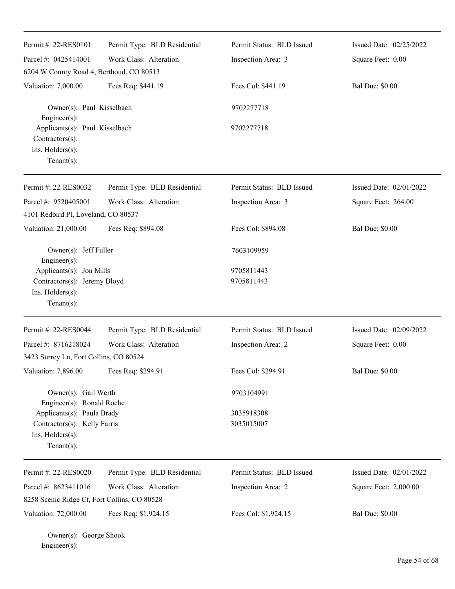| Permit #: 22-RES0101<br>Parcel #: 0425414001<br>6204 W County Road 4, Berthoud, CO 80513                                                              | Permit Type: BLD Residential<br>Work Class: Alteration | Permit Status: BLD Issued<br>Inspection Area: 3 | Issued Date: 02/25/2022<br>Square Feet: 0.00 |
|-------------------------------------------------------------------------------------------------------------------------------------------------------|--------------------------------------------------------|-------------------------------------------------|----------------------------------------------|
| Valuation: 7,000.00                                                                                                                                   | Fees Req: \$441.19                                     | Fees Col: \$441.19                              | <b>Bal Due: \$0.00</b>                       |
| Owner(s): Paul Kisselbach<br>Engineer(s):                                                                                                             |                                                        | 9702277718                                      |                                              |
| Applicants(s): Paul Kisselbach<br>Contractors(s):<br>Ins. Holders(s):<br>Tenant $(s)$ :                                                               |                                                        | 9702277718                                      |                                              |
| Permit #: 22-RES0032                                                                                                                                  | Permit Type: BLD Residential                           | Permit Status: BLD Issued                       | Issued Date: 02/01/2022                      |
| Parcel #: 9520405001<br>4101 Redbird Pl, Loveland, CO 80537                                                                                           | Work Class: Alteration                                 | Inspection Area: 3                              | Square Feet: 264.00                          |
| Valuation: 21,000.00                                                                                                                                  | Fees Req: \$894.08                                     | Fees Col: \$894.08                              | <b>Bal Due: \$0.00</b>                       |
| Owner(s): Jeff Fuller<br>Engineer(s):                                                                                                                 |                                                        | 7603109959                                      |                                              |
| Applicants(s): Jon Mills<br>Contractors(s): Jeremy Bloyd<br>Ins. Holders(s):<br>$Tenant(s)$ :                                                         |                                                        | 9705811443<br>9705811443                        |                                              |
| Permit #: 22-RES0044                                                                                                                                  | Permit Type: BLD Residential                           | Permit Status: BLD Issued                       | Issued Date: 02/09/2022                      |
| Parcel #: 8716218024<br>3423 Surrey Ln, Fort Collins, CO 80524                                                                                        | Work Class: Alteration                                 | Inspection Area: 2                              | Square Feet: 0.00                            |
| Valuation: 7,896.00                                                                                                                                   | Fees Req: \$294.91                                     | Fees Col: \$294.91                              | <b>Bal Due: \$0.00</b>                       |
| Owner(s): Gail Werth<br>Engineer(s): Ronald Roche<br>Applicants(s): Paula Brady<br>Contractors(s): Kelly Farris<br>Ins. Holders(s):<br>Tenant $(s)$ : |                                                        | 9703104991<br>3035918308<br>3035015007          |                                              |
| Permit #: 22-RES0020                                                                                                                                  | Permit Type: BLD Residential                           | Permit Status: BLD Issued                       | Issued Date: 02/01/2022                      |
| Parcel #: 8623411016                                                                                                                                  | Work Class: Alteration                                 | Inspection Area: 2                              | Square Feet: 2,000.00                        |
| 8258 Scenic Ridge Ct, Fort Collins, CO 80528<br>Valuation: 72,000.00                                                                                  | Fees Req: \$1,924.15                                   | Fees Col: \$1,924.15                            | <b>Bal Due: \$0.00</b>                       |

Owner(s): George Shook Engineer(s):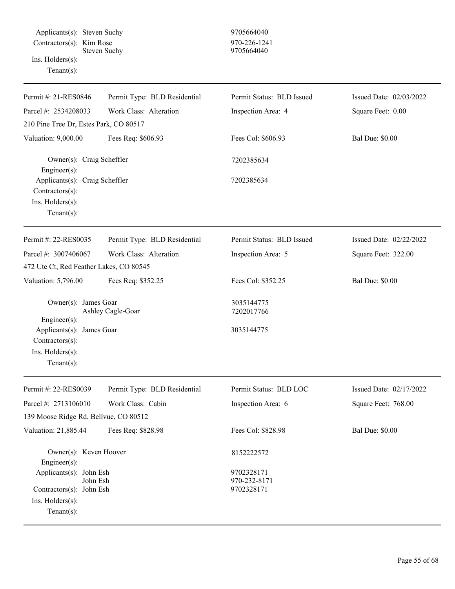Applicants(s): Steven Suchy 9705664040  $Contractors(s):$  Kim Rose 970-226-1241 Steven Suchy 9705664040 Ins. Holders(s):

Tenant(s):

| Permit #: 21-RES0846                                                                   | Permit Type: BLD Residential | Permit Status: BLD Issued  | Issued Date: 02/03/2022 |
|----------------------------------------------------------------------------------------|------------------------------|----------------------------|-------------------------|
| Parcel #: 2534208033                                                                   | Work Class: Alteration       | Inspection Area: 4         | Square Feet: 0.00       |
| 210 Pine Tree Dr, Estes Park, CO 80517                                                 |                              |                            |                         |
| Valuation: 9,000.00                                                                    | Fees Req: \$606.93           | Fees Col: \$606.93         | <b>Bal Due: \$0.00</b>  |
| Owner(s): Craig Scheffler<br>Engineer(s):                                              |                              | 7202385634                 |                         |
| Applicants(s): Craig Scheffler<br>Contractors(s):<br>Ins. Holders(s):<br>$Tenant(s)$ : |                              | 7202385634                 |                         |
| Permit #: 22-RES0035                                                                   | Permit Type: BLD Residential | Permit Status: BLD Issued  | Issued Date: 02/22/2022 |
| Parcel #: 3007406067                                                                   | Work Class: Alteration       | Inspection Area: 5         | Square Feet: 322.00     |
| 472 Ute Ct, Red Feather Lakes, CO 80545                                                |                              |                            |                         |
| Valuation: 5,796.00                                                                    | Fees Req: \$352.25           | Fees Col: \$352.25         | <b>Bal Due: \$0.00</b>  |
| Owner(s): James Goar<br>Engineer(s):                                                   | Ashley Cagle-Goar            | 3035144775<br>7202017766   |                         |
| Applicants(s): James Goar<br>Contractors(s):<br>Ins. Holders(s):<br>Tenant $(s)$ :     |                              | 3035144775                 |                         |
| Permit #: 22-RES0039                                                                   | Permit Type: BLD Residential | Permit Status: BLD LOC     | Issued Date: 02/17/2022 |
| Parcel #: 2713106010                                                                   | Work Class: Cabin            | Inspection Area: 6         | Square Feet: 768.00     |
| 139 Moose Ridge Rd, Bellvue, CO 80512                                                  |                              |                            |                         |
| Valuation: 21,885.44                                                                   | Fees Req: \$828.98           | Fees Col: \$828.98         | <b>Bal Due: \$0.00</b>  |
| Owner(s): Keven Hoover<br>Engineer(s):                                                 |                              | 8152222572                 |                         |
| Applicants(s): John Esh<br>John Esh                                                    |                              | 9702328171<br>970-232-8171 |                         |
| Contractors(s): John Esh                                                               |                              | 9702328171                 |                         |
| $Ins.$ Holders $(s)$ :                                                                 |                              |                            |                         |
| Tenant $(s)$ :                                                                         |                              |                            |                         |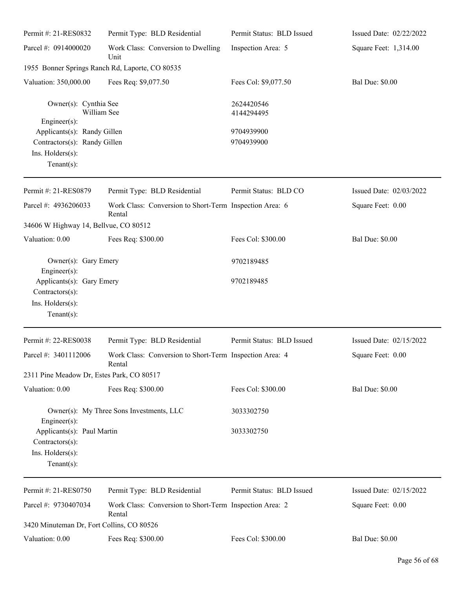| Permit #: 21-RES0832                            | Permit Type: BLD Residential                                      | Permit Status: BLD Issued | Issued Date: 02/22/2022 |
|-------------------------------------------------|-------------------------------------------------------------------|---------------------------|-------------------------|
| Parcel #: 0914000020                            | Work Class: Conversion to Dwelling<br>Unit                        | Inspection Area: 5        | Square Feet: 1,314.00   |
|                                                 | 1955 Bonner Springs Ranch Rd, Laporte, CO 80535                   |                           |                         |
| Valuation: 350,000.00                           | Fees Req: \$9,077.50                                              | Fees Col: \$9,077.50      | <b>Bal Due: \$0.00</b>  |
| Owner(s): Cynthia See                           | William See                                                       | 2624420546<br>4144294495  |                         |
| Engineer $(s)$ :<br>Applicants(s): Randy Gillen |                                                                   | 9704939900                |                         |
| Contractors(s): Randy Gillen                    |                                                                   | 9704939900                |                         |
| Ins. Holders(s):                                |                                                                   |                           |                         |
| Tenant $(s)$ :                                  |                                                                   |                           |                         |
| Permit #: 21-RES0879                            | Permit Type: BLD Residential                                      | Permit Status: BLD CO     | Issued Date: 02/03/2022 |
| Parcel #: 4936206033                            | Work Class: Conversion to Short-Term Inspection Area: 6<br>Rental |                           | Square Feet: 0.00       |
| 34606 W Highway 14, Bellvue, CO 80512           |                                                                   |                           |                         |
| Valuation: 0.00                                 | Fees Req: \$300.00                                                | Fees Col: \$300.00        | <b>Bal Due: \$0.00</b>  |
| Owner(s): Gary Emery<br>Engineer(s):            |                                                                   | 9702189485                |                         |
| Applicants(s): Gary Emery                       |                                                                   | 9702189485                |                         |
| Contractors(s):                                 |                                                                   |                           |                         |
| Ins. Holders(s):                                |                                                                   |                           |                         |
| Tenant $(s)$ :                                  |                                                                   |                           |                         |
| Permit #: 22-RES0038                            | Permit Type: BLD Residential                                      | Permit Status: BLD Issued | Issued Date: 02/15/2022 |
| Parcel #: 3401112006                            | Work Class: Conversion to Short-Term Inspection Area: 4<br>Rental |                           | Square Feet: 0.00       |
| 2311 Pine Meadow Dr, Estes Park, CO 80517       |                                                                   |                           |                         |
| Valuation: 0.00                                 | Fees Req: \$300.00                                                | Fees Col: \$300.00        | <b>Bal Due: \$0.00</b>  |
| Engineer(s):                                    | Owner(s): My Three Sons Investments, LLC                          | 3033302750                |                         |
| Applicants(s): Paul Martin                      |                                                                   | 3033302750                |                         |
| Contractors(s):                                 |                                                                   |                           |                         |
| Ins. Holders(s):                                |                                                                   |                           |                         |
| Tenant $(s)$ :                                  |                                                                   |                           |                         |
| Permit #: 21-RES0750                            | Permit Type: BLD Residential                                      | Permit Status: BLD Issued | Issued Date: 02/15/2022 |
| Parcel #: 9730407034                            | Work Class: Conversion to Short-Term Inspection Area: 2<br>Rental |                           | Square Feet: 0.00       |
| 3420 Minuteman Dr, Fort Collins, CO 80526       |                                                                   |                           |                         |
| Valuation: 0.00                                 | Fees Req: \$300.00                                                | Fees Col: \$300.00        | <b>Bal Due: \$0.00</b>  |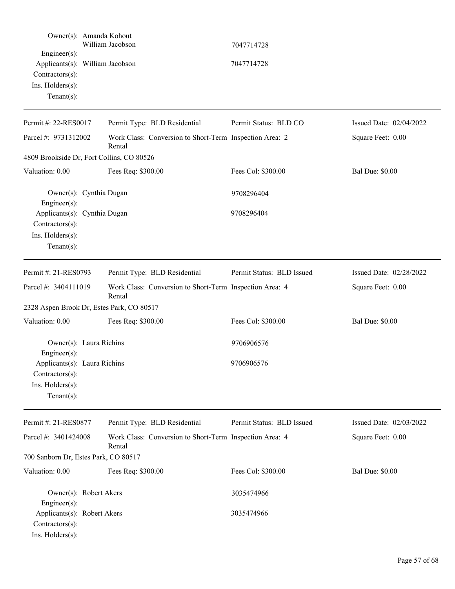|                                                                    | Owner(s): Amanda Kohout<br>William Jacobson                       | 7047714728                |                         |
|--------------------------------------------------------------------|-------------------------------------------------------------------|---------------------------|-------------------------|
| $Engineering(s)$ :<br>$Contractors(s)$ :<br>Ins. Holders(s):       | Applicants(s): William Jacobson                                   | 7047714728                |                         |
| Tenant $(s)$ :                                                     |                                                                   |                           |                         |
| Permit #: 22-RES0017                                               | Permit Type: BLD Residential                                      | Permit Status: BLD CO     | Issued Date: 02/04/2022 |
| Parcel #: 9731312002                                               | Work Class: Conversion to Short-Term Inspection Area: 2<br>Rental |                           | Square Feet: 0.00       |
|                                                                    | 4809 Brookside Dr, Fort Collins, CO 80526                         |                           |                         |
| Valuation: 0.00                                                    | Fees Req: \$300.00                                                | Fees Col: \$300.00        | <b>Bal Due: \$0.00</b>  |
| $Engineering(s)$ :                                                 | Owner(s): Cynthia Dugan                                           | 9708296404                |                         |
| Applicants(s): Cynthia Dugan<br>$Contractors(s)$ :                 |                                                                   | 9708296404                |                         |
| Ins. Holders(s):<br>Tenant $(s)$ :                                 |                                                                   |                           |                         |
| Permit #: 21-RES0793                                               | Permit Type: BLD Residential                                      | Permit Status: BLD Issued | Issued Date: 02/28/2022 |
| Parcel #: 3404111019                                               | Work Class: Conversion to Short-Term Inspection Area: 4<br>Rental |                           | Square Feet: 0.00       |
|                                                                    | 2328 Aspen Brook Dr, Estes Park, CO 80517                         |                           |                         |
| Valuation: 0.00                                                    | Fees Req: \$300.00                                                | Fees Col: \$300.00        | <b>Bal Due: \$0.00</b>  |
| $Engineering(s)$ :                                                 | Owner(s): Laura Richins                                           | 9706906576                |                         |
| Applicants(s): Laura Richins<br>$Contractors(s)$ :                 |                                                                   | 9706906576                |                         |
| Ins. Holders(s):<br>Tenant $(s)$ :                                 |                                                                   |                           |                         |
| Permit #: 21-RES0877                                               | Permit Type: BLD Residential                                      | Permit Status: BLD Issued | Issued Date: 02/03/2022 |
| Parcel #: 3401424008                                               | Work Class: Conversion to Short-Term Inspection Area: 4<br>Rental |                           | Square Feet: 0.00       |
| 700 Sanborn Dr, Estes Park, CO 80517                               |                                                                   |                           |                         |
| Valuation: 0.00                                                    | Fees Req: \$300.00                                                | Fees Col: \$300.00        | <b>Bal Due: \$0.00</b>  |
| Engineer $(s)$ :                                                   | Owner(s): Robert Akers                                            | 3035474966                |                         |
| Applicants(s): Robert Akers<br>Contractors(s):<br>Ins. Holders(s): |                                                                   | 3035474966                |                         |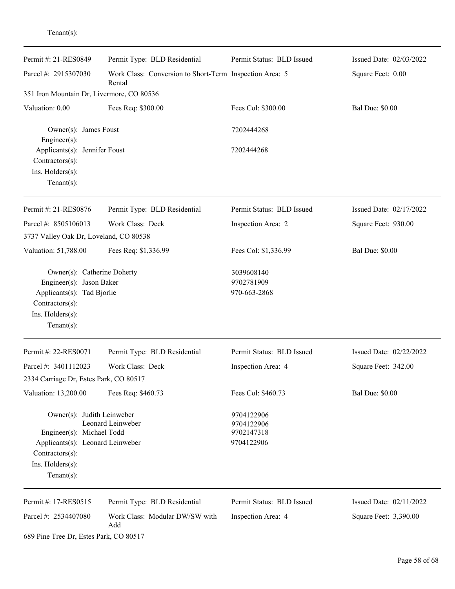| enant(s) |  |
|----------|--|
|          |  |

| Permit #: 21-RES0849                                                                                                                                | Permit Type: BLD Residential                                      | Permit Status: BLD Issued                            | Issued Date: 02/03/2022 |
|-----------------------------------------------------------------------------------------------------------------------------------------------------|-------------------------------------------------------------------|------------------------------------------------------|-------------------------|
|                                                                                                                                                     |                                                                   |                                                      |                         |
| Parcel #: 2915307030                                                                                                                                | Work Class: Conversion to Short-Term Inspection Area: 5<br>Rental |                                                      | Square Feet: 0.00       |
| 351 Iron Mountain Dr, Livermore, CO 80536                                                                                                           |                                                                   |                                                      |                         |
| Valuation: 0.00                                                                                                                                     | Fees Req: \$300.00                                                | Fees Col: \$300.00                                   | <b>Bal Due: \$0.00</b>  |
| Owner(s): James Foust<br>Engineer(s):                                                                                                               |                                                                   | 7202444268                                           |                         |
| Applicants(s): Jennifer Foust<br>Contractors(s):<br>Ins. $H$ olders $(s)$ :<br>Tenant $(s)$ :                                                       |                                                                   | 7202444268                                           |                         |
| Permit #: 21-RES0876                                                                                                                                | Permit Type: BLD Residential                                      | Permit Status: BLD Issued                            | Issued Date: 02/17/2022 |
| Parcel #: 8505106013                                                                                                                                | Work Class: Deck                                                  | Inspection Area: 2                                   | Square Feet: 930.00     |
| 3737 Valley Oak Dr, Loveland, CO 80538                                                                                                              |                                                                   |                                                      |                         |
| Valuation: 51,788.00                                                                                                                                | Fees Req: \$1,336.99                                              | Fees Col: \$1,336.99                                 | <b>Bal Due: \$0.00</b>  |
| Owner(s): Catherine Doherty<br>Engineer(s): Jason Baker<br>Applicants(s): Tad Bjorlie<br>Contractors(s):<br>Ins. Holders(s):<br>Tenant $(s)$ :      |                                                                   | 3039608140<br>9702781909<br>970-663-2868             |                         |
| Permit #: 22-RES0071                                                                                                                                | Permit Type: BLD Residential                                      | Permit Status: BLD Issued                            | Issued Date: 02/22/2022 |
| Parcel #: 3401112023                                                                                                                                | Work Class: Deck                                                  | Inspection Area: 4                                   | Square Feet: 342.00     |
| 2334 Carriage Dr, Estes Park, CO 80517                                                                                                              |                                                                   |                                                      |                         |
| Valuation: 13,200.00                                                                                                                                | Fees Req: \$460.73                                                | Fees Col: \$460.73                                   | <b>Bal Due: \$0.00</b>  |
| Owner(s): Judith Leinweber<br>Engineer(s): Michael Todd<br>Applicants(s): Leonard Leinweber<br>Contractors(s):<br>Ins. Holders(s):<br>$Tenant(s)$ : | Leonard Leinweber                                                 | 9704122906<br>9704122906<br>9702147318<br>9704122906 |                         |
| Permit #: 17-RES0515                                                                                                                                | Permit Type: BLD Residential                                      | Permit Status: BLD Issued                            | Issued Date: 02/11/2022 |
| Parcel #: 2534407080                                                                                                                                | Work Class: Modular DW/SW with<br>Add                             | Inspection Area: 4                                   | Square Feet: 3,390.00   |

689 Pine Tree Dr, Estes Park, CO 80517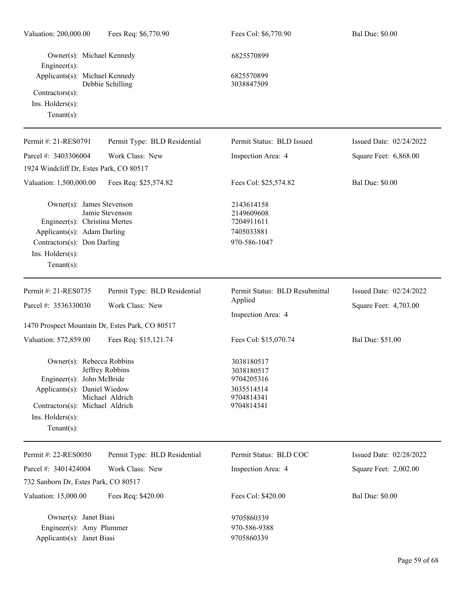| Valuation: 200,000.00                                                                                                                                                  | Fees Req: \$6,770.90               | Fees Col: \$6,770.90                                                             | <b>Bal Due: \$0.00</b>  |
|------------------------------------------------------------------------------------------------------------------------------------------------------------------------|------------------------------------|----------------------------------------------------------------------------------|-------------------------|
| Owner(s): Michael Kennedy<br>Engineer(s):                                                                                                                              |                                    | 6825570899                                                                       |                         |
| Applicants(s): Michael Kennedy<br>Contractors(s):<br>Ins. $H$ olders $(s)$ :<br>Tenant $(s)$ :                                                                         | Debbie Schilling                   | 6825570899<br>3038847509                                                         |                         |
| Permit #: 21-RES0791                                                                                                                                                   | Permit Type: BLD Residential       | Permit Status: BLD Issued                                                        | Issued Date: 02/24/2022 |
| Parcel #: 3403306004                                                                                                                                                   | Work Class: New                    | Inspection Area: 4                                                               | Square Feet: 6,868.00   |
| 1924 Windcliff Dr, Estes Park, CO 80517                                                                                                                                |                                    |                                                                                  |                         |
| Valuation: 1,500,000.00                                                                                                                                                | Fees Req: \$25,574.82              | Fees Col: \$25,574.82                                                            | <b>Bal Due: \$0.00</b>  |
| Owner(s): James Stevenson<br>Engineer(s): Christina Mertes<br>Applicants(s): Adam Darling<br>Contractors(s): Don Darling<br>Ins. Holders(s):<br>Tenant $(s)$ :         | Jamie Stevenson                    | 2143614158<br>2149609608<br>7204911611<br>7405033881<br>970-586-1047             |                         |
| Permit #: 21-RES0735                                                                                                                                                   | Permit Type: BLD Residential       | Permit Status: BLD Resubmittal                                                   | Issued Date: 02/24/2022 |
| Parcel #: 3536330030                                                                                                                                                   | Work Class: New                    | Applied<br>Inspection Area: 4                                                    | Square Feet: 4,703.00   |
| 1470 Prospect Mountain Dr, Estes Park, CO 80517                                                                                                                        |                                    |                                                                                  |                         |
| Valuation: 572,859.00                                                                                                                                                  | Fees Req: \$15,121.74              | Fees Col: \$15,070.74                                                            | <b>Bal Due: \$51.00</b> |
| Owner(s): Rebecca Robbins<br>Engineer(s): John McBride<br>Applicants(s): Daniel Wiedow<br>Contractors(s): Michael Aldrich<br>Ins. $H$ olders $(s)$ :<br>Tenant $(s)$ : | Jeffrey Robbins<br>Michael Aldrich | 3038180517<br>3038180517<br>9704205316<br>3035514514<br>9704814341<br>9704814341 |                         |
| Permit #: 22-RES0050                                                                                                                                                   | Permit Type: BLD Residential       | Permit Status: BLD COC                                                           | Issued Date: 02/28/2022 |
| Parcel #: 3401424004                                                                                                                                                   | Work Class: New                    | Inspection Area: 4                                                               | Square Feet: 2,002.00   |
| 732 Sanborn Dr, Estes Park, CO 80517                                                                                                                                   |                                    |                                                                                  |                         |
| Valuation: 15,000.00                                                                                                                                                   | Fees Req: \$420.00                 | Fees Col: \$420.00                                                               | <b>Bal Due: \$0.00</b>  |
| Owner(s): Janet Biasi<br>Engineer(s): Amy Plummer<br>Applicants(s): Janet Biasi                                                                                        |                                    | 9705860339<br>970-586-9388<br>9705860339                                         |                         |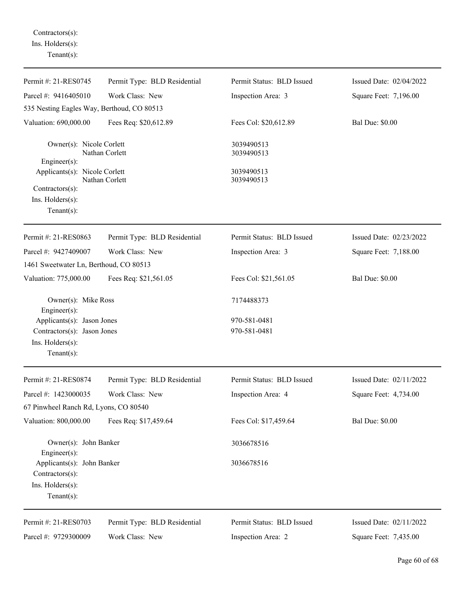Contractors(s): Ins. Holders(s): Tenant(s):

| Permit #: 21-RES0745                          | Permit Type: BLD Residential | Permit Status: BLD Issued | Issued Date: 02/04/2022 |
|-----------------------------------------------|------------------------------|---------------------------|-------------------------|
| Parcel #: 9416405010                          | Work Class: New              | Inspection Area: 3        | Square Feet: 7,196.00   |
| 535 Nesting Eagles Way, Berthoud, CO 80513    |                              |                           |                         |
| Valuation: 690,000.00                         | Fees Req: \$20,612.89        | Fees Col: \$20,612.89     | <b>Bal Due: \$0.00</b>  |
| Owner(s): Nicole Corlett                      | Nathan Corlett               | 3039490513<br>3039490513  |                         |
| $Engineering(s)$ :                            |                              |                           |                         |
| Applicants(s): Nicole Corlett                 | Nathan Corlett               | 3039490513<br>3039490513  |                         |
| $Contractors(s)$ :                            |                              |                           |                         |
| Ins. Holders(s):                              |                              |                           |                         |
| Tenant $(s)$ :                                |                              |                           |                         |
| Permit #: 21-RES0863                          | Permit Type: BLD Residential | Permit Status: BLD Issued | Issued Date: 02/23/2022 |
| Parcel #: 9427409007                          | Work Class: New              | Inspection Area: 3        | Square Feet: 7,188.00   |
| 1461 Sweetwater Ln, Berthoud, CO 80513        |                              |                           |                         |
| Valuation: 775,000.00                         | Fees Req: \$21,561.05        | Fees Col: \$21,561.05     | <b>Bal Due: \$0.00</b>  |
| Owner(s): Mike Ross<br>$Engineer(s)$ :        |                              | 7174488373                |                         |
| Applicants(s): Jason Jones                    |                              | 970-581-0481              |                         |
| Contractors(s): Jason Jones                   |                              | 970-581-0481              |                         |
| Ins. Holders(s):                              |                              |                           |                         |
| $Tenant(s)$ :                                 |                              |                           |                         |
| Permit #: 21-RES0874                          | Permit Type: BLD Residential | Permit Status: BLD Issued | Issued Date: 02/11/2022 |
| Parcel #: 1423000035                          | Work Class: New              | Inspection Area: 4        | Square Feet: 4,734.00   |
| 67 Pinwheel Ranch Rd, Lyons, CO 80540         |                              |                           |                         |
| Valuation: 800,000.00                         | Fees Req: \$17,459.64        | Fees Col: \$17,459.64     | <b>Bal Due: \$0.00</b>  |
| Owner(s): John Banker<br>Engineer(s):         |                              | 3036678516                |                         |
| Applicants(s): John Banker<br>Contractors(s): |                              | 3036678516                |                         |
| Ins. Holders(s):                              |                              |                           |                         |
| Tenant $(s)$ :                                |                              |                           |                         |
| Permit #: 21-RES0703                          | Permit Type: BLD Residential | Permit Status: BLD Issued | Issued Date: 02/11/2022 |
| Parcel #: 9729300009                          | Work Class: New              | Inspection Area: 2        | Square Feet: 7,435.00   |
|                                               |                              |                           |                         |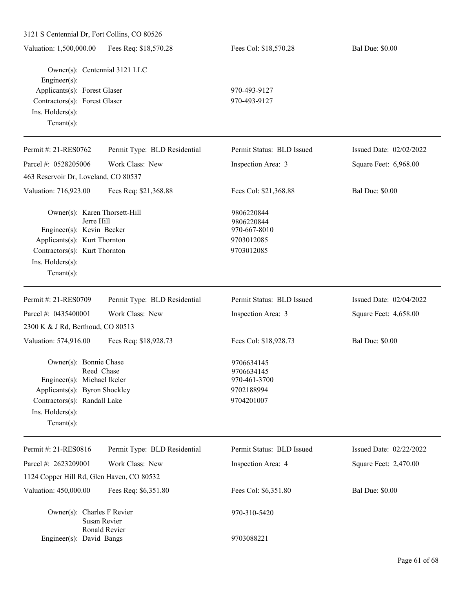| 3121 S Centennial Dr, Fort Collins, CO 80526                 |                              |                            |                         |
|--------------------------------------------------------------|------------------------------|----------------------------|-------------------------|
| Valuation: 1,500,000.00                                      | Fees Req: \$18,570.28        | Fees Col: \$18,570.28      | <b>Bal Due: \$0.00</b>  |
| Owner(s): Centennial 3121 LLC<br>Engineer(s):                |                              |                            |                         |
| Applicants(s): Forest Glaser                                 |                              | 970-493-9127               |                         |
| Contractors(s): Forest Glaser<br>Ins. Holders(s):            |                              | 970-493-9127               |                         |
| Tenant $(s)$ :                                               |                              |                            |                         |
|                                                              |                              |                            |                         |
| Permit #: 21-RES0762                                         | Permit Type: BLD Residential | Permit Status: BLD Issued  | Issued Date: 02/02/2022 |
| Parcel #: 0528205006                                         | Work Class: New              | Inspection Area: 3         | Square Feet: 6,968.00   |
| 463 Reservoir Dr, Loveland, CO 80537                         |                              |                            |                         |
| Valuation: 716,923.00                                        | Fees Req: \$21,368.88        | Fees Col: \$21,368.88      | <b>Bal Due: \$0.00</b>  |
| Owner(s): Karen Thorsett-Hill                                |                              | 9806220844                 |                         |
| Jerre Hill<br>Engineer(s): Kevin Becker                      |                              | 9806220844<br>970-667-8010 |                         |
| Applicants(s): Kurt Thornton                                 |                              | 9703012085                 |                         |
| Contractors(s): Kurt Thornton                                |                              | 9703012085                 |                         |
| Ins. Holders(s):                                             |                              |                            |                         |
| Tenant $(s)$ :                                               |                              |                            |                         |
| Permit #: 21-RES0709                                         | Permit Type: BLD Residential | Permit Status: BLD Issued  | Issued Date: 02/04/2022 |
| Parcel #: 0435400001                                         | Work Class: New              | Inspection Area: 3         | Square Feet: 4,658.00   |
| 2300 K & J Rd, Berthoud, CO 80513                            |                              |                            |                         |
| Valuation: 574,916.00                                        | Fees Req: \$18,928.73        | Fees Col: \$18,928.73      | <b>Bal Due: \$0.00</b>  |
| Owner(s): Bonnie Chase                                       |                              | 9706634145                 |                         |
| Reed Chase                                                   |                              | 9706634145                 |                         |
| Engineer(s): Michael Ikeler<br>Applicants(s): Byron Shockley |                              | 970-461-3700<br>9702188994 |                         |
| Contractors(s): Randall Lake                                 |                              | 9704201007                 |                         |
| Ins. Holders(s):                                             |                              |                            |                         |
| Tenant $(s)$ :                                               |                              |                            |                         |
| Permit #: 21-RES0816                                         | Permit Type: BLD Residential | Permit Status: BLD Issued  | Issued Date: 02/22/2022 |
| Parcel #: 2623209001                                         | Work Class: New              | Inspection Area: 4         | Square Feet: 2,470.00   |
| 1124 Copper Hill Rd, Glen Haven, CO 80532                    |                              |                            |                         |
| Valuation: 450,000.00                                        | Fees Req: \$6,351.80         | Fees Col: \$6,351.80       | <b>Bal Due: \$0.00</b>  |
| Owner(s): Charles F Revier                                   | Susan Revier                 | 970-310-5420               |                         |
| Engineer(s): David Bangs                                     | Ronald Revier                | 9703088221                 |                         |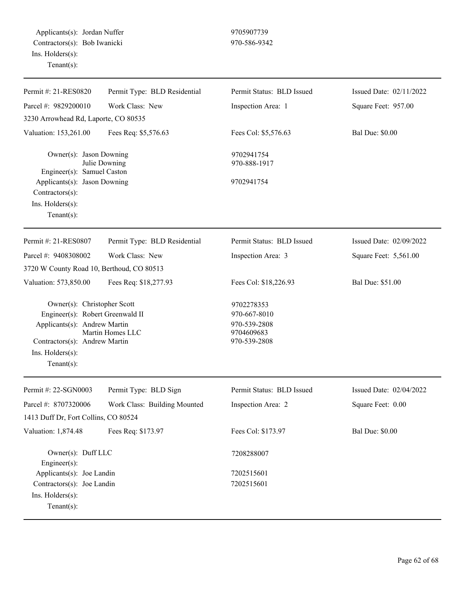Applicants(s): Jordan Nuffer 9705907739 Contractors(s): Bob Iwanicki 970-586-9342 Ins. Holders(s): Tenant(s):

| Permit #: 21-RES0820                      | Permit Type: BLD Residential | Permit Status: BLD Issued  | Issued Date: 02/11/2022 |
|-------------------------------------------|------------------------------|----------------------------|-------------------------|
| Parcel #: 9829200010                      | Work Class: New              | Inspection Area: 1         | Square Feet: 957.00     |
| 3230 Arrowhead Rd, Laporte, CO 80535      |                              |                            |                         |
| Valuation: 153,261.00                     | Fees Req: \$5,576.63         | Fees Col: \$5,576.63       | <b>Bal Due: \$0.00</b>  |
|                                           |                              |                            |                         |
| Owner(s): Jason Downing                   | Julie Downing                | 9702941754<br>970-888-1917 |                         |
| Engineer(s): Samuel Caston                |                              |                            |                         |
| Applicants(s): Jason Downing              |                              | 9702941754                 |                         |
| Contractors(s):                           |                              |                            |                         |
| Ins. $H$ olders $(s)$ :                   |                              |                            |                         |
| $Tenant(s)$ :                             |                              |                            |                         |
| Permit #: 21-RES0807                      | Permit Type: BLD Residential | Permit Status: BLD Issued  | Issued Date: 02/09/2022 |
| Parcel #: 9408308002                      | Work Class: New              | Inspection Area: 3         | Square Feet: 5,561.00   |
| 3720 W County Road 10, Berthoud, CO 80513 |                              |                            |                         |
| Valuation: 573,850.00                     | Fees Req: \$18,277.93        | Fees Col: \$18,226.93      | Bal Due: \$51.00        |
|                                           |                              |                            |                         |
| Owner(s): Christopher Scott               |                              | 9702278353                 |                         |
| Engineer(s): Robert Greenwald II          |                              | 970-667-8010               |                         |
| Applicants(s): Andrew Martin              | Martin Homes LLC             | 970-539-2808<br>9704609683 |                         |
| Contractors(s): Andrew Martin             |                              | 970-539-2808               |                         |
| Ins. Holders(s):                          |                              |                            |                         |
| Tenant $(s)$ :                            |                              |                            |                         |
| Permit #: 22-SGN0003                      |                              | Permit Status: BLD Issued  | Issued Date: 02/04/2022 |
|                                           | Permit Type: BLD Sign        |                            |                         |
| Parcel #: 8707320006                      | Work Class: Building Mounted | Inspection Area: 2         | Square Feet: 0.00       |
| 1413 Duff Dr, Fort Collins, CO 80524      |                              |                            |                         |
| Valuation: 1,874.48                       | Fees Req: \$173.97           | Fees Col: \$173.97         | <b>Bal Due: \$0.00</b>  |
| Owner(s): Duff LLC                        |                              | 7208288007                 |                         |
| Engineer(s):                              |                              |                            |                         |
| Applicants(s): Joe Landin                 |                              | 7202515601                 |                         |
| Contractors(s): Joe Landin                |                              | 7202515601                 |                         |
| Ins. Holders(s):                          |                              |                            |                         |
| Tenant $(s)$ :                            |                              |                            |                         |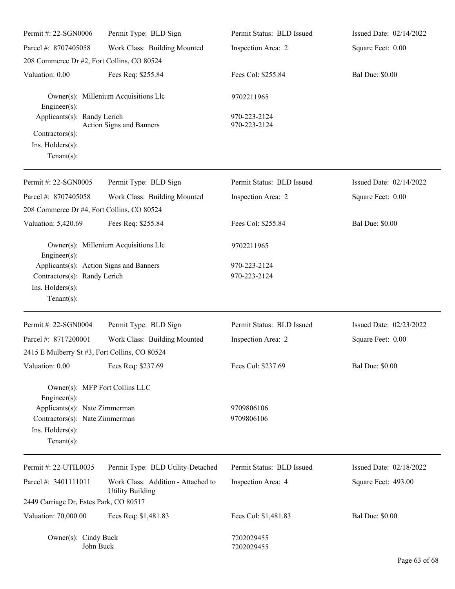| Permit #: 22-SGN0006                                                                                  | Permit Type: BLD Sign                                         | Permit Status: BLD Issued    | Issued Date: 02/14/2022 |
|-------------------------------------------------------------------------------------------------------|---------------------------------------------------------------|------------------------------|-------------------------|
| Parcel #: 8707405058                                                                                  | Work Class: Building Mounted                                  | Inspection Area: 2           | Square Feet: 0.00       |
| 208 Commerce Dr #2, Fort Collins, CO 80524                                                            |                                                               |                              |                         |
| Valuation: 0.00                                                                                       | Fees Req: \$255.84                                            | Fees Col: \$255.84           | <b>Bal Due: \$0.00</b>  |
| Engineer $(s)$ :                                                                                      | Owner(s): Millenium Acquisitions Llc                          | 9702211965                   |                         |
| Applicants(s): Randy Lerich<br>Contractors(s):<br>Ins. Holders(s):<br>Tenant $(s)$ :                  | Action Signs and Banners                                      | 970-223-2124<br>970-223-2124 |                         |
| Permit #: 22-SGN0005                                                                                  | Permit Type: BLD Sign                                         | Permit Status: BLD Issued    | Issued Date: 02/14/2022 |
| Parcel #: 8707405058                                                                                  | Work Class: Building Mounted                                  | Inspection Area: 2           | Square Feet: 0.00       |
| 208 Commerce Dr #4, Fort Collins, CO 80524                                                            |                                                               |                              |                         |
| Valuation: 5,420.69                                                                                   | Fees Req: \$255.84                                            | Fees Col: \$255.84           | <b>Bal Due: \$0.00</b>  |
| Engineer $(s)$ :                                                                                      | Owner(s): Millenium Acquisitions Llc                          | 9702211965                   |                         |
| Applicants(s): Action Signs and Banners                                                               |                                                               | 970-223-2124                 |                         |
| Contractors(s): Randy Lerich<br>Ins. Holders(s):<br>Tenant $(s)$ :                                    |                                                               | 970-223-2124                 |                         |
| Permit #: 22-SGN0004                                                                                  | Permit Type: BLD Sign                                         | Permit Status: BLD Issued    | Issued Date: 02/23/2022 |
| Parcel #: 8717200001                                                                                  | Work Class: Building Mounted                                  | Inspection Area: 2           | Square Feet: 0.00       |
| 2415 E Mulberry St #3, Fort Collins, CO 80524                                                         |                                                               |                              |                         |
| Valuation: 0.00                                                                                       | Fees Req: \$237.69                                            | Fees Col: \$237.69           | <b>Bal Due: \$0.00</b>  |
| Owner(s): MFP Fort Collins LLC<br>Engineer(s):                                                        |                                                               |                              |                         |
| Applicants(s): Nate Zimmerman<br>Contractors(s): Nate Zimmerman<br>Ins. Holders(s):<br>Tenant $(s)$ : |                                                               | 9709806106<br>9709806106     |                         |
| Permit #: 22-UTIL0035                                                                                 | Permit Type: BLD Utility-Detached                             | Permit Status: BLD Issued    | Issued Date: 02/18/2022 |
| Parcel #: 3401111011                                                                                  | Work Class: Addition - Attached to<br><b>Utility Building</b> | Inspection Area: 4           | Square Feet: 493.00     |
| 2449 Carriage Dr, Estes Park, CO 80517                                                                |                                                               |                              |                         |
| Valuation: 70,000.00                                                                                  | Fees Req: \$1,481.83                                          | Fees Col: \$1,481.83         | <b>Bal Due: \$0.00</b>  |
| Owner(s): Cindy Buck<br>John Buck                                                                     |                                                               | 7202029455<br>7202029455     |                         |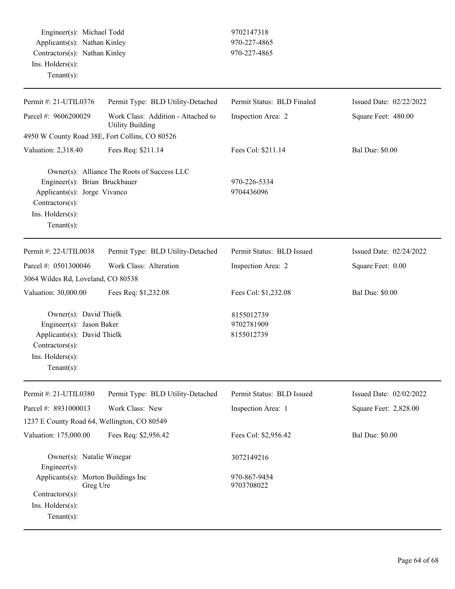Engineer(s): Michael Todd 9702147318 Applicants(s): Nathan Kinley 970-227-4865 Contractors(s): Nathan Kinley 970-227-4865 Ins. Holders(s): Tenant(s):

| Permit #: 21-UTIL0376                                                                                                                      | Permit Type: BLD Utility-Detached                             | Permit Status: BLD Finaled               | Issued Date: 02/22/2022 |
|--------------------------------------------------------------------------------------------------------------------------------------------|---------------------------------------------------------------|------------------------------------------|-------------------------|
| Parcel #: 9606200029                                                                                                                       | Work Class: Addition - Attached to<br><b>Utility Building</b> | Inspection Area: 2                       | Square Feet: 480.00     |
| 4950 W County Road 38E, Fort Collins, CO 80526                                                                                             |                                                               |                                          |                         |
| Valuation: 2,318.40                                                                                                                        | Fees Req: \$211.14                                            | Fees Col: \$211.14                       | <b>Bal Due: \$0.00</b>  |
| Engineer(s): Brian Bruckbauer<br>Applicants(s): Jorge Vivanco<br>Contractors(s):<br>Ins. Holders(s):<br>Tenant $(s)$ :                     | Owner(s): Alliance The Roots of Success LLC                   | 970-226-5334<br>9704436096               |                         |
| Permit #: 22-UTIL0038                                                                                                                      | Permit Type: BLD Utility-Detached                             | Permit Status: BLD Issued                | Issued Date: 02/24/2022 |
| Parcel #: 0501300046                                                                                                                       | Work Class: Alteration                                        | Inspection Area: 2                       | Square Feet: 0.00       |
| 3064 Wildes Rd, Loveland, CO 80538                                                                                                         |                                                               |                                          |                         |
| Valuation: 30,000.00                                                                                                                       | Fees Req: \$1,232.08                                          | Fees Col: \$1,232.08                     | <b>Bal Due: \$0.00</b>  |
| Owner(s): David Thielk<br>Engineer(s): Jason Baker<br>Applicants(s): David Thielk<br>Contractors(s):<br>Ins. Holders(s):<br>Tenant $(s)$ : |                                                               | 8155012739<br>9702781909<br>8155012739   |                         |
| Permit #: 21-UTIL0380                                                                                                                      | Permit Type: BLD Utility-Detached                             | Permit Status: BLD Issued                | Issued Date: 02/02/2022 |
| Parcel #: 8931000013                                                                                                                       | Work Class: New                                               | Inspection Area: 1                       | Square Feet: 2,828.00   |
| 1237 E County Road 64, Wellington, CO 80549                                                                                                |                                                               |                                          |                         |
| Valuation: 175,000.00                                                                                                                      | Fees Req: \$2,956.42                                          | Fees Col: \$2,956.42                     | <b>Bal Due: \$0.00</b>  |
| Owner(s): Natalie Winegar<br>Engineer(s):<br>Applicants(s): Morton Buildings Inc<br>Greg Ure                                               |                                                               | 3072149216<br>970-867-9454<br>9703708022 |                         |
| Contractors(s):<br>Ins. Holders(s):<br>Tenant $(s)$ :                                                                                      |                                                               |                                          |                         |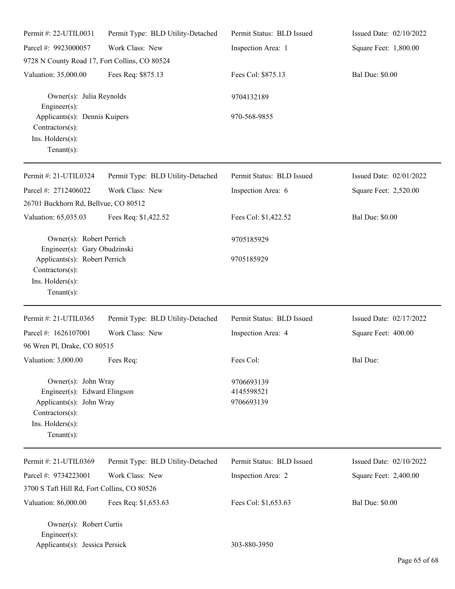| Permit #: 22-UTIL0031                                                                                                                    | Permit Type: BLD Utility-Detached | Permit Status: BLD Issued              | Issued Date: 02/10/2022 |
|------------------------------------------------------------------------------------------------------------------------------------------|-----------------------------------|----------------------------------------|-------------------------|
| Parcel #: 9923000057                                                                                                                     | Work Class: New                   | Inspection Area: 1                     | Square Feet: 1,800.00   |
| 9728 N County Road 17, Fort Collins, CO 80524                                                                                            |                                   |                                        |                         |
| Valuation: 35,000.00                                                                                                                     | Fees Req: \$875.13                | Fees Col: \$875.13                     | <b>Bal Due: \$0.00</b>  |
| Owner(s): Julia Reynolds<br>Engineer(s):                                                                                                 |                                   | 9704132189                             |                         |
| Applicants(s): Dennis Kuipers<br>Contractors(s):<br>Ins. Holders(s):<br>$Tenant(s)$ :                                                    |                                   | 970-568-9855                           |                         |
| Permit #: 21-UTIL0324                                                                                                                    | Permit Type: BLD Utility-Detached | Permit Status: BLD Issued              | Issued Date: 02/01/2022 |
| Parcel #: 2712406022                                                                                                                     | Work Class: New                   | Inspection Area: 6                     | Square Feet: 2,520.00   |
| 26701 Buckhorn Rd, Bellvue, CO 80512                                                                                                     |                                   |                                        |                         |
| Valuation: 65,035.03                                                                                                                     | Fees Req: \$1,422.52              | Fees Col: \$1,422.52                   | <b>Bal Due: \$0.00</b>  |
| Owner(s): Robert Perrich<br>Engineer(s): Gary Obudzinski                                                                                 |                                   | 9705185929                             |                         |
| Applicants(s): Robert Perrich<br>Contractors(s):<br>Ins. Holders(s):<br>$Tenant(s)$ :                                                    |                                   | 9705185929                             |                         |
| Permit #: 21-UTIL0365                                                                                                                    | Permit Type: BLD Utility-Detached | Permit Status: BLD Issued              | Issued Date: 02/17/2022 |
| Parcel #: 1626107001                                                                                                                     | Work Class: New                   | Inspection Area: 4                     | Square Feet: 400.00     |
| 96 Wren Pl, Drake, CO 80515                                                                                                              |                                   |                                        |                         |
| Valuation: 3,000.00 Fees Req:                                                                                                            |                                   | Fees Col:                              | Bal Due:                |
| Owner(s): John Wray<br>Engineer(s): Edward Elingson<br>Applicants(s): John Wray<br>Contractors(s):<br>Ins. Holders(s):<br>Tenant $(s)$ : |                                   | 9706693139<br>4145598521<br>9706693139 |                         |
| Permit #: 21-UTIL0369                                                                                                                    | Permit Type: BLD Utility-Detached | Permit Status: BLD Issued              | Issued Date: 02/10/2022 |
| Parcel #: 9734223001                                                                                                                     | Work Class: New                   | Inspection Area: 2                     | Square Feet: 2,400.00   |
| 3700 S Taft Hill Rd, Fort Collins, CO 80526                                                                                              |                                   |                                        |                         |
| Valuation: 86,000.00                                                                                                                     | Fees Req: \$1,653.63              | Fees Col: \$1,653.63                   | <b>Bal Due: \$0.00</b>  |
| Owner(s): Robert Curtis<br>Engineer(s):<br>Applicants(s): Jessica Persick                                                                |                                   | 303-880-3950                           |                         |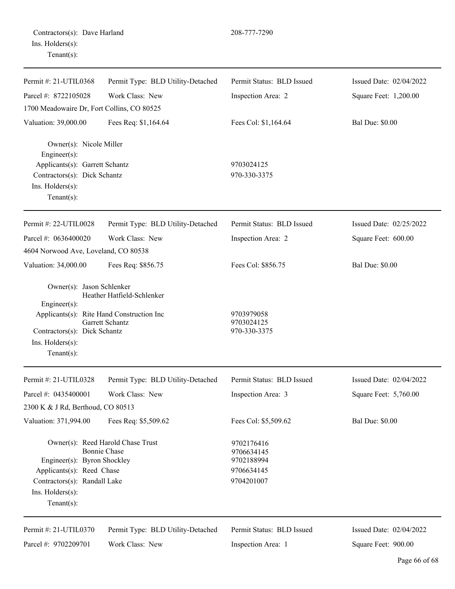| Contractors(s): Dave Harland |  |
|------------------------------|--|
| Ins. Holders(s):             |  |
| $Tenant(s)$ :                |  |

| Permit #: 21-UTIL0368                            | Permit Type: BLD Utility-Detached                        | Permit Status: BLD Issued                | Issued Date: 02/04/2022 |
|--------------------------------------------------|----------------------------------------------------------|------------------------------------------|-------------------------|
| Parcel #: 8722105028                             | Work Class: New                                          | Inspection Area: 2                       | Square Feet: 1,200.00   |
| 1700 Meadowaire Dr, Fort Collins, CO 80525       |                                                          |                                          |                         |
| Valuation: 39,000.00                             | Fees Req: \$1,164.64                                     | Fees Col: \$1,164.64                     | <b>Bal Due: \$0.00</b>  |
| Owner(s): Nicole Miller<br>$Engineering(s)$ :    |                                                          |                                          |                         |
| Applicants(s): Garrett Schantz                   |                                                          | 9703024125                               |                         |
| Contractors(s): Dick Schantz                     |                                                          | 970-330-3375                             |                         |
| Ins. Holders(s):<br>Tenant $(s)$ :               |                                                          |                                          |                         |
| Permit #: 22-UTIL0028                            | Permit Type: BLD Utility-Detached                        | Permit Status: BLD Issued                | Issued Date: 02/25/2022 |
| Parcel #: 0636400020                             | Work Class: New                                          | Inspection Area: 2                       | Square Feet: 600.00     |
| 4604 Norwood Ave, Loveland, CO 80538             |                                                          |                                          |                         |
| Valuation: 34,000.00                             | Fees Req: \$856.75                                       | Fees Col: \$856.75                       | <b>Bal Due: \$0.00</b>  |
| Owner(s): Jason Schlenker<br>Engineer(s):        | Heather Hatfield-Schlenker                               |                                          |                         |
| Applicants(s): Rite Hand Construction Inc        | Garrett Schantz                                          | 9703979058<br>9703024125<br>970-330-3375 |                         |
| Contractors(s): Dick Schantz<br>Ins. Holders(s): |                                                          |                                          |                         |
| Tenant $(s)$ :                                   |                                                          |                                          |                         |
| Permit #: 21-UTIL0328                            | Permit Type: BLD Utility-Detached                        | Permit Status: BLD Issued                | Issued Date: 02/04/2022 |
| Parcel #: 0435400001                             | Work Class: New                                          | Inspection Area: 3                       | Square Feet: 5,760.00   |
| 2300 K & J Rd, Berthoud, CO 80513                |                                                          |                                          |                         |
| Valuation: 371,994.00                            | Fees Req: \$5,509.62                                     | Fees Col: \$5,509.62                     | <b>Bal Due: \$0.00</b>  |
| Engineer(s): Byron Shockley                      | Owner(s): Reed Harold Chase Trust<br><b>Bonnie Chase</b> | 9702176416<br>9706634145<br>9702188994   |                         |
| Applicants(s): Reed Chase                        |                                                          | 9706634145                               |                         |
| Contractors(s): Randall Lake                     |                                                          | 9704201007                               |                         |
| Ins. Holders(s):                                 |                                                          |                                          |                         |
| Tenant $(s)$ :                                   |                                                          |                                          |                         |
| Permit #: 21-UTIL0370                            | Permit Type: BLD Utility-Detached                        | Permit Status: BLD Issued                | Issued Date: 02/04/2022 |
| Parcel #: 9702209701                             | Work Class: New                                          | Inspection Area: 1                       | Square Feet: 900.00     |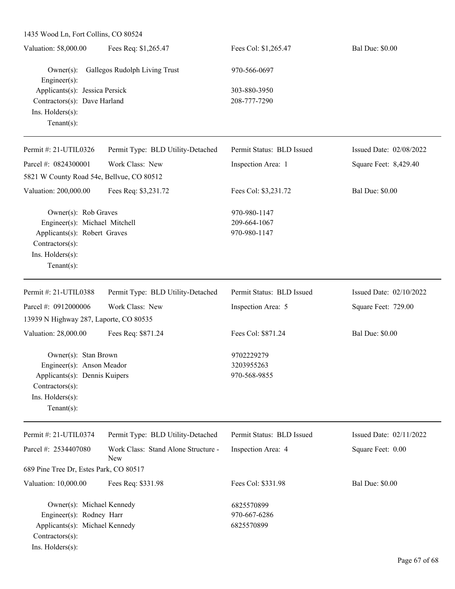1435 Wood Ln, Fort Collins, CO 80524

| Fees Req: \$1,265.47<br>Fees Col: \$1,265.47<br>Valuation: 58,000.00<br><b>Bal Due: \$0.00</b> |  |
|------------------------------------------------------------------------------------------------|--|
| Gallegos Rudolph Living Trust<br>$Owner(s)$ :<br>970-566-0697                                  |  |
| Engineer $(s)$ :                                                                               |  |
| Applicants(s): Jessica Persick<br>303-880-3950                                                 |  |
| Contractors(s): Dave Harland<br>208-777-7290                                                   |  |
| Ins. $H$ olders $(s)$ :                                                                        |  |
| Tenant $(s)$ :                                                                                 |  |

| Permit #: $21$ -UTIL0326                  | Permit Type: BLD Utility-Detached | Permit Status: BLD Issued | Issued Date: $02/08/2022$ |
|-------------------------------------------|-----------------------------------|---------------------------|---------------------------|
| Parcel #: $0824300001$                    | Work Class: New                   | Inspection Area: 1        | Square Feet: 8,429.40     |
| 5821 W County Road 54e, Bellvue, CO 80512 |                                   |                           |                           |
| Valuation: 200,000.00                     | Fees Req: \$3,231.72              | Fees Col: \$3,231.72      | <b>Bal Due: \$0.00</b>    |
| Owner(s): Rob Graves                      |                                   | 970-980-1147              |                           |
| Engineer(s): Michael Mitchell             |                                   | 209-664-1067              |                           |
| Applicants(s): Robert Graves              |                                   | 970-980-1147              |                           |
| $Contractors(s)$ :                        |                                   |                           |                           |
| $Ins.$ Holders $(s)$ :                    |                                   |                           |                           |
| Tenant $(s)$ :                            |                                   |                           |                           |
| Permit #: 21-UTIL0388                     | Permit Type: BLD Utility-Detached | Permit Status: BLD Issued | Issued Date: $02/10/2022$ |
| Parcel #: $0912000006$                    | Work Class: New                   | Inspection Area: 5        | Square Feet: 729.00       |
| 13939 N Highway 287, Laporte, CO 80535    |                                   |                           |                           |
| Valuation: 28,000.00                      | Fees Req: \$871.24                | Fees Col: \$871.24        | <b>Bal Due: \$0.00</b>    |

Owner(s): Stan Brown 9702229279 Engineer(s): Anson Meador 3203955263 Applicants(s): Dennis Kuipers 970-568-9855 Contractors(s): Ins. Holders(s): Tenant(s):

| Permit #: 21-UTIL0374                  | Permit Type: BLD Utility-Detached          | Permit Status: BLD Issued | Issued Date: $02/11/2022$ |
|----------------------------------------|--------------------------------------------|---------------------------|---------------------------|
| Parcel #: $2534407080$                 | Work Class: Stand Alone Structure -<br>New | Inspection Area: 4        | Square Feet: 0.00         |
| 689 Pine Tree Dr, Estes Park, CO 80517 |                                            |                           |                           |
| Valuation: 10,000.00                   | Fees Req: \$331.98                         | Fees Col: \$331.98        | <b>Bal Due: \$0.00</b>    |
| Owner(s): Michael Kennedy              |                                            | 6825570899                |                           |
| Engineer(s): Rodney Harr               |                                            | 970-667-6286              |                           |
| Applicants(s): Michael Kennedy         |                                            | 6825570899                |                           |
| $Contractors(s)$ :                     |                                            |                           |                           |
| $Ins.$ Holders $(s)$ :                 |                                            |                           |                           |